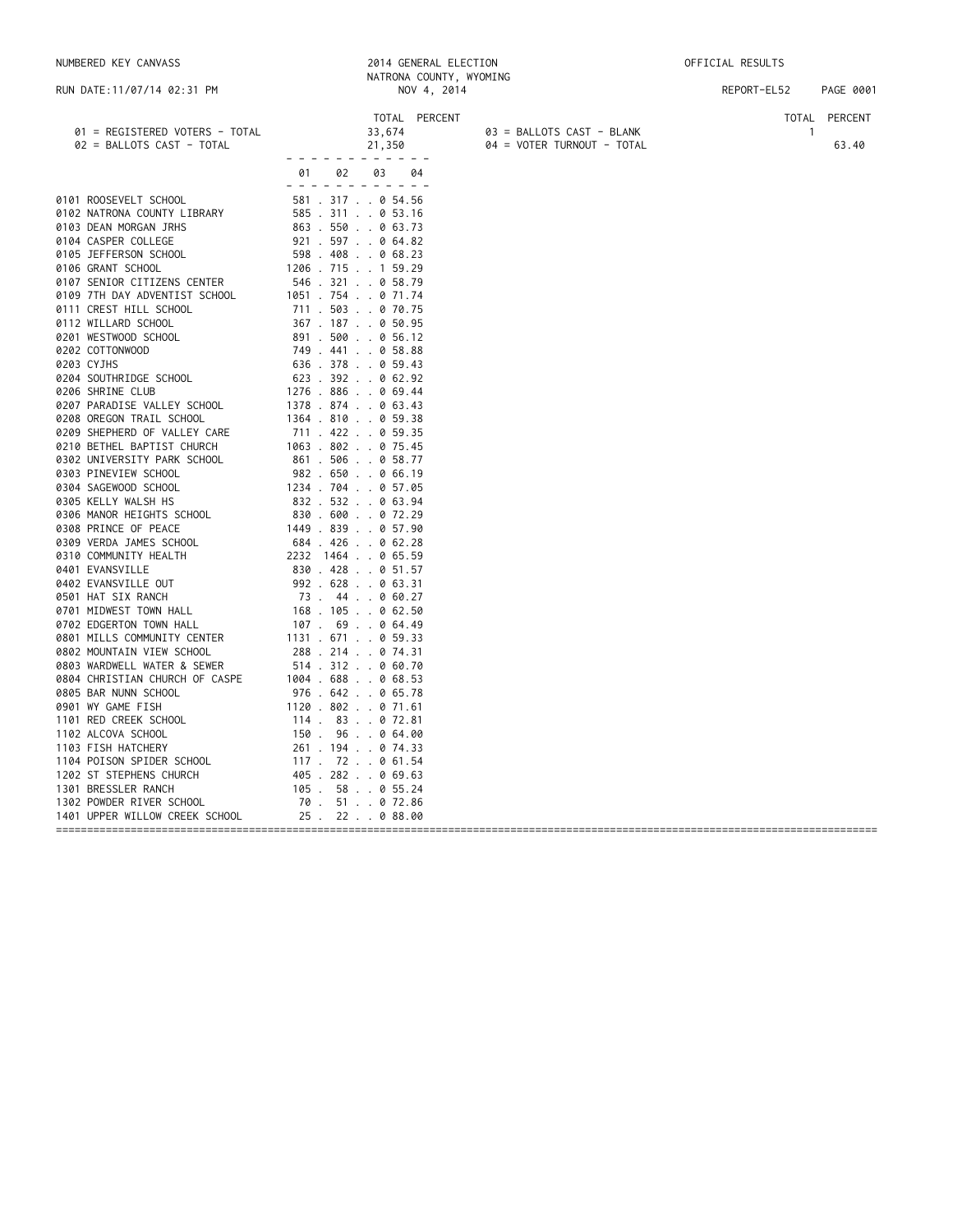| RUN DATE:11/07/14 02:31 PM                                                                                                                                                                                                                                                                                                                                                                                                                                                                                                                                                                                                                                                                                                                                                                                                                                                                                                                                                                                                                                                                                                                     |                                                                                                                                                                                                                                                                                                                                                                                                              | NATRONA COUNTY, WYOMING<br>NOV 4, 2014                                                                                                                                                                                                                                                                                                                                                                                                                                                                                                |                                                         | REPORT-EL52 | PAGE 0001              |
|------------------------------------------------------------------------------------------------------------------------------------------------------------------------------------------------------------------------------------------------------------------------------------------------------------------------------------------------------------------------------------------------------------------------------------------------------------------------------------------------------------------------------------------------------------------------------------------------------------------------------------------------------------------------------------------------------------------------------------------------------------------------------------------------------------------------------------------------------------------------------------------------------------------------------------------------------------------------------------------------------------------------------------------------------------------------------------------------------------------------------------------------|--------------------------------------------------------------------------------------------------------------------------------------------------------------------------------------------------------------------------------------------------------------------------------------------------------------------------------------------------------------------------------------------------------------|---------------------------------------------------------------------------------------------------------------------------------------------------------------------------------------------------------------------------------------------------------------------------------------------------------------------------------------------------------------------------------------------------------------------------------------------------------------------------------------------------------------------------------------|---------------------------------------------------------|-------------|------------------------|
| 01 = REGISTERED VOTERS - TOTAL<br>02 = BALLOTS CAST - TOTAL                                                                                                                                                                                                                                                                                                                                                                                                                                                                                                                                                                                                                                                                                                                                                                                                                                                                                                                                                                                                                                                                                    |                                                                                                                                                                                                                                                                                                                                                                                                              | TOTAL PERCENT<br>33,674<br>21,350                                                                                                                                                                                                                                                                                                                                                                                                                                                                                                     | 03 = BALLOTS CAST - BLANK<br>04 = VOTER TURNOUT - TOTAL | -1          | TOTAL PERCENT<br>63.40 |
|                                                                                                                                                                                                                                                                                                                                                                                                                                                                                                                                                                                                                                                                                                                                                                                                                                                                                                                                                                                                                                                                                                                                                | 01<br>02                                                                                                                                                                                                                                                                                                                                                                                                     | 03<br>04                                                                                                                                                                                                                                                                                                                                                                                                                                                                                                                              |                                                         |             |                        |
| 0101 ROOSEVELT SCHOOL<br>0102 NATRONA COUNTY LIBRARY<br>0103 DEAN MORGAN JRHS<br>0104 CASPER COLLEGE<br>0105 JEFFERSON SCHOOL<br>0106 GRANT SCHOOL<br>0107 SENIOR CITIZENS CENTER<br>0109 7TH DAY ADVENTIST SCHOOL<br>0111 CREST HILL SCHOOL<br>0112 WILLARD SCHOOL<br>0201 WESTWOOD SCHOOL<br>0202 COTTONWOOD<br>0203 CYJHS<br>0204 SOUTHRIDGE SCHOOL<br>0206 SHRINE CLUB<br>0207 PARADISE VALLEY SCHOOL<br>0208 OREGON TRAIL SCHOOL<br>0209 SHEPHERD OF VALLEY CARE<br>0210 BETHEL BAPTIST CHURCH<br>0302 UNIVERSITY PARK SCHOOL<br>0303 PINEVIEW SCHOOL<br>0304 SAGEWOOD SCHOOL<br>0305 KELLY WALSH HS<br>0306 MANOR HEIGHTS SCHOOL<br>0308 PRINCE OF PEACE<br>0309 VERDA JAMES SCHOOL<br>0310 COMMUNITY HEALTH<br>0401 EVANSVILLE<br>0402 EVANSVILLE OUT<br>0501 HAT SIX RANCH<br>0701 MIDWEST TOWN HALL<br>0702 EDGERTON TOWN HALL<br>0801 MILLS COMMUNITY CENTER<br>0802 MOUNTAIN VIEW SCHOOL<br>0803 WARDWELL WATER & SEWER<br>0804 CHRISTIAN CHURCH OF CASPE<br>0805 BAR NUNN SCHOOL<br>0901 WY GAME FISH<br>1101 RED CREEK SCHOOL<br>1102 ALCOVA SCHOOL<br>1103 FISH HATCHERY<br>1104 POISON SPIDER SCHOOL<br>1202 ST STEPHENS CHURCH | 1206 . 715 1 59.29<br>1051 . 754 0 71.74<br>1276.886069.44<br>1378.874063.43<br>1364 . 810 0 59.38<br>711 . 422 0 59.35<br>1063 . 802 0 75.45<br>982 . 650 0 66.19<br>1234 . 704 0 57.05<br>832 . 532 0 63.94<br>830 . 600 0 72.29<br>1449 . 839 0 57.90<br>684 . 426 0 62.28<br>2232 1464 0 65.59<br>1131 . 671 0 59.33<br>1004 . 688 0 68.53<br>1120 . 802 0 71.61<br>114 . 83 0 72.81<br>117 . 72 0 61.54 | - - - - - - - - - - - -<br>- - - - - - - - - - - - -<br>581 . 317 0 54.56<br>585.311053.16<br>863 . 550 0 63.73<br>921 . 597 0 64.82<br>598 . 408 0 68.23<br>546 . 321 0 58.79<br>711 . 503 0 70.75<br>367 . 187 0 50.95<br>891.500056.12<br>749 . 441 0 58.88<br>636 . 378 0 59.43<br>623 . 392 0 62.92<br>861.506058.77<br>830.428.051.57<br>992 . 628 0 63.31<br>73.44.060.27<br>168.105062.50<br>107. 69 0 64.49<br>288 . 214 0 74.31<br>514 . 312 0 60.70<br>976 . 642 0 65.78<br>150.96064.00<br>261.194074.33<br>405.282069.63 |                                                         |             |                        |
| 1301 BRESSLER RANCH                                                                                                                                                                                                                                                                                                                                                                                                                                                                                                                                                                                                                                                                                                                                                                                                                                                                                                                                                                                                                                                                                                                            |                                                                                                                                                                                                                                                                                                                                                                                                              | 105 . 58 0 55.24                                                                                                                                                                                                                                                                                                                                                                                                                                                                                                                      |                                                         |             |                        |
| 1302 POWDER RIVER SCHOOL<br>1401 UPPER WILLOW CREEK SCHOOL                                                                                                                                                                                                                                                                                                                                                                                                                                                                                                                                                                                                                                                                                                                                                                                                                                                                                                                                                                                                                                                                                     | 70. 51. 072.86                                                                                                                                                                                                                                                                                                                                                                                               | 25. 22. 0 88.00                                                                                                                                                                                                                                                                                                                                                                                                                                                                                                                       |                                                         |             |                        |
|                                                                                                                                                                                                                                                                                                                                                                                                                                                                                                                                                                                                                                                                                                                                                                                                                                                                                                                                                                                                                                                                                                                                                |                                                                                                                                                                                                                                                                                                                                                                                                              |                                                                                                                                                                                                                                                                                                                                                                                                                                                                                                                                       |                                                         |             |                        |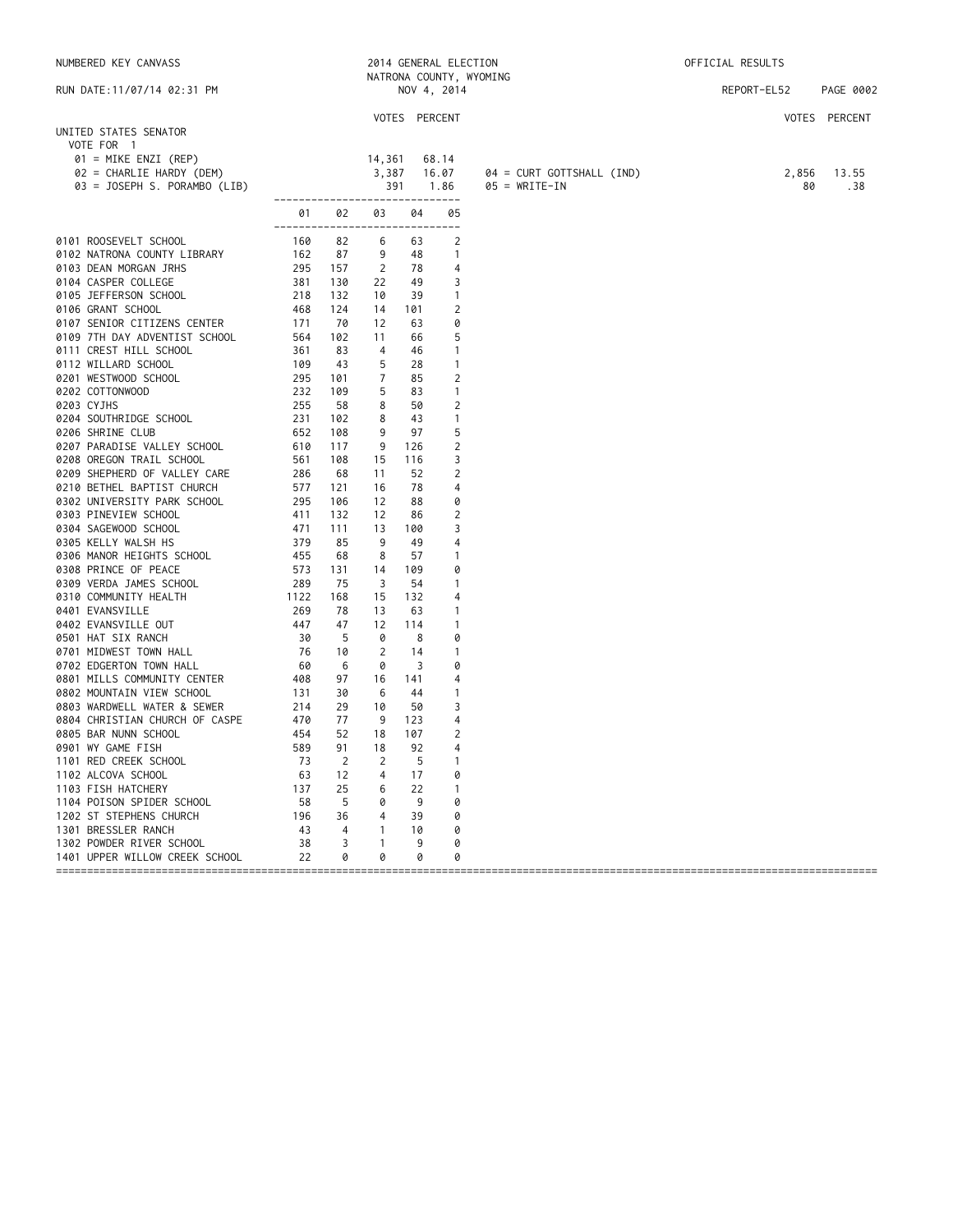| NUMBERED KEY CANVASS                                                                      |                                        |                | 2014 GENERAL ELECTION<br>NATRONA COUNTY, WYOMING |     |                                 |                           | OFFICIAL RESULTS |             |               |
|-------------------------------------------------------------------------------------------|----------------------------------------|----------------|--------------------------------------------------|-----|---------------------------------|---------------------------|------------------|-------------|---------------|
| RUN DATE: 11/07/14 02:31 PM                                                               |                                        |                |                                                  |     | NOV 4, 2014                     |                           |                  | REPORT-EL52 | PAGE 0002     |
|                                                                                           |                                        |                |                                                  |     |                                 |                           |                  |             | VOTES PERCENT |
| UNITED STATES SENATOR<br>VOTE FOR 1<br>$01 =$ MIKE ENZI (REP)<br>02 = CHARLIE HARDY (DEM) |                                        |                | 14,361<br>3,387                                  |     | VOTES PERCENT<br>68.14<br>16.07 | 04 = CURT GOTTSHALL (IND) |                  | 2,856       | 13.55         |
| 03 = JOSEPH S. PORAMBO (LIB)                                                              |                                        |                | 391                                              |     | 1.86                            | $05 = WRITE-IN$           |                  | 80          | .38           |
|                                                                                           | -------------------------------<br>01  |                | 02 03                                            | 04  | 05                              |                           |                  |             |               |
| 0101 ROOSEVELT SCHOOL                                                                     | -------------------------------<br>160 | 82             | 6                                                | 63  | 2                               |                           |                  |             |               |
| 0102 NATRONA COUNTY LIBRARY                                                               | 162                                    | 87             | 9                                                | 48  | $\overline{1}$                  |                           |                  |             |               |
| 0103 DEAN MORGAN JRHS                                                                     | 295                                    | 157            | $\overline{2}$                                   | 78  | 4                               |                           |                  |             |               |
| 0104 CASPER COLLEGE                                                                       | 381                                    | 130            | 22                                               | 49  | 3                               |                           |                  |             |               |
| 0105 JEFFERSON SCHOOL                                                                     | 218                                    | 132            | 10                                               | 39  | $\overline{1}$                  |                           |                  |             |               |
| 0106 GRANT SCHOOL                                                                         | 468                                    | 124            | 14                                               | 101 | 2                               |                           |                  |             |               |
| 0107 SENIOR CITIZENS CENTER                                                               | 171                                    | 70             | 12                                               | 63  | 0                               |                           |                  |             |               |
| 0109 7TH DAY ADVENTIST SCHOOL                                                             | 564                                    | 102            | 11                                               | 66  | 5                               |                           |                  |             |               |
| 0111 CREST HILL SCHOOL                                                                    | 361                                    | 83             | $\overline{4}$                                   | 46  | $\overline{1}$                  |                           |                  |             |               |
| 0112 WILLARD SCHOOL                                                                       | 109                                    | 43             | 5                                                | 28  | $\overline{1}$                  |                           |                  |             |               |
| 0201 WESTWOOD SCHOOL                                                                      | 295                                    | 101            | 7                                                | 85  | $\overline{2}$                  |                           |                  |             |               |
| 0202 COTTONWOOD                                                                           | 232                                    | 109            | 5                                                | 83  | $\overline{1}$                  |                           |                  |             |               |
| 0203 CYJHS                                                                                | 255                                    | 58             | 8                                                | 50  | $\overline{2}$                  |                           |                  |             |               |
| 0204 SOUTHRIDGE SCHOOL                                                                    | 231                                    | 102            | 8                                                | 43  | $\overline{1}$                  |                           |                  |             |               |
| 0206 SHRINE CLUB                                                                          | 652                                    | 108            | 9                                                | 97  | 5                               |                           |                  |             |               |
| 0207 PARADISE VALLEY SCHOOL                                                               | 610                                    | 117            | 9                                                | 126 | 2                               |                           |                  |             |               |
| 0208 OREGON TRAIL SCHOOL                                                                  | 561                                    | 108            | 15                                               | 116 | 3                               |                           |                  |             |               |
| 0209 SHEPHERD OF VALLEY CARE                                                              | 286                                    | 68             | 11                                               | 52  | 2                               |                           |                  |             |               |
| 0210 BETHEL BAPTIST CHURCH                                                                | 577                                    | 121            | 16                                               | 78  | $\overline{4}$                  |                           |                  |             |               |
| 0302 UNIVERSITY PARK SCHOOL                                                               | 295                                    | 106            | 12                                               | 88  | 0                               |                           |                  |             |               |
| 0303 PINEVIEW SCHOOL                                                                      | 411                                    | 132            | 12                                               | 86  | $\overline{2}$                  |                           |                  |             |               |
| 0304 SAGEWOOD SCHOOL                                                                      | 471                                    | 111            | 13                                               | 100 | 3                               |                           |                  |             |               |
| 0305 KELLY WALSH HS                                                                       | 379                                    | 85             | 9                                                | 49  | $\overline{4}$                  |                           |                  |             |               |
| 0306 MANOR HEIGHTS SCHOOL                                                                 | 455                                    | 68             | 8                                                | 57  | $\overline{1}$                  |                           |                  |             |               |
| 0308 PRINCE OF PEACE                                                                      | 573                                    | 131            | 14                                               | 109 | 0                               |                           |                  |             |               |
| 0309 VERDA JAMES SCHOOL                                                                   | 289                                    | 75             | 3                                                | 54  | $\overline{1}$                  |                           |                  |             |               |
| 0310 COMMUNITY HEALTH                                                                     | 1122                                   | 168            | 15                                               | 132 | 4                               |                           |                  |             |               |
| 0401 EVANSVILLE                                                                           | 269                                    | 78             | 13                                               | 63  | $\overline{1}$                  |                           |                  |             |               |
| 0402 EVANSVILLE OUT                                                                       | 447                                    | 47             | 12                                               | 114 | $\mathbf{1}$                    |                           |                  |             |               |
| 0501 HAT SIX RANCH                                                                        | 30                                     | - 5            | 0                                                | 8   | 0                               |                           |                  |             |               |
| 0701 MIDWEST TOWN HALL                                                                    | 76                                     | 10             | $\overline{2}$                                   | 14  | $\mathbf{1}$                    |                           |                  |             |               |
| 0702 EDGERTON TOWN HALL                                                                   | - 60                                   | 6              | 0                                                | 3   | 0                               |                           |                  |             |               |
| 0801 MILLS COMMUNITY CENTER                                                               | 408                                    | 97             | 16                                               | 141 | 4                               |                           |                  |             |               |
| 0802 MOUNTAIN VIEW SCHOOL                                                                 | 131                                    | 30             | 6                                                | 44  | $\mathbf{1}$                    |                           |                  |             |               |
| 0803 WARDWELL WATER & SEWER                                                               | 214                                    | 29             | 10                                               | 50  | 3                               |                           |                  |             |               |
| 0804 CHRISTIAN CHURCH OF CASPE                                                            | 470                                    | 77             | -9                                               | 123 | 4                               |                           |                  |             |               |
| 0805 BAR NUNN SCHOOL                                                                      | 454                                    | 52             | 18                                               | 107 | $\overline{2}$                  |                           |                  |             |               |
| 0901 WY GAME FISH                                                                         | 589                                    | 91             | 18                                               | 92  | 4                               |                           |                  |             |               |
| 1101 RED CREEK SCHOOL                                                                     | 73                                     | 2              | 2                                                | -5  | $\overline{1}$                  |                           |                  |             |               |
| 1102 ALCOVA SCHOOL                                                                        | 63                                     | 12             | $\overline{4}$                                   | 17  | 0                               |                           |                  |             |               |
| 1103 FISH HATCHERY                                                                        | 137                                    | 25             | 6                                                | 22  | $\overline{1}$                  |                           |                  |             |               |
| 1104 POISON SPIDER SCHOOL                                                                 | 58                                     | 5              | 0                                                | - 9 | 0                               |                           |                  |             |               |
| 1202 ST STEPHENS CHURCH                                                                   | 196                                    | 36             | $\overline{4}$                                   | 39  | 0                               |                           |                  |             |               |
| 1301 BRESSLER RANCH                                                                       | 43                                     | $\overline{4}$ | $\overline{1}$                                   | 10  | 0                               |                           |                  |             |               |
| 1302 POWDER RIVER SCHOOL                                                                  | 38                                     | $\overline{3}$ | $\overline{1}$                                   | 9   | 0                               |                           |                  |             |               |
| 1401 UPPER WILLOW CREEK SCHOOL                                                            | 22                                     | 0              | 0                                                | 0   | 0                               |                           |                  |             |               |

====================================================================================================================================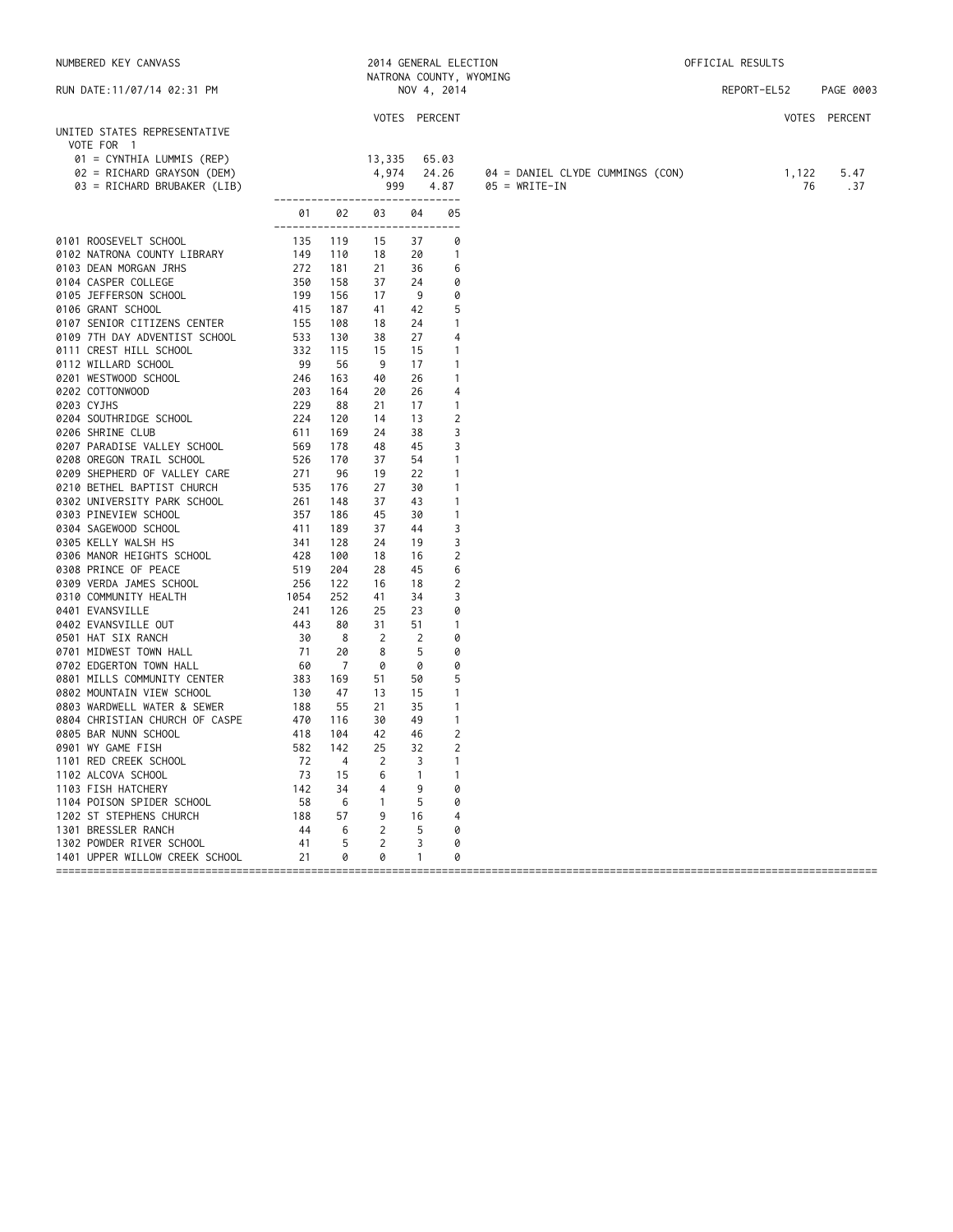| NUMBERED KEY CANVASS                                                                                     |            |                | 2014 GENERAL ELECTION<br>NATRONA COUNTY, WYOMING |          |                                |                                  | OFFICIAL RESULTS |             |               |
|----------------------------------------------------------------------------------------------------------|------------|----------------|--------------------------------------------------|----------|--------------------------------|----------------------------------|------------------|-------------|---------------|
| RUN DATE:11/07/14 02:31 PM                                                                               |            |                |                                                  |          | NOV 4, 2014                    |                                  |                  | REPORT-EL52 | PAGE 0003     |
|                                                                                                          |            |                | VOTES PERCENT                                    |          |                                |                                  |                  |             | VOTES PERCENT |
| UNITED STATES REPRESENTATIVE<br>VOTE FOR 1                                                               |            |                |                                                  |          |                                |                                  |                  |             |               |
| 01 = CYNTHIA LUMMIS (REP)                                                                                |            |                | 13,335                                           |          | 65.03                          |                                  |                  |             |               |
| 02 = RICHARD GRAYSON (DEM)                                                                               |            |                | 4,974                                            |          | 24.26                          | 04 = DANIEL CLYDE CUMMINGS (CON) |                  | 1,122       | 5.47          |
| 03 = RICHARD BRUBAKER (LIB)                                                                              |            |                | 999                                              |          | 4.87                           | $05 = WRITE-IN$                  |                  | 76          | .37           |
|                                                                                                          |            |                | -------------------------------                  |          |                                |                                  |                  |             |               |
|                                                                                                          | 01         | 02             | 03<br>------------------------------             | 04       | 05                             |                                  |                  |             |               |
| 0101 ROOSEVELT SCHOOL                                                                                    | 135        | 119            | 15                                               | 37       | 0                              |                                  |                  |             |               |
| 0102 NATRONA COUNTY LIBRARY                                                                              | 149        | 110            | 18                                               | 20       | $\overline{1}$                 |                                  |                  |             |               |
| 0103 DEAN MORGAN JRHS                                                                                    | 272        | 181            | 21                                               | 36       | 6                              |                                  |                  |             |               |
| 0104 CASPER COLLEGE                                                                                      | 350        | 158            | 37                                               | 24       | 0                              |                                  |                  |             |               |
| 0105 JEFFERSON SCHOOL                                                                                    | 199        | 156            | 17                                               | 9        | 0                              |                                  |                  |             |               |
| 0106 GRANT SCHOOL                                                                                        | 415        | 187            | 41                                               | 42       | 5                              |                                  |                  |             |               |
| 0107 SENIOR CITIZENS CENTER                                                                              | 155        | 108            | 18                                               | 24       | $\mathbf{1}$                   |                                  |                  |             |               |
| 0109 7TH DAY ADVENTIST SCHOOL<br>0111 CREST HILL SCHOOL                                                  | 533        | 130<br>115     | 38<br>15                                         | 27<br>15 | 4<br>$\mathbf{1}$              |                                  |                  |             |               |
| 0112 WILLARD SCHOOL                                                                                      |            | 56             | 9                                                | 17       | $\mathbf{1}$                   |                                  |                  |             |               |
| 0201 WESTWOOD SCHOOL                                                                                     |            | 163            | 40                                               | 26       | $\mathbf{1}$                   |                                  |                  |             |               |
| $\begin{array}{r} 332 \\ 332 \\ 99 \\ 246 \\ 203 \\ 229 \\ 224 \\ 611 \\ \end{array}$<br>0202 COTTONWOOD |            | 164            | 20                                               | 26       | 4                              |                                  |                  |             |               |
| 0203 CYJHS                                                                                               |            | 88             | 21                                               | 17       | $\overline{1}$                 |                                  |                  |             |               |
| 0204 SOUTHRIDGE SCHOOL                                                                                   |            | 120            | 14                                               | 13       | $\overline{c}$                 |                                  |                  |             |               |
| 0206 SHRINE CLUB                                                                                         |            | 169            | 24                                               | 38       | 3                              |                                  |                  |             |               |
| 0207 PARADISE VALLEY SCHOOL                                                                              | 569        | 178            | 48                                               | 45       | 3                              |                                  |                  |             |               |
| 0208 OREGON TRAIL SCHOOL                                                                                 | 526        | 170            | 37                                               | 54       | $\overline{1}$                 |                                  |                  |             |               |
| 0209 SHEPHERD OF VALLEY CARE                                                                             | 271        | 96             | 19                                               | 22       | $\mathbf{1}$                   |                                  |                  |             |               |
| 0210 BETHEL BAPTIST CHURCH                                                                               | 535        | 176            | 27                                               | 30       | $\mathbf{1}$                   |                                  |                  |             |               |
| 0302 UNIVERSITY PARK SCHOOL                                                                              |            | 148            | 37                                               | 43       | $\mathbf{1}$                   |                                  |                  |             |               |
| 0303 PINEVIEW SCHOOL<br>0304 SAGEWOOD SCHOOL                                                             |            | 186<br>189     | 45<br>37                                         | 30<br>44 | $\mathbf{1}$<br>3              |                                  |                  |             |               |
| 0305 KELLY WALSH HS                                                                                      |            | 128            | 24                                               | 19       | 3                              |                                  |                  |             |               |
| 0306 MANOR HEIGHTS SCHOOL                                                                                |            | 100            | 18                                               | 16       | $\overline{c}$                 |                                  |                  |             |               |
| 0308 PRINCE OF PEACE                                                                                     |            | 204            | 28                                               | 45       | 6                              |                                  |                  |             |               |
| 0309 VERDA JAMES SCHOOL                                                                                  |            | 122            | 16                                               | 18       | $\overline{c}$                 |                                  |                  |             |               |
| 0310 COMMUNITY HEALTH                                                                                    | 1054       | 252            | 41                                               | 34       | 3                              |                                  |                  |             |               |
| 0401 EVANSVILLE                                                                                          | 241        | 126            | 25                                               | 23       | 0                              |                                  |                  |             |               |
| $\frac{271}{443}$<br>30<br>71<br>0402 EVANSVILLE OUT                                                     |            | 80             | 31                                               | 51       | $\mathbf{1}$                   |                                  |                  |             |               |
| 0501 HAT SIX RANCH                                                                                       |            | 8              | $\overline{2}$                                   | 2        | 0                              |                                  |                  |             |               |
| 0701 MIDWEST TOWN HALL<br>$\begin{array}{c} \n \stackrel{\text{1}}{0} \\  60\n \end{array}$              |            | 20             | 8                                                | 5        | 0                              |                                  |                  |             |               |
| 0702 EDGERTON TOWN HALL                                                                                  |            | $\overline{7}$ | 0                                                | 0        | 0                              |                                  |                  |             |               |
| 0801 MILLS COMMUNITY CENTER                                                                              | 383        | 169            | 51                                               | 50       | 5                              |                                  |                  |             |               |
| 0802 MOUNTAIN VIEW SCHOOL<br>0803 WARDWELL WATER & SEWER                                                 | 130        | 47             | 13                                               | 15       | $\mathbf{1}$                   |                                  |                  |             |               |
| 0804 CHRISTIAN CHURCH OF CASPE                                                                           | 188<br>470 | 55<br>116      | 21<br>30                                         | 35<br>49 | $\mathbf{1}$<br>$\overline{1}$ |                                  |                  |             |               |
| 0805 BAR NUNN SCHOOL                                                                                     | 418        | 104            | 42                                               | 46       | 2                              |                                  |                  |             |               |
| 0901 WY GAME FISH                                                                                        | 582        | 142            | 25                                               | 32       | 2                              |                                  |                  |             |               |
| 1101 RED CREEK SCHOOL                                                                                    | 72         | 4              | 2                                                | 3        | -1                             |                                  |                  |             |               |
| 1102 ALCOVA SCHOOL                                                                                       | 73         | 15             | 6                                                |          | -1                             |                                  |                  |             |               |
| 1103 FISH HATCHERY                                                                                       | 142        | 34             | 4                                                | 9        | 0                              |                                  |                  |             |               |
| 1104 POISON SPIDER SCHOOL                                                                                | 58         | 6              | 1                                                | 5        | 0                              |                                  |                  |             |               |
| 1202 ST STEPHENS CHURCH                                                                                  | 188        | 57             | 9                                                | 16       | 4                              |                                  |                  |             |               |
| 1301 BRESSLER RANCH                                                                                      | 44         | 6              | 2                                                | 5        | 0                              |                                  |                  |             |               |
| 1302 POWDER RIVER SCHOOL                                                                                 | 41         | 5              | 2                                                | 3        | 0                              |                                  |                  |             |               |
| 1401 UPPER WILLOW CREEK SCHOOL                                                                           | 21         | 0              | 0                                                | 1        | 0                              |                                  |                  |             |               |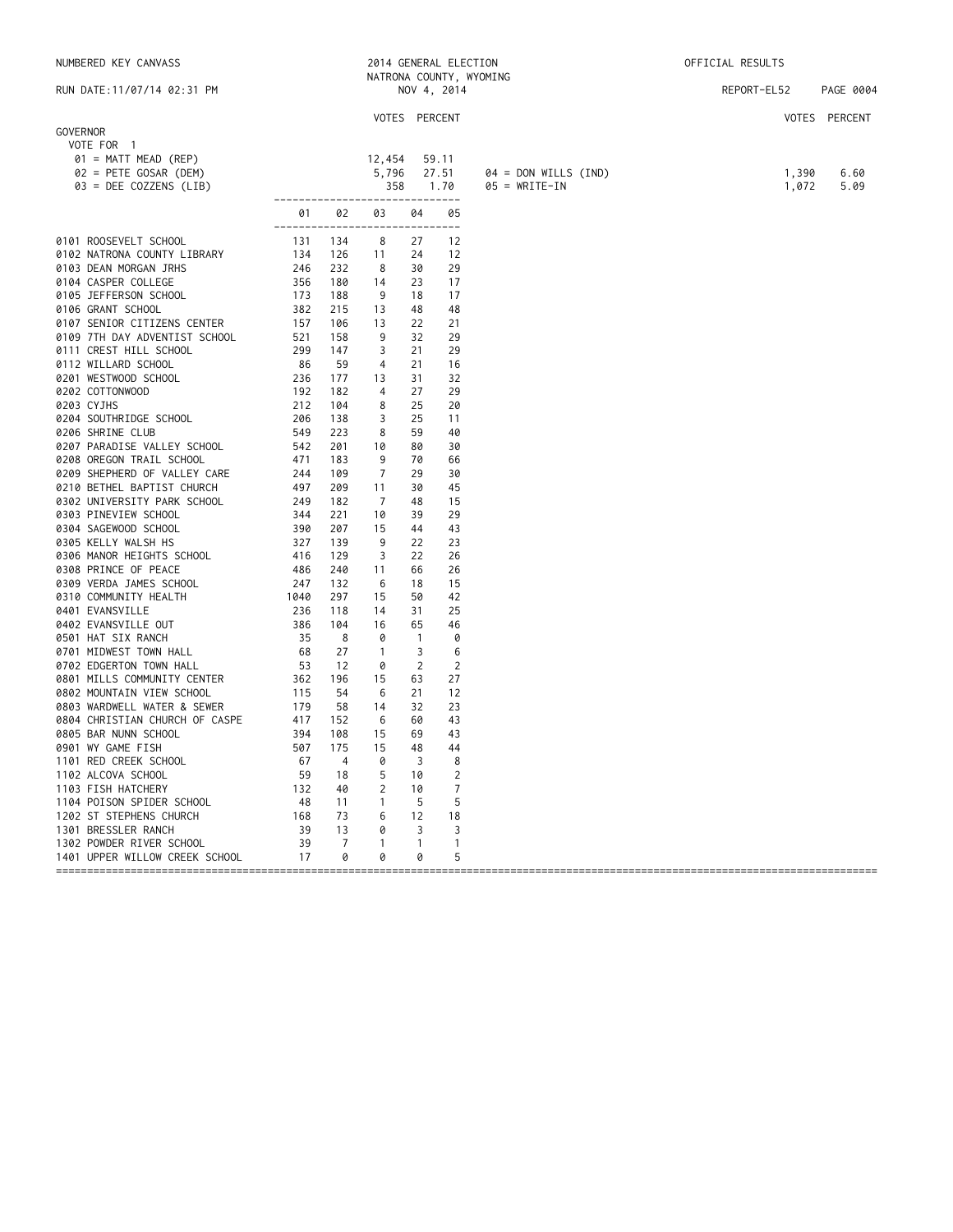| NUMBERED KEY CANVASS                     |                         |                |                |              | 2014 GENERAL ELECTION |                        | OFFICIAL RESULTS |       |               |
|------------------------------------------|-------------------------|----------------|----------------|--------------|-----------------------|------------------------|------------------|-------|---------------|
|                                          | NATRONA COUNTY, WYOMING |                |                |              |                       |                        |                  |       |               |
| RUN DATE: 11/07/14 02:31 PM              |                         |                |                |              | NOV 4, 2014           |                        | REPORT-EL52      |       | PAGE 0004     |
|                                          |                         |                | VOTES PERCENT  |              |                       |                        |                  |       | VOTES PERCENT |
| GOVERNOR                                 |                         |                |                |              |                       |                        |                  |       |               |
| VOTE FOR 1                               |                         |                |                |              |                       |                        |                  |       |               |
| 01 = MATT MEAD (REP)                     |                         |                | 12,454         |              | 59.11                 |                        |                  |       |               |
| 02 = PETE GOSAR (DEM)                    |                         |                | 5,796          |              | 27.51                 | $04 = DON WILLS (IND)$ |                  | 1,390 | 6.60          |
| 03 = DEE COZZENS (LIB)                   |                         |                | 358            |              | 1.70                  | $05 = WRITE-IN$        |                  | 1,072 | 5.09          |
|                                          | --------------          |                |                |              | ----------            |                        |                  |       |               |
|                                          | 01<br>------------      | 02             | 03             | 04           | 05<br>---             |                        |                  |       |               |
| 0101 ROOSEVELT SCHOOL                    | 131                     | 134            | 8              | 27           | 12                    |                        |                  |       |               |
| 0102 NATRONA COUNTY LIBRARY              | 134                     | 126            | 11             | 24           | 12                    |                        |                  |       |               |
| 0103 DEAN MORGAN JRHS                    | 246                     | 232            | 8              | 30           | 29                    |                        |                  |       |               |
| 0104 CASPER COLLEGE                      | 356                     | 180            | 14             | 23           | 17                    |                        |                  |       |               |
| 0105 JEFFERSON SCHOOL                    | 173                     | 188            | 9              | 18           | 17                    |                        |                  |       |               |
| 0106 GRANT SCHOOL                        | 382                     | 215            | 13             | 48           | 48                    |                        |                  |       |               |
| 0107 SENIOR CITIZENS CENTER              | 157                     | 106            | 13             | 22           | 21                    |                        |                  |       |               |
| 0109 7TH DAY ADVENTIST SCHOOL            | 521                     | 158            | 9              | 32           | 29                    |                        |                  |       |               |
| 0111 CREST HILL SCHOOL                   | 299                     | 147            | 3              | 21           | 29                    |                        |                  |       |               |
| 0112 WILLARD SCHOOL                      | 86                      | 59             | 4              | 21           | 16                    |                        |                  |       |               |
| 0201 WESTWOOD SCHOOL                     | 236                     | 177            | 13             | 31           | 32                    |                        |                  |       |               |
| 0202 COTTONWOOD                          | 192                     | 182            | $\overline{4}$ | 27           | 29                    |                        |                  |       |               |
| 0203 CYJHS                               | 212                     | 104            | 8              | 25           | 20                    |                        |                  |       |               |
| 0204 SOUTHRIDGE SCHOOL                   | 206                     | 138            | 3              | 25           | 11                    |                        |                  |       |               |
| 0206 SHRINE CLUB                         | 549                     | 223            | 8              | 59           | 40                    |                        |                  |       |               |
| 0207 PARADISE VALLEY SCHOOL              | 542                     | 201            | 10             | 80           | 30                    |                        |                  |       |               |
| 0208 OREGON TRAIL SCHOOL                 | 471                     | 183            | 9              | 70           | 66                    |                        |                  |       |               |
| 0209 SHEPHERD OF VALLEY CARE             | 244                     | 109            | 7              | 29           | 30                    |                        |                  |       |               |
| 0210 BETHEL BAPTIST CHURCH               | 497                     | 209            | 11             | 30           | 45                    |                        |                  |       |               |
| 0302 UNIVERSITY PARK SCHOOL              | 249                     | 182            | -7             | 48           | 15                    |                        |                  |       |               |
| 0303 PINEVIEW SCHOOL                     | 344                     | 221            | 10             | 39           | 29                    |                        |                  |       |               |
| 0304 SAGEWOOD SCHOOL                     | 390                     | 207            | 15             | 44           | 43                    |                        |                  |       |               |
| 0305 KELLY WALSH HS                      | 327                     | 139            | 9              | 22           | 23                    |                        |                  |       |               |
| 0306 MANOR HEIGHTS SCHOOL                | 416                     | 129            | 3              | 22           | 26                    |                        |                  |       |               |
| 0308 PRINCE OF PEACE                     | 486                     | 240            | 11             | 66           | 26                    |                        |                  |       |               |
| 0309 VERDA JAMES SCHOOL                  | 247                     | 132<br>297     | 6              | 18           | 15<br>42              |                        |                  |       |               |
| 0310 COMMUNITY HEALTH<br>0401 EVANSVILLE | 1040<br>236             | 118            | 15<br>14       | 50<br>31     | 25                    |                        |                  |       |               |
| 0402 EVANSVILLE OUT                      | 386                     | 104            | 16             | 65           | 46                    |                        |                  |       |               |
| 0501 HAT SIX RANCH                       | 35                      | 8              | 0              | $\mathbf{1}$ | 0                     |                        |                  |       |               |
| 0701 MIDWEST TOWN HALL                   | 68                      | 27             | $\overline{1}$ | 3            | 6                     |                        |                  |       |               |
| 0702 EDGERTON TOWN HALL                  | 53                      | 12             | 0              | 2            | 2                     |                        |                  |       |               |
| 0801 MILLS COMMUNITY CENTER              | 362                     | 196            | 15             | 63           | 27                    |                        |                  |       |               |
| 0802 MOUNTAIN VIEW SCHOOL                | 115                     | 54             | 6              | 21           | 12                    |                        |                  |       |               |
| 0803 WARDWELL WATER & SEWER              | 179                     | 58             | 14             | 32           | 23                    |                        |                  |       |               |
| 0804 CHRISTIAN CHURCH OF CASPE           | 417                     | 152            | 6              | 60           | 43                    |                        |                  |       |               |
| 0805 BAR NUNN SCHOOL                     | 394                     | 108            | 15             | 69           | 43                    |                        |                  |       |               |
| 0901 WY GAME FISH                        | 507                     | 175            | 15             | 48           | 44                    |                        |                  |       |               |
| 1101 RED CREEK SCHOOL                    | 67                      | $\overline{4}$ | 0              | 3            | 8                     |                        |                  |       |               |
| 1102 ALCOVA SCHOOL                       | 59                      | 18             | 5              | 10           | $\overline{2}$        |                        |                  |       |               |
| 1103 FISH HATCHERY                       | 132                     | 40             | 2              | 10           | $\overline{7}$        |                        |                  |       |               |
| 1104 POISON SPIDER SCHOOL                | -48                     | 11             | $\mathbf{1}$   | 5            | 5                     |                        |                  |       |               |
| 1202 ST STEPHENS CHURCH                  | 168                     | 73             | 6              | 12           | 18                    |                        |                  |       |               |
| 1301 BRESSLER RANCH                      | 39                      | 13             | 0              | 3            | 3                     |                        |                  |       |               |
| 1302 POWDER RIVER SCHOOL                 | 39                      | 7              | $\mathbf{1}$   | $\mathbf{1}$ | 1                     |                        |                  |       |               |

====================================================================================================================================

1401 UPPER WILLOW CREEK SCHOOL 17 0 0 0 5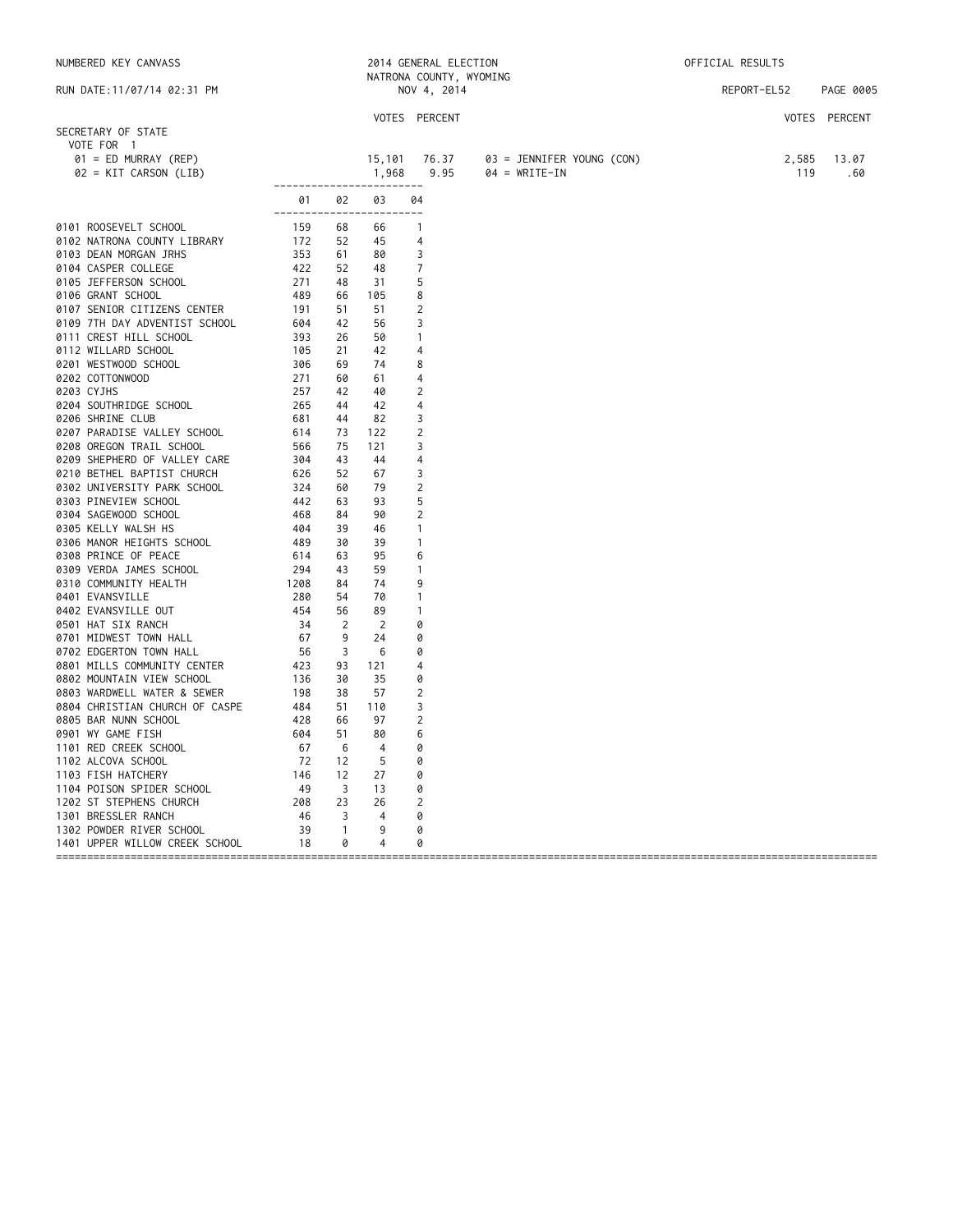|            | NUMBERED KEY CANVASS           |      |                |                                | 2014 GENERAL ELECTION<br>NATRONA COUNTY, WYOMING |                           | OFFICIAL RESULTS |             |               |
|------------|--------------------------------|------|----------------|--------------------------------|--------------------------------------------------|---------------------------|------------------|-------------|---------------|
|            | RUN DATE: 11/07/14 02:31 PM    |      |                |                                | NOV 4, 2014                                      |                           |                  | REPORT-EL52 | PAGE 0005     |
|            |                                |      |                |                                | VOTES PERCENT                                    |                           |                  |             | VOTES PERCENT |
|            | SECRETARY OF STATE             |      |                |                                |                                                  |                           |                  |             |               |
|            | VOTE FOR 1                     |      |                |                                |                                                  |                           |                  |             |               |
|            | $01 = ED$ MURRAY (REP)         |      |                | 15,101                         | 76.37                                            | 03 = JENNIFER YOUNG (CON) |                  | 2,585       | 13.07         |
|            | $02 = KIT$ CARSON (LIB)        |      |                | 1,968                          | 9.95                                             | $04 = WRITE-IN$           |                  | 119         | .60           |
|            |                                | 01   | 02             | ------------------------<br>03 | 04                                               |                           |                  |             |               |
|            |                                |      |                | ------------------------       |                                                  |                           |                  |             |               |
|            | 0101 ROOSEVELT SCHOOL          | 159  | 68             | 66                             | $\overline{1}$                                   |                           |                  |             |               |
|            | 0102 NATRONA COUNTY LIBRARY    | 172  | 52             | 45                             | 4                                                |                           |                  |             |               |
|            | 0103 DEAN MORGAN JRHS          | 353  | 61             | 80                             | 3                                                |                           |                  |             |               |
|            | 0104 CASPER COLLEGE            | 422  | 52             | 48                             | 7                                                |                           |                  |             |               |
|            | 0105 JEFFERSON SCHOOL          | 271  | 48             | -31                            | 5                                                |                           |                  |             |               |
|            | 0106 GRANT SCHOOL              | 489  | 66             | 105                            | 8                                                |                           |                  |             |               |
|            | 0107 SENIOR CITIZENS CENTER    | 191  | 51             | 51                             | 2                                                |                           |                  |             |               |
|            | 0109 7TH DAY ADVENTIST SCHOOL  | 604  | 42             | 56                             | 3                                                |                           |                  |             |               |
|            | 0111 CREST HILL SCHOOL         | 393  | 26             | 50                             | $\mathbf{1}$                                     |                           |                  |             |               |
|            | 0112 WILLARD SCHOOL            | 105  | 21             | 42                             | 4                                                |                           |                  |             |               |
|            | 0201 WESTWOOD SCHOOL           | 306  | 69             | 74                             | 8                                                |                           |                  |             |               |
|            | 0202 COTTONWOOD                | 271  | 60             | 61                             | $\overline{4}$                                   |                           |                  |             |               |
| 0203 CYJHS |                                | 257  | 42             | 40                             | 2                                                |                           |                  |             |               |
|            | 0204 SOUTHRIDGE SCHOOL         | 265  | 44             | 42                             | 4                                                |                           |                  |             |               |
|            | 0206 SHRINE CLUB               | 681  | 44             | 82                             | 3                                                |                           |                  |             |               |
|            | 0207 PARADISE VALLEY SCHOOL    | 614  | 73             | 122                            | 2                                                |                           |                  |             |               |
|            | 0208 OREGON TRAIL SCHOOL       | 566  | 75             | 121                            | 3                                                |                           |                  |             |               |
|            | 0209 SHEPHERD OF VALLEY CARE   | 304  | 43             | 44                             | 4                                                |                           |                  |             |               |
|            | 0210 BETHEL BAPTIST CHURCH     | 626  | 52             | 67                             | 3                                                |                           |                  |             |               |
|            | 0302 UNIVERSITY PARK SCHOOL    | 324  | 60             | 79                             | 2                                                |                           |                  |             |               |
|            | 0303 PINEVIEW SCHOOL           | 442  | 63             | 93                             | 5                                                |                           |                  |             |               |
|            | 0304 SAGEWOOD SCHOOL           | 468  | 84             | 90                             | 2                                                |                           |                  |             |               |
|            | 0305 KELLY WALSH HS            | 404  | 39             | 46                             | $\mathbf{1}$                                     |                           |                  |             |               |
|            | 0306 MANOR HEIGHTS SCHOOL      | 489  | 30             | 39                             | $\mathbf{1}$                                     |                           |                  |             |               |
|            | 0308 PRINCE OF PEACE           | 614  | 63             | 95                             | 6                                                |                           |                  |             |               |
|            | 0309 VERDA JAMES SCHOOL        | 294  | 43             | 59                             | $\overline{1}$                                   |                           |                  |             |               |
|            | 0310 COMMUNITY HEALTH          | 1208 | 84             | 74                             | 9                                                |                           |                  |             |               |
|            | 0401 EVANSVILLE                | 280  | 54             | 70                             | $\mathbf{1}$                                     |                           |                  |             |               |
|            | 0402 EVANSVILLE OUT            | 454  | 56             | 89                             | $\mathbf{1}$                                     |                           |                  |             |               |
|            | 0501 HAT SIX RANCH             | 34   | $\overline{2}$ | 2                              | 0                                                |                           |                  |             |               |
|            | 0701 MIDWEST TOWN HALL         | 67   | 9              | 24                             |                                                  |                           |                  |             |               |
|            |                                | 56   | 3              |                                | 0                                                |                           |                  |             |               |
|            | 0702 EDGERTON TOWN HALL        |      |                | -6                             | 0                                                |                           |                  |             |               |
|            | 0801 MILLS COMMUNITY CENTER    | 423  | 93             | 121                            | 4                                                |                           |                  |             |               |
|            | 0802 MOUNTAIN VIEW SCHOOL      | 136  | 30             | 35                             | 0                                                |                           |                  |             |               |
|            | 0803 WARDWELL WATER & SEWER    | 198  | 38             | 57                             | 2                                                |                           |                  |             |               |
|            | 0804 CHRISTIAN CHURCH OF CASPE | 484  | 51             | 110                            | 3                                                |                           |                  |             |               |
|            | 0805 BAR NUNN SCHOOL           | 428  | 66             | 97                             | $\overline{2}$                                   |                           |                  |             |               |
|            | 0901 WY GAME FISH              | 604  | 51             | 80                             | 6                                                |                           |                  |             |               |
|            | 1101 RED CREEK SCHOOL          | 67   | - 6            | 4                              | 0                                                |                           |                  |             |               |
|            | 1102 ALCOVA SCHOOL             | 72   | 12             | 5                              | 0                                                |                           |                  |             |               |
|            | 1103 FISH HATCHERY             | 146  | 12             | 27                             | 0                                                |                           |                  |             |               |
|            | 1104 POISON SPIDER SCHOOL      | 49   | $\overline{3}$ | 13                             | 0                                                |                           |                  |             |               |
|            | 1202 ST STEPHENS CHURCH        | 208  | 23             | 26                             | 2                                                |                           |                  |             |               |
|            | 1301 BRESSLER RANCH            | 46   | 3              | 4                              | 0                                                |                           |                  |             |               |
|            | 1302 POWDER RIVER SCHOOL       | 39   | $\overline{1}$ | 9                              | 0                                                |                           |                  |             |               |
|            | 1401 UPPER WILLOW CREEK SCHOOL | 18   | 0              | 4                              | 0                                                |                           |                  |             |               |

====================================================================================================================================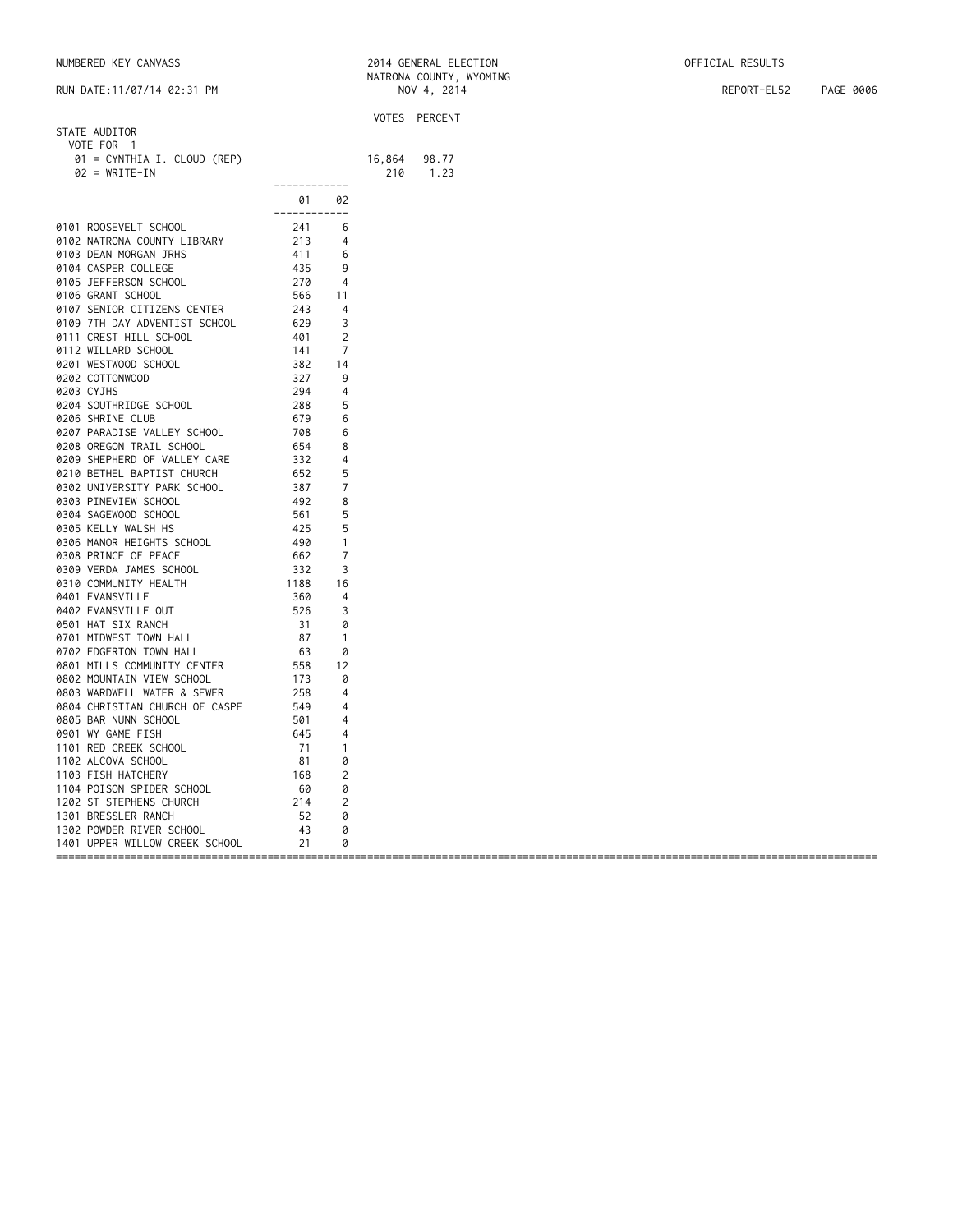| NUMBERED KEY CANVASS | 2014 GENERAL ELECTION | OFFICIAL RESULTS |
|----------------------|-----------------------|------------------|
|----------------------|-----------------------|------------------|

|                                                |                   |                | VOTES PERCENT |       |  |
|------------------------------------------------|-------------------|----------------|---------------|-------|--|
| STATE AUDITOR                                  |                   |                |               |       |  |
| VOTE FOR 1                                     |                   |                |               |       |  |
| 01 = CYNTHIA I. CLOUD (REP)                    |                   |                | 16,864        | 98.77 |  |
| $02 = WRITE-IN$                                |                   |                | 210           | 1.23  |  |
|                                                | -------------     |                |               |       |  |
|                                                |                   |                |               |       |  |
|                                                | 01                | 02             |               |       |  |
|                                                | ------------      |                |               |       |  |
| 0101 ROOSEVELT SCHOOL                          | 241               | 6              |               |       |  |
| 0102 NATRONA COUNTY LIBRARY                    | 213               | 4              |               |       |  |
| 0103 DEAN MORGAN JRHS                          | 411               | 6              |               |       |  |
| 0104 CASPER COLLEGE                            | 435               | 9              |               |       |  |
| 0105 JEFFERSON SCHOOL                          | 270               | 4              |               |       |  |
| 0106 GRANT SCHOOL                              | 566               | 11             |               |       |  |
| 0107 SENIOR CITIZENS CENTER                    | 243               | 4              |               |       |  |
| 0109 7TH DAY ADVENTIST SCHOOL                  | 629               | 3              |               |       |  |
| 0111 CREST HILL SCHOOL                         | 401               | 2              |               |       |  |
|                                                | 141               | 7              |               |       |  |
| 0112 WILLARD SCHOOL                            |                   |                |               |       |  |
| 0201 WESTWOOD SCHOOL                           | 382               | 14             |               |       |  |
| 0202 COTTONWOOD                                | 327               | 9              |               |       |  |
| 0203 CYJHS                                     | 294               | $\overline{4}$ |               |       |  |
| 0204 SOUTHRIDGE SCHOOL                         | 288               | 5              |               |       |  |
| 0206 SHRINE CLUB                               | 679               | 6              |               |       |  |
| 0207 PARADISE VALLEY SCHOOL                    | 708               | 6              |               |       |  |
| 0208 OREGON TRAIL SCHOOL                       | 654               | 8              |               |       |  |
| 0209 SHEPHERD OF VALLEY CARE                   | 332               | 4              |               |       |  |
| 0210 BETHEL BAPTIST CHURCH                     | 652               | 5              |               |       |  |
| 0302 UNIVERSITY PARK SCHOOL                    | 387               | 7              |               |       |  |
|                                                |                   |                |               |       |  |
| 0303 PINEVIEW SCHOOL                           | 492               | 8              |               |       |  |
| 0304 SAGEWOOD SCHOOL                           | 561<br>425<br>490 | 5              |               |       |  |
| 0305 KELLY WALSH HS                            |                   | 5              |               |       |  |
| 0306 MANOR HEIGHTS SCHOOL                      |                   | $\mathbf{1}$   |               |       |  |
| 0308 PRINCE OF PEACE                           | 662               | 7              |               |       |  |
| 0309 VERDA JAMES SCHOOL                        | 332               | 3              |               |       |  |
| 0310 COMMUNITY HEALTH                          | 1188              | 16             |               |       |  |
| 0401 EVANSVILLE                                | 360               | 4              |               |       |  |
| 0402 EVANSVILLE OUT                            | 526               | 3              |               |       |  |
| 0501 HAT SIX RANCH                             | 31                | 0              |               |       |  |
|                                                |                   |                |               |       |  |
| 0701 MIDWEST TOWN HALL                         | 87                | $\overline{1}$ |               |       |  |
| 0702 EDGERTON TOWN HALL                        | 63                | 0              |               |       |  |
| 0801 MILLS COMMUNITY CENTER                    | 558               | 12             |               |       |  |
| 0802 MOUNTAIN VIEW SCHOOL                      | 173               | 0              |               |       |  |
| 0803 WARDWELL WATER & SEWER                    | 258               | $\overline{4}$ |               |       |  |
| 0804 CHRISTIAN CHURCH OF CASPE                 | 549               | 4              |               |       |  |
| 0805 BAR NUNN SCHOOL                           | 501               | $\overline{4}$ |               |       |  |
| 0901 WY GAME FISH                              | 645               | 4              |               |       |  |
| 1101 RED CREEK SCHOOL                          | 71                | $\mathbf{1}$   |               |       |  |
| 1102 ALCOVA SCHOOL                             | 81                | 0              |               |       |  |
|                                                |                   |                |               |       |  |
| 1103 FISH HATCHERY                             | 168               | 2              |               |       |  |
| 1104 POISON SPIDER SCHOOL                      | - 60              | 0              |               |       |  |
|                                                |                   |                |               |       |  |
|                                                |                   | 0              |               |       |  |
| 1302 POWDER RIVER SCHOOL                       | 43                | 0              |               |       |  |
| 1401 UPPER WILLOW CREEK SCHOOL                 | 21                | 0              |               |       |  |
| 1202 ST STEPHENS CHURCH<br>1301 BRESSLER RANCH | 214<br>52         | 2              |               |       |  |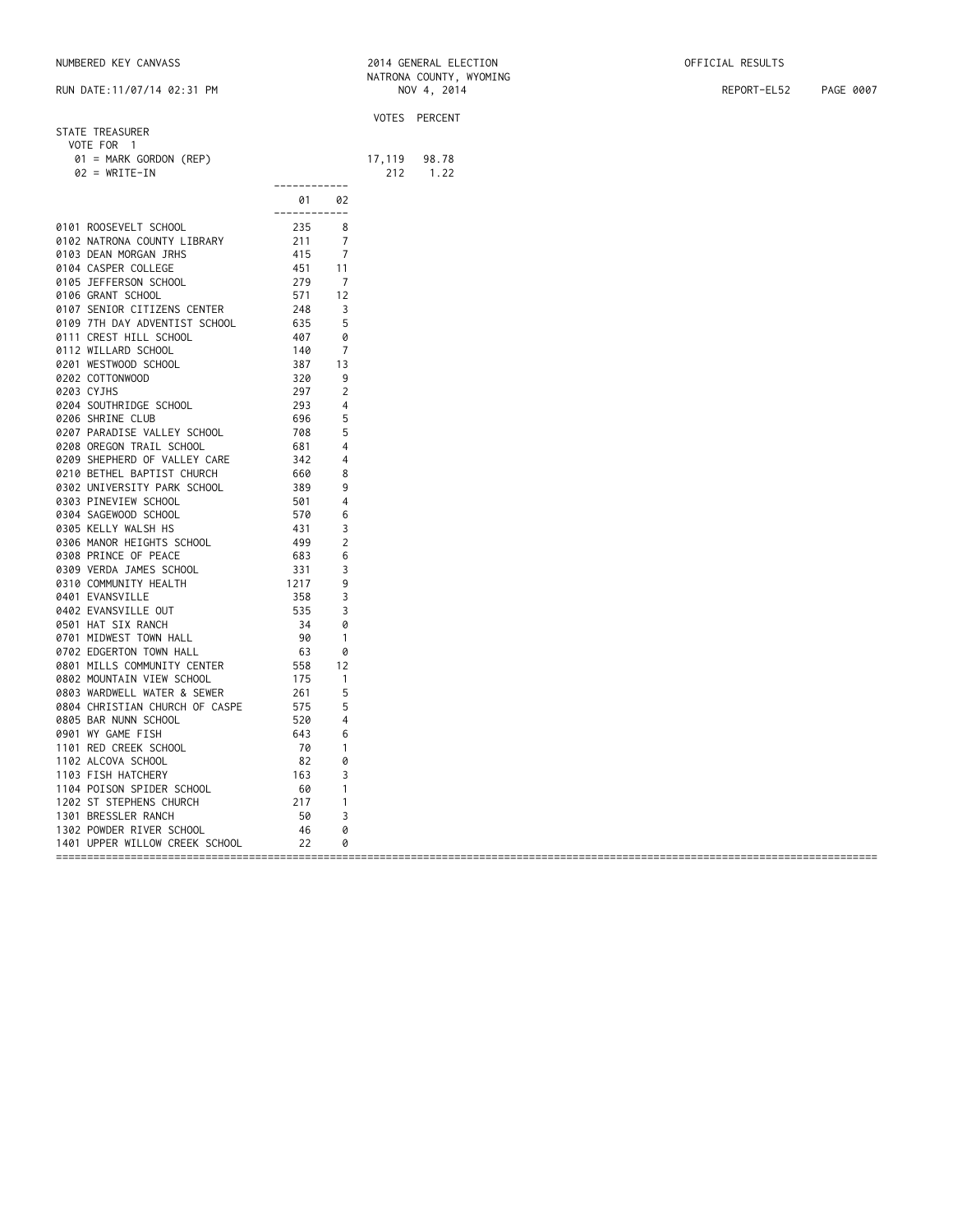| NUMBERED KEY CANVASS | 2014 GENERAL ELECTION | OFFICIAL RESULTS |
|----------------------|-----------------------|------------------|
|----------------------|-----------------------|------------------|

|                                |              |                |        | VOTES PERCENT |
|--------------------------------|--------------|----------------|--------|---------------|
| STATE TREASURER                |              |                |        |               |
| VOTE FOR 1                     |              |                |        |               |
| 01 = MARK GORDON (REP)         |              |                | 17,119 | 98.78         |
| $02 = WRITE-IN$                |              |                | 212    | 1.22          |
|                                | ------------ |                |        |               |
|                                | 01           | 02             |        |               |
|                                | ------------ |                |        |               |
| 0101 ROOSEVELT SCHOOL          | 235          | 8              |        |               |
| 0102 NATRONA COUNTY LIBRARY    | 211          | 7              |        |               |
| 0103 DEAN MORGAN JRHS          | 415          | $\overline{7}$ |        |               |
| 0104 CASPER COLLEGE            | 451          | 11             |        |               |
| 0105 JEFFERSON SCHOOL          | 279          | -7             |        |               |
| 0106 GRANT SCHOOL              | 571          | 12             |        |               |
| 0107 SENIOR CITIZENS CENTER    | 248          | 3              |        |               |
| 0109 7TH DAY ADVENTIST SCHOOL  | 635          | 5              |        |               |
| 0111 CREST HILL SCHOOL         | 407          | 0              |        |               |
| 0112 WILLARD SCHOOL            | 140          | 7              |        |               |
| 0201 WESTWOOD SCHOOL           | 387          | 13             |        |               |
| 0202 COTTONWOOD                | 320          | 9              |        |               |
| 0203 CYJHS                     | 297          | 2              |        |               |
| 0204 SOUTHRIDGE SCHOOL         | 293          | 4              |        |               |
| 0206 SHRINE CLUB               | 696          | 5              |        |               |
| 0207 PARADISE VALLEY SCHOOL    | 708          | 5              |        |               |
| 0208 OREGON TRAIL SCHOOL       | 681          | 4              |        |               |
| 0209 SHEPHERD OF VALLEY CARE   | 342          | 4              |        |               |
| 0210 BETHEL BAPTIST CHURCH     | 660          | 8              |        |               |
| 0302 UNIVERSITY PARK SCHOOL    | 389          | 9              |        |               |
|                                | 501          |                |        |               |
| 0303 PINEVIEW SCHOOL           |              | 4              |        |               |
| 0304 SAGEWOOD SCHOOL           | 570          | 6              |        |               |
| 0305 KELLY WALSH HS            | 431          | 3              |        |               |
| 0306 MANOR HEIGHTS SCHOOL      | 499          | 2              |        |               |
| 0308 PRINCE OF PEACE           | 683          | 6              |        |               |
| 0309 VERDA JAMES SCHOOL        | 331          | 3              |        |               |
| 0310 COMMUNITY HEALTH          | 1217         | 9              |        |               |
| 0401 EVANSVILLE                | 358          | 3              |        |               |
| 0402 EVANSVILLE OUT            | 535          | 3              |        |               |
| 0501 HAT SIX RANCH             | 34           | 0              |        |               |
| 0701 MIDWEST TOWN HALL         | 90           | $\overline{1}$ |        |               |
| 0702 EDGERTON TOWN HALL        | 63           | 0              |        |               |
| 0801 MILLS COMMUNITY CENTER    | 558          | 12             |        |               |
| 0802 MOUNTAIN VIEW SCHOOL      | 175          | $\overline{1}$ |        |               |
| 0803 WARDWELL WATER & SEWER    | 261          | 5              |        |               |
| 0804 CHRISTIAN CHURCH OF CASPE | 575          | 5              |        |               |
| 0805 BAR NUNN SCHOOL           | 520          | 4              |        |               |
| 0901 WY GAME FISH              | 643          | 6              |        |               |
| 1101 RED CREEK SCHOOL          | 70           | $\mathbf{1}$   |        |               |
| 1102 ALCOVA SCHOOL             | 82           | 0              |        |               |
| 1103 FISH HATCHERY             | 163          | 3              |        |               |
| 1104 POISON SPIDER SCHOOL      | 60           | $\mathbf{1}$   |        |               |
| 1202 ST STEPHENS CHURCH        | 217          | $\mathbf{1}$   |        |               |
| 1301 BRESSLER RANCH            | 50           | 3              |        |               |
| 1302 POWDER RIVER SCHOOL       | 46           | 0              |        |               |
| 1401 UPPER WILLOW CREEK SCHOOL | 22           | 0              |        |               |
|                                |              |                |        |               |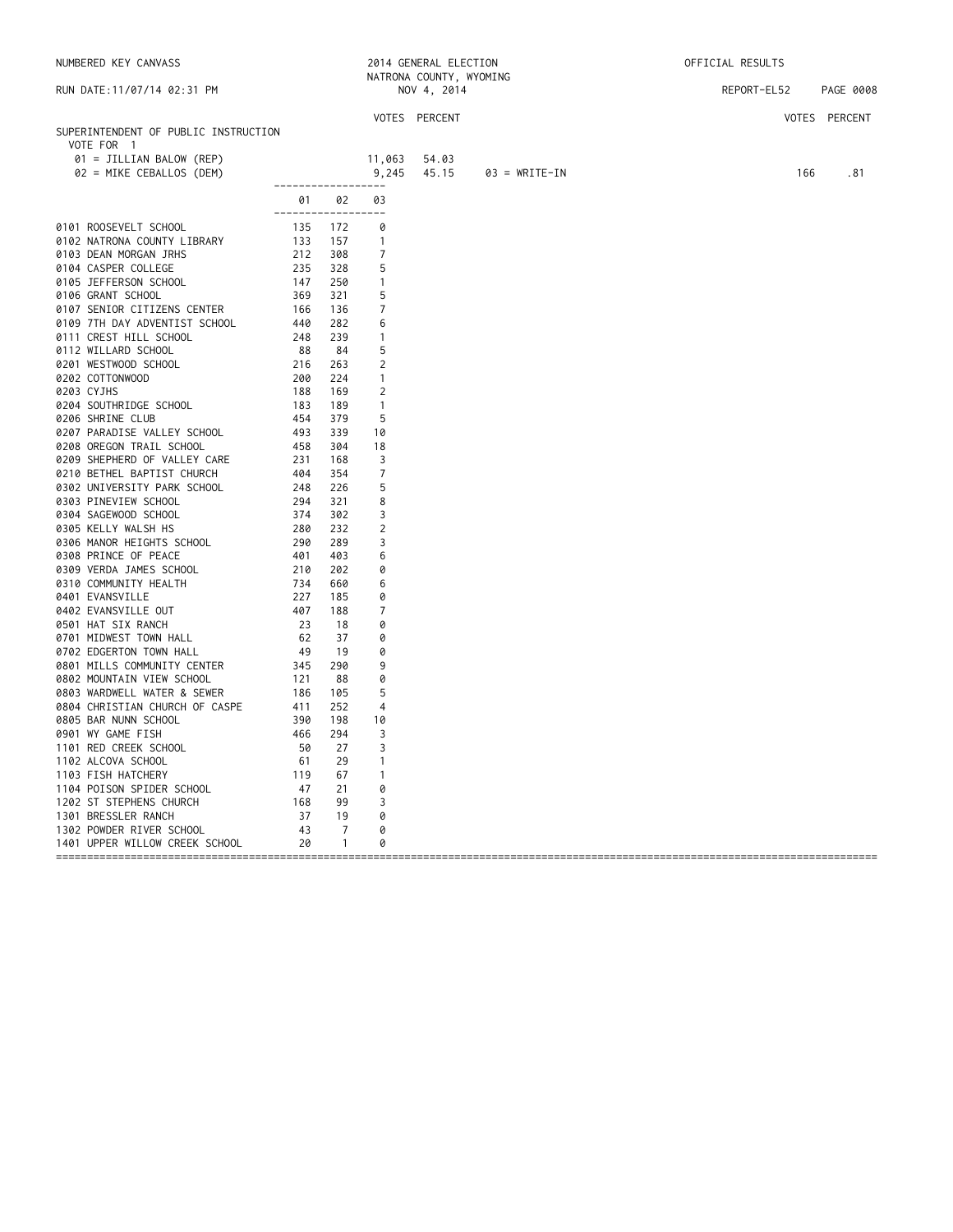| NUMBERED KEY CANVASS                                                                                                                                                                                                                            |                                                                                                                              |                | 2014 GENERAL ELECTION |                         | OFFICIAL RESULTS |             |               |  |
|-------------------------------------------------------------------------------------------------------------------------------------------------------------------------------------------------------------------------------------------------|------------------------------------------------------------------------------------------------------------------------------|----------------|-----------------------|-------------------------|------------------|-------------|---------------|--|
|                                                                                                                                                                                                                                                 |                                                                                                                              |                |                       | NATRONA COUNTY, WYOMING |                  |             |               |  |
| RUN DATE: 11/07/14 02:31 PM                                                                                                                                                                                                                     |                                                                                                                              |                |                       | NOV 4, 2014             |                  | REPORT-EL52 | PAGE 0008     |  |
|                                                                                                                                                                                                                                                 |                                                                                                                              |                |                       | VOTES PERCENT           |                  |             | VOTES PERCENT |  |
| SUPERINTENDENT OF PUBLIC INSTRUCTION                                                                                                                                                                                                            |                                                                                                                              |                |                       |                         |                  |             |               |  |
| VOTE FOR 1                                                                                                                                                                                                                                      |                                                                                                                              |                |                       |                         |                  |             |               |  |
| 01 = JILLIAN BALOW (REP)                                                                                                                                                                                                                        |                                                                                                                              |                | 11,063                | 54.03                   |                  |             |               |  |
| 02 = MIKE CEBALLOS (DEM)                                                                                                                                                                                                                        |                                                                                                                              |                | 9,245                 | 45.15                   | $03 = WRITE-IN$  | 166         | .81           |  |
|                                                                                                                                                                                                                                                 | ___________________                                                                                                          |                |                       |                         |                  |             |               |  |
|                                                                                                                                                                                                                                                 |                                                                                                                              | 01 02          | 03                    |                         |                  |             |               |  |
|                                                                                                                                                                                                                                                 | ------------------                                                                                                           |                |                       |                         |                  |             |               |  |
| 0101 ROOSEVELT SCHOOL                                                                                                                                                                                                                           | $\begin{array}{cccc} 135 & 17.4 \\ 133 & 157 \\ 212 & 308 \\ 235 & 328 \\ 147 & 258 \\ 369 & 32 \\ \text{} & 13 \end{array}$ |                | 0                     |                         |                  |             |               |  |
| 0102 NATRONA COUNTY LIBRARY                                                                                                                                                                                                                     |                                                                                                                              |                | $\overline{1}$        |                         |                  |             |               |  |
|                                                                                                                                                                                                                                                 |                                                                                                                              |                | $\overline{7}$        |                         |                  |             |               |  |
|                                                                                                                                                                                                                                                 |                                                                                                                              |                | 5                     |                         |                  |             |               |  |
|                                                                                                                                                                                                                                                 |                                                                                                                              |                | $\overline{1}$        |                         |                  |             |               |  |
|                                                                                                                                                                                                                                                 |                                                                                                                              |                | 5                     |                         |                  |             |               |  |
|                                                                                                                                                                                                                                                 |                                                                                                                              | 136            | 7                     |                         |                  |             |               |  |
| 0106 GRANT SCHOOL 569<br>0107 SENIOR CITIZENS CENTER 166<br>0109 7TH DAY ADVENTIST SCHOOL 440<br>0111 CREST HILL SCHOOL 248                                                                                                                     |                                                                                                                              | 282            | 6                     |                         |                  |             |               |  |
|                                                                                                                                                                                                                                                 |                                                                                                                              | 239            | $\overline{1}$        |                         |                  |             |               |  |
|                                                                                                                                                                                                                                                 |                                                                                                                              | 84             | 5                     |                         |                  |             |               |  |
|                                                                                                                                                                                                                                                 |                                                                                                                              | 263<br>224     | 2                     |                         |                  |             |               |  |
|                                                                                                                                                                                                                                                 |                                                                                                                              | 169            | $\overline{1}$<br>2   |                         |                  |             |               |  |
|                                                                                                                                                                                                                                                 |                                                                                                                              | 189            | $\overline{1}$        |                         |                  |             |               |  |
|                                                                                                                                                                                                                                                 |                                                                                                                              | 379            | 5                     |                         |                  |             |               |  |
| NA.<br>3 DEAN MU <sub>IN</sub><br>4 CASPER COLLEURE<br>05 JEFFERSON SCHOOL<br>106 GRANT SCHOOL<br>107 SENIOR CITIZENS CENTER<br>0109 7TH DAY ADVENTIST SCHOOL<br>0111 CREST HILL SCHOOL<br>248<br>248<br>WILLARD SCHOOL<br>21<br>21<br>21<br>22 | 493                                                                                                                          | 339            | 10                    |                         |                  |             |               |  |
| 0207 PARADISE VALLEY SCHOOL<br>0208 OREGON TRAIL SCHOOL                                                                                                                                                                                         | 458                                                                                                                          | 304            | 18                    |                         |                  |             |               |  |
| 0209 SHEPHERD OF VALLEY CARE                                                                                                                                                                                                                    | 231                                                                                                                          | 168            | -3                    |                         |                  |             |               |  |
| 0210 BETHEL BAPTIST CHURCH                                                                                                                                                                                                                      | 404                                                                                                                          | 354            | $\overline{7}$        |                         |                  |             |               |  |
| 0302 UNIVERSITY PARK SCHOOL                                                                                                                                                                                                                     | 248                                                                                                                          | 226            | 5                     |                         |                  |             |               |  |
| 0303 PINEVIEW SCHOOL                                                                                                                                                                                                                            | 294                                                                                                                          | 321            | 8                     |                         |                  |             |               |  |
| 0304 SAGEWOOD SCHOOL                                                                                                                                                                                                                            | 374                                                                                                                          | 302            | 3                     |                         |                  |             |               |  |
| 0305 KELLY WALSH HS                                                                                                                                                                                                                             | 280                                                                                                                          | 232            | 2                     |                         |                  |             |               |  |
| 0306 MANOR HEIGHTS SCHOOL                                                                                                                                                                                                                       | 290                                                                                                                          | 289            | 3                     |                         |                  |             |               |  |
| 0308 PRINCE OF PEACE                                                                                                                                                                                                                            | 401                                                                                                                          | 403            | 6                     |                         |                  |             |               |  |
| 0309 VERDA JAMES SCHOOL                                                                                                                                                                                                                         | 210                                                                                                                          | 202            | 0                     |                         |                  |             |               |  |
| 0310 COMMUNITY HEALTH                                                                                                                                                                                                                           | 734                                                                                                                          | 660            | 6                     |                         |                  |             |               |  |
| 0401 EVANSVILLE                                                                                                                                                                                                                                 | 227                                                                                                                          | 185            | 0                     |                         |                  |             |               |  |
| 0402 EVANSVILLE OUT                                                                                                                                                                                                                             | 407                                                                                                                          | 188            | 7                     |                         |                  |             |               |  |
| 0501 HAT SIX RANCH                                                                                                                                                                                                                              | 23                                                                                                                           | - 18           | 0                     |                         |                  |             |               |  |
| 0701 MIDWEST TOWN HALL                                                                                                                                                                                                                          | 62                                                                                                                           | 37             | 0                     |                         |                  |             |               |  |
| 0702 EDGERTON TOWN HALL                                                                                                                                                                                                                         | 49                                                                                                                           | 19             | 0                     |                         |                  |             |               |  |
| 0801 MILLS COMMUNITY CENTER                                                                                                                                                                                                                     | 345                                                                                                                          | 290            | 9                     |                         |                  |             |               |  |
| 0802 MOUNTAIN VIEW SCHOOL                                                                                                                                                                                                                       | 121                                                                                                                          | 88             | 0                     |                         |                  |             |               |  |
| 0803 WARDWELL WATER & SEWER                                                                                                                                                                                                                     | 186                                                                                                                          | 105            | 5                     |                         |                  |             |               |  |
| 0804 CHRISTIAN CHURCH OF CASPE                                                                                                                                                                                                                  | 411                                                                                                                          | 252            | $\overline{4}$        |                         |                  |             |               |  |
| 0805 BAR NUNN SCHOOL                                                                                                                                                                                                                            | 390                                                                                                                          | 198            | 10                    |                         |                  |             |               |  |
| 0901 WY GAME FISH                                                                                                                                                                                                                               | 466                                                                                                                          | 294            | 3                     |                         |                  |             |               |  |
| 1101 RED CREEK SCHOOL                                                                                                                                                                                                                           | 50                                                                                                                           | 27             | 3                     |                         |                  |             |               |  |
| 1102 ALCOVA SCHOOL                                                                                                                                                                                                                              |                                                                                                                              | 29             | $\overline{1}$        |                         |                  |             |               |  |
| 1103 FISH HATCHERY                                                                                                                                                                                                                              |                                                                                                                              | 67             | $\overline{1}$        |                         |                  |             |               |  |
| 1104 POISON SPIDER SCHOOL                                                                                                                                                                                                                       |                                                                                                                              | 21             | 0                     |                         |                  |             |               |  |
| 1202 ST STEPHENS CHURCH                                                                                                                                                                                                                         |                                                                                                                              | 99             | 3                     |                         |                  |             |               |  |
| 1301 BRESSLER RANCH                                                                                                                                                                                                                             |                                                                                                                              | 19             | 0                     |                         |                  |             |               |  |
| 1302 POWDER RIVER SCHOOL                                                                                                                                                                                                                        |                                                                                                                              | 7              | 0                     |                         |                  |             |               |  |
| 1401 UPPER WILLOW CREEK SCHOOL                                                                                                                                                                                                                  |                                                                                                                              | $\overline{1}$ | 0                     |                         |                  |             |               |  |
|                                                                                                                                                                                                                                                 |                                                                                                                              |                |                       |                         |                  |             |               |  |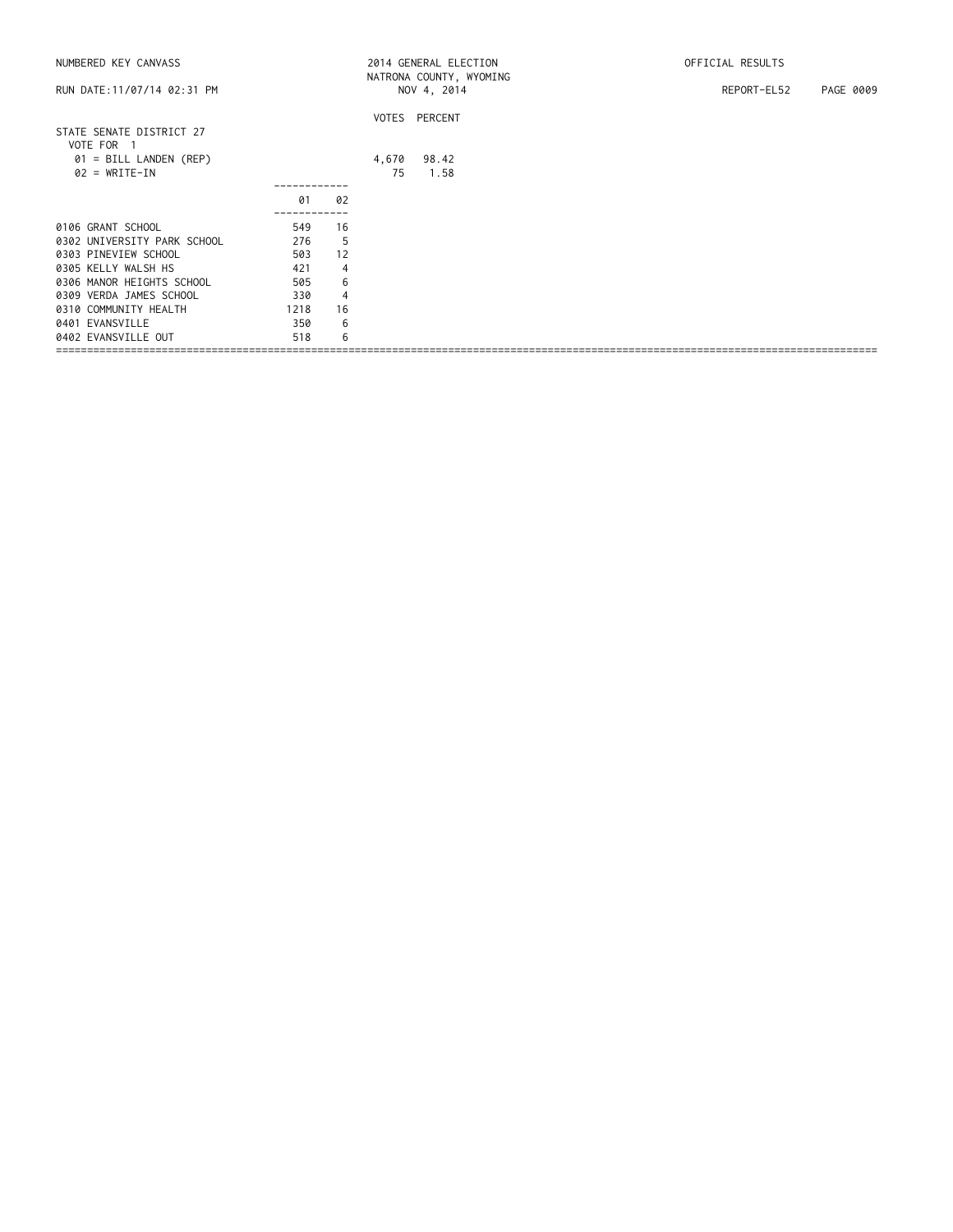| NUMBERED KEY CANVASS                                    |      |                |             | 2014 GENERAL ELECTION                  | OFFICIAL RESULTS         |
|---------------------------------------------------------|------|----------------|-------------|----------------------------------------|--------------------------|
| RUN DATE: 11/07/14 02:31 PM                             |      |                |             | NATRONA COUNTY, WYOMING<br>NOV 4, 2014 | REPORT-EL52<br>PAGE 0009 |
| STATE SENATE DISTRICT 27                                |      |                |             | VOTES PERCENT                          |                          |
| VOTE FOR 1<br>01 = BILL LANDEN (REP)<br>$02 = WRITE-IN$ |      |                | 4,670<br>75 | 98.42<br>1.58                          |                          |
|                                                         | 01   | 02             |             |                                        |                          |
| 0106 GRANT SCHOOL                                       | 549  | 16             |             |                                        |                          |
| 0302 UNIVERSITY PARK SCHOOL                             | 276  | 5              |             |                                        |                          |
| 0303 PINEVIEW SCHOOL                                    | 503  | 12             |             |                                        |                          |
| 0305 KELLY WALSH HS                                     | 421  | $\overline{4}$ |             |                                        |                          |
| 0306 MANOR HEIGHTS SCHOOL                               | 505  | 6              |             |                                        |                          |
| 0309 VERDA JAMES SCHOOL                                 | 330  | $\overline{4}$ |             |                                        |                          |
| 0310 COMMUNITY HEALTH                                   | 1218 | 16             |             |                                        |                          |
| 0401 EVANSVILLE                                         | 350  | 6              |             |                                        |                          |
| 0402 EVANSVILLE OUT                                     | 518  | 6              |             |                                        |                          |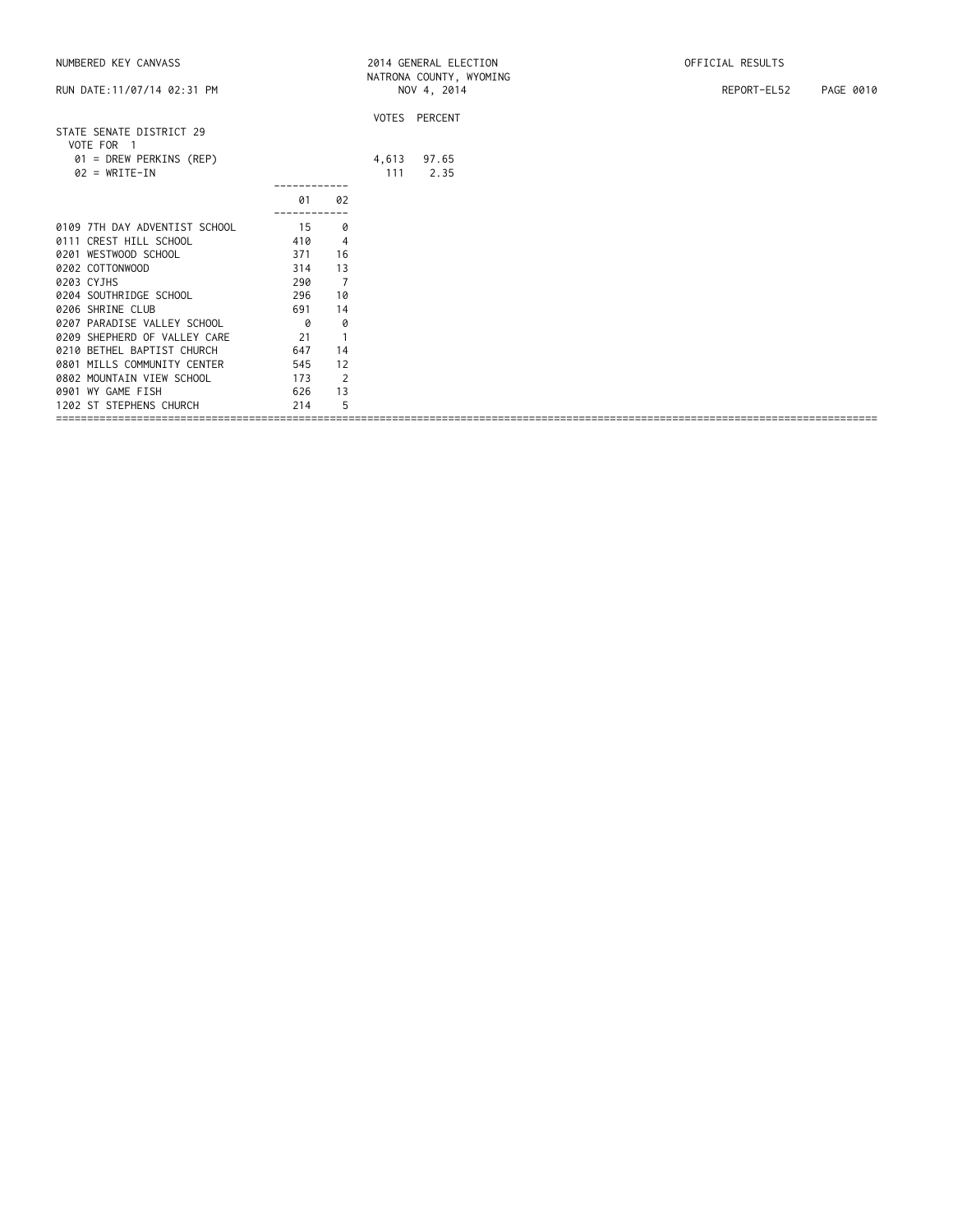| NUMBERED KEY CANVASS                       |                          |                |     | 2014 GENERAL ELECTION                  | OFFICIAL RESULTS |           |
|--------------------------------------------|--------------------------|----------------|-----|----------------------------------------|------------------|-----------|
| RUN DATE: 11/07/14 02:31 PM                |                          |                |     | NATRONA COUNTY, WYOMING<br>NOV 4, 2014 | REPORT-EL52      | PAGE 0010 |
|                                            |                          |                |     | VOTES PERCENT                          |                  |           |
| STATE SENATE DISTRICT 29<br>VOTE FOR 1     |                          |                |     |                                        |                  |           |
| 01 = DREW PERKINS (REP)<br>$02 = WRITE-IN$ |                          |                | 111 | 4,613 97.65<br>2.35                    |                  |           |
|                                            |                          |                |     |                                        |                  |           |
|                                            | 01<br>----------         | 02             |     |                                        |                  |           |
| 0109 7TH DAY ADVENTIST SCHOOL              | 15                       | 0              |     |                                        |                  |           |
| 0111 CREST HILL SCHOOL                     | 410                      | $\overline{4}$ |     |                                        |                  |           |
| 0201 WESTWOOD SCHOOL                       | 371                      | 16             |     |                                        |                  |           |
| 0202 COTTONWOOD                            | 314                      | 13             |     |                                        |                  |           |
| 0203 CYJHS                                 | 290                      | $\overline{7}$ |     |                                        |                  |           |
| 0204 SOUTHRIDGE SCHOOL<br>296              |                          | 10             |     |                                        |                  |           |
| 0206 SHRINE CLUB                           | 691                      | 14             |     |                                        |                  |           |
| 0207 PARADISE VALLEY SCHOOL                | $\overline{\mathcal{O}}$ | 0              |     |                                        |                  |           |
| 0209 SHEPHERD OF VALLEY CARE               | 21                       | $\overline{1}$ |     |                                        |                  |           |
| 0210 BETHEL BAPTIST CHURCH                 | 647                      | 14             |     |                                        |                  |           |
| 0801 MILLS COMMUNITY CENTER                | 545                      | 12             |     |                                        |                  |           |
| 0802 MOUNTAIN VIEW SCHOOL                  | 173                      | $\overline{2}$ |     |                                        |                  |           |
| 0901 WY GAME FISH                          | 626                      | 13             |     |                                        |                  |           |
| 1202 ST STEPHENS CHURCH                    | 214                      | 5              |     |                                        |                  |           |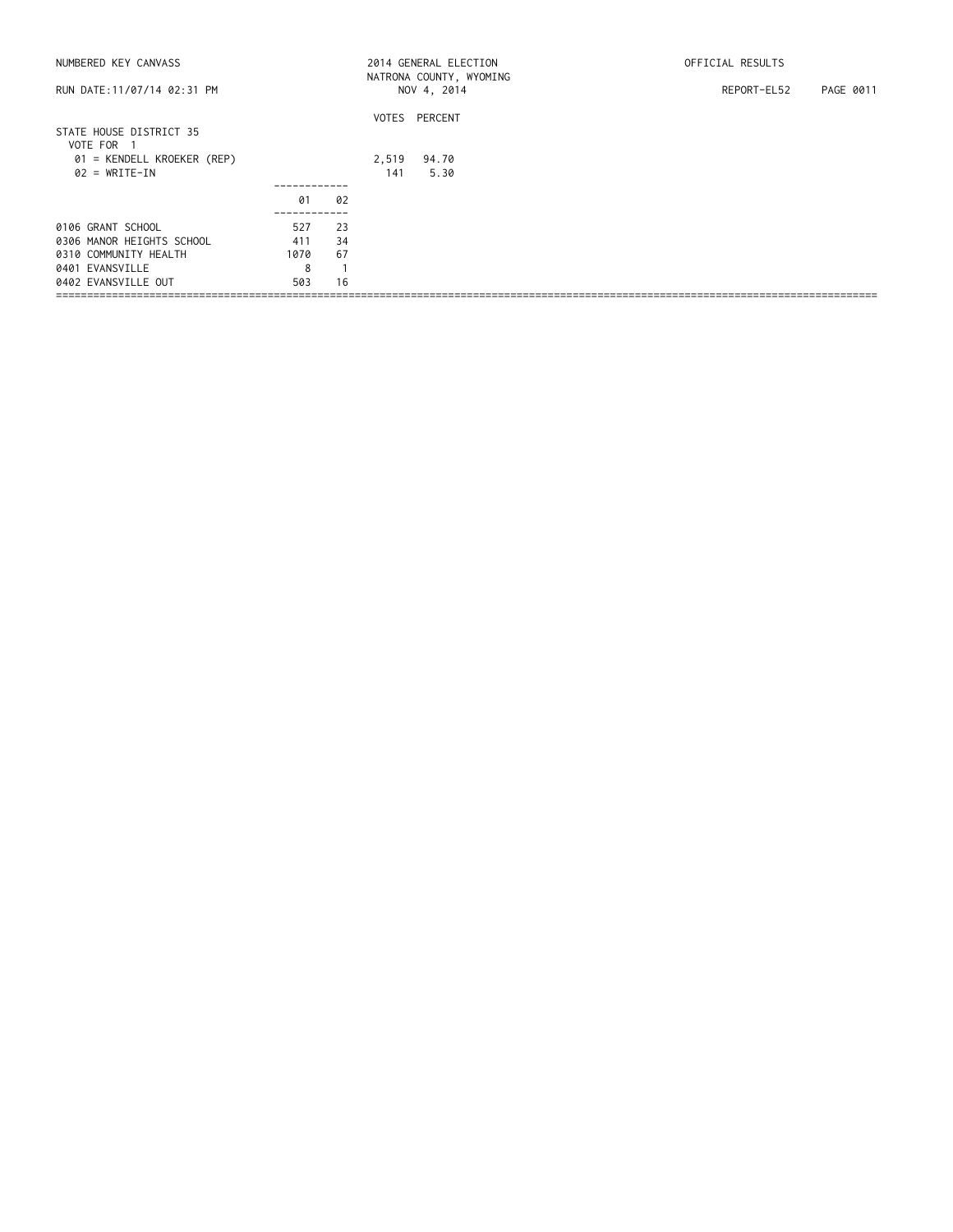| NUMBERED KEY CANVASS                  | 2014 GENERAL ELECTION<br>NATRONA COUNTY, WYOMING |    |     |               | OFFICIAL RESULTS         |  |  |
|---------------------------------------|--------------------------------------------------|----|-----|---------------|--------------------------|--|--|
| RUN DATE: 11/07/14 02:31 PM           |                                                  |    |     | NOV 4, 2014   | REPORT-EL52<br>PAGE 0011 |  |  |
|                                       |                                                  |    |     | VOTES PERCENT |                          |  |  |
| STATE HOUSE DISTRICT 35<br>VOTE FOR 1 |                                                  |    |     |               |                          |  |  |
| 01 = KENDELL KROEKER (REP)            |                                                  |    |     | 2,519 94.70   |                          |  |  |
| $02 = WRITE-IN$                       |                                                  |    | 141 | 5.30          |                          |  |  |
|                                       |                                                  |    |     |               |                          |  |  |
|                                       | 01                                               | 02 |     |               |                          |  |  |
| 0106 GRANT SCHOOL                     | 527                                              | 23 |     |               |                          |  |  |
| 0306 MANOR HEIGHTS SCHOOL             | 411                                              | 34 |     |               |                          |  |  |
| 0310 COMMUNITY HEALTH                 | 1070                                             | 67 |     |               |                          |  |  |
| 0401 EVANSVILLE                       | 8                                                |    |     |               |                          |  |  |
| 0402 EVANSVILLE OUT                   | 503                                              | 16 |     |               |                          |  |  |
|                                       |                                                  |    |     |               |                          |  |  |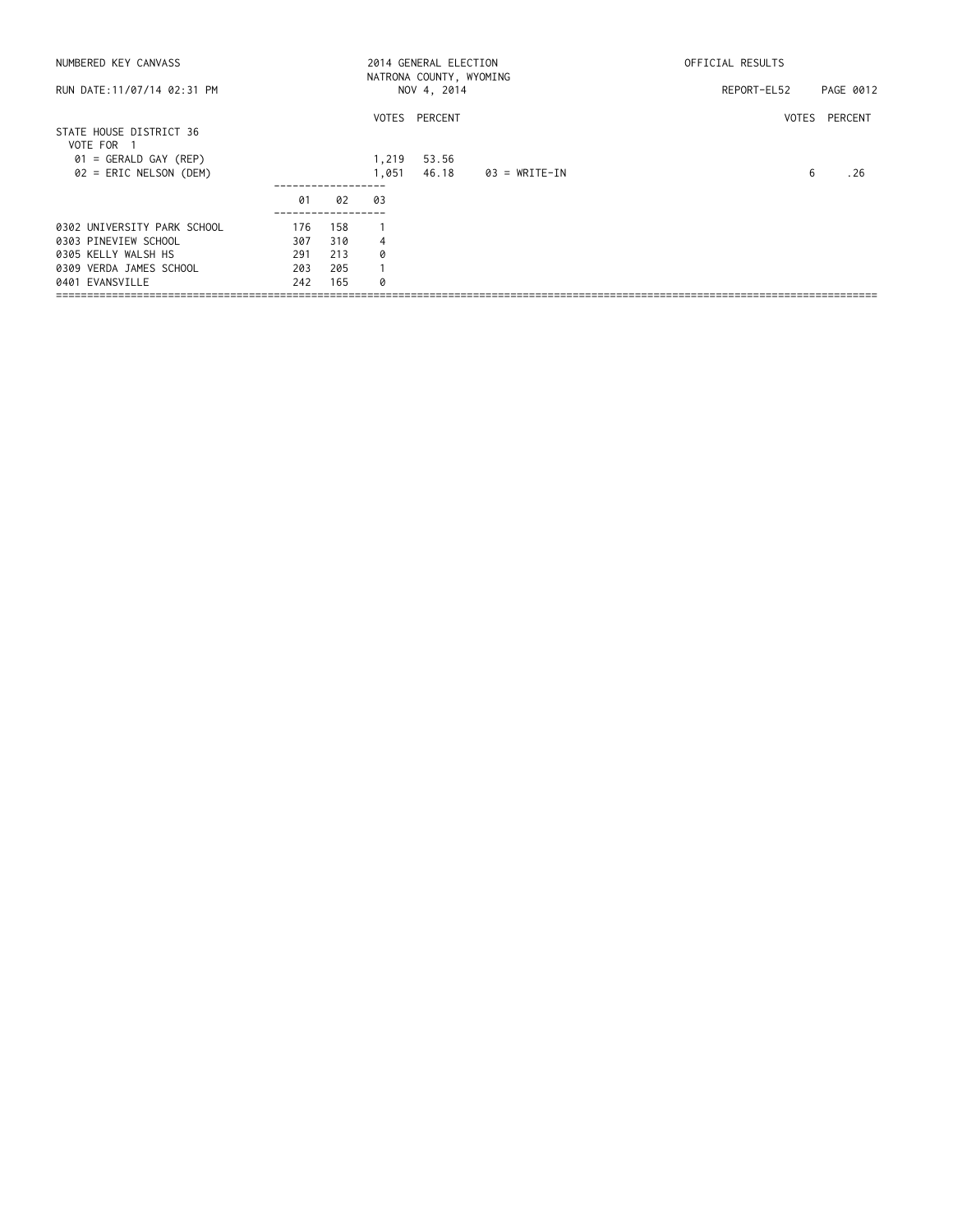| NUMBERED KEY CANVASS                                |            |            |                | 2014 GENERAL ELECTION<br>NATRONA COUNTY, WYOMING |               | OFFICIAL RESULTS |               |  |
|-----------------------------------------------------|------------|------------|----------------|--------------------------------------------------|---------------|------------------|---------------|--|
| RUN DATE:11/07/14 02:31 PM                          |            |            |                | NOV 4, 2014                                      |               | REPORT-EL52      | PAGE 0012     |  |
| STATE HOUSE DISTRICT 36<br>VOTE FOR<br>- 1          |            |            |                | VOTES PERCENT                                    |               |                  | VOTES PERCENT |  |
| $01 = GERALD GAY (REP)$<br>$02$ = ERIC NELSON (DEM) |            |            | 1,219<br>1,051 | 53.56<br>46.18                                   | 03 = WRITE-IN | 6                | . 26          |  |
|                                                     | 01         | 02         | 03             |                                                  |               |                  |               |  |
| 0302 UNIVERSITY PARK SCHOOL<br>0303 PINEVIEW SCHOOL | 176<br>307 | 158<br>310 | 4              |                                                  |               |                  |               |  |
| 0305 KELLY WALSH HS<br>0309 VERDA JAMES SCHOOL      | 291<br>203 | 213<br>205 | 0              |                                                  |               |                  |               |  |
| 0401 EVANSVILLE                                     | 242        | 165        | 0              |                                                  |               |                  |               |  |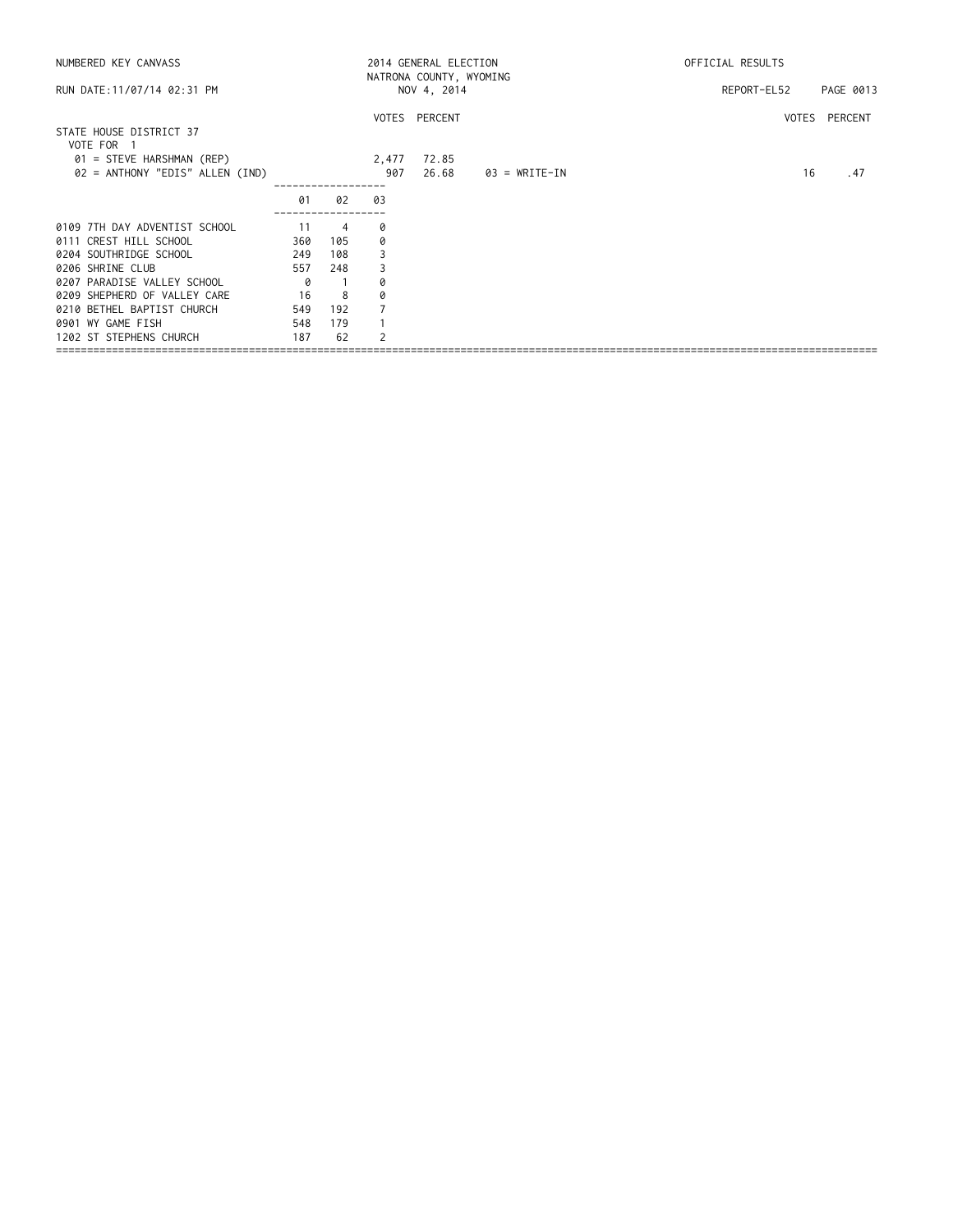| NUMBERED KEY CANVASS                  |     |                |                | 2014 GENERAL ELECTION<br>NATRONA COUNTY, WYOMING |               | OFFICIAL RESULTS |               |
|---------------------------------------|-----|----------------|----------------|--------------------------------------------------|---------------|------------------|---------------|
| RUN DATE: 11/07/14 02:31 PM           |     |                |                | NOV 4, 2014                                      |               | REPORT-EL52      | PAGE 0013     |
|                                       |     |                |                | VOTES PERCENT                                    |               |                  | VOTES PERCENT |
| STATE HOUSE DISTRICT 37<br>VOTE FOR 1 |     |                |                |                                                  |               |                  |               |
| 01 = STEVE HARSHMAN (REP)             |     |                | 2,477          | 72.85                                            |               |                  |               |
| 02 = ANTHONY "EDIS" ALLEN (IND)       |     |                | 907            | 26.68                                            | 03 = WRITE-IN | 16               | . 47          |
|                                       | 01  | 02             | 03             |                                                  |               |                  |               |
| 0109 7TH DAY ADVENTIST SCHOOL         | 11  | $\overline{4}$ | 0              |                                                  |               |                  |               |
| 0111 CREST HILL SCHOOL                | 360 | 105            | 0              |                                                  |               |                  |               |
| 0204 SOUTHRIDGE SCHOOL                | 249 | 108            |                |                                                  |               |                  |               |
| 0206 SHRINE CLUB                      | 557 | 248            | 3              |                                                  |               |                  |               |
| 0207 PARADISE VALLEY SCHOOL           | 0   |                | Q              |                                                  |               |                  |               |
| 0209 SHEPHERD OF VALLEY CARE          | 16  | 8              | 0              |                                                  |               |                  |               |
| 0210 BETHEL BAPTIST CHURCH            | 549 | 192            |                |                                                  |               |                  |               |
| 0901 WY GAME FISH                     | 548 | 179            |                |                                                  |               |                  |               |
| 1202 ST STEPHENS CHURCH               | 187 | 62             | $\overline{c}$ |                                                  |               |                  |               |
|                                       |     |                |                |                                                  |               |                  |               |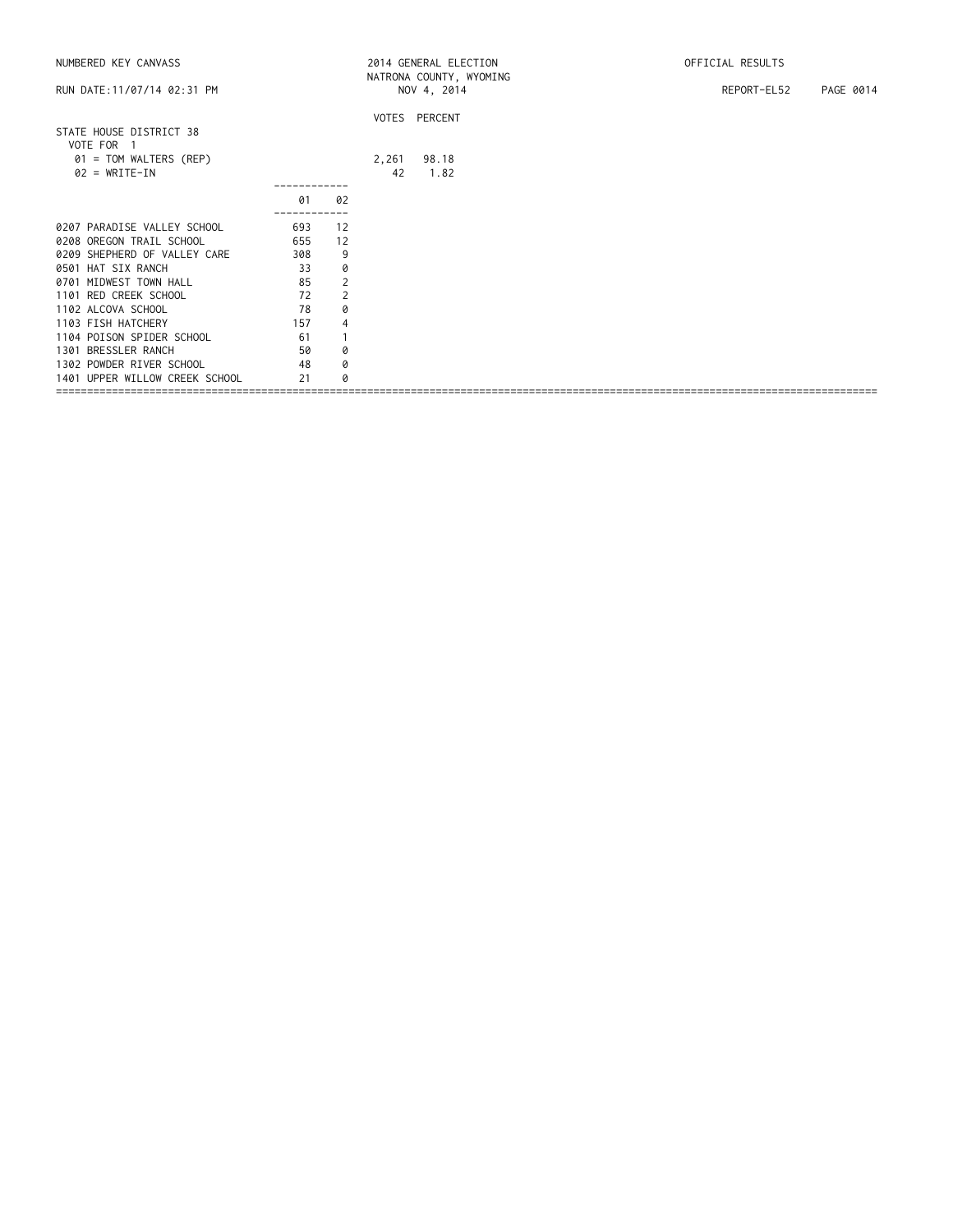| NUMBERED KEY CANVASS                                                                                                                                             |                                     |                                           |             | 2014 GENERAL ELECTION                  | OFFICIAL RESULTS         |
|------------------------------------------------------------------------------------------------------------------------------------------------------------------|-------------------------------------|-------------------------------------------|-------------|----------------------------------------|--------------------------|
| RUN DATE: 11/07/14 02:31 PM                                                                                                                                      |                                     |                                           |             | NATRONA COUNTY, WYOMING<br>NOV 4, 2014 | REPORT-EL52<br>PAGE 0014 |
| STATE HOUSE DISTRICT 38<br>VOTE FOR 1<br>01 = TOM WALTERS (REP)<br>$02 = WRITE-IN$                                                                               |                                     |                                           | 2,261<br>42 | VOTES PERCENT<br>98.18<br>1.82         |                          |
|                                                                                                                                                                  | 01                                  | 02                                        |             |                                        |                          |
| 0207 PARADISE VALLEY SCHOOL<br>0208 OREGON TRAIL SCHOOL<br>0209 SHEPHERD OF VALLEY CARE<br>0501 HAT SIX RANCH<br>0701 MIDWEST TOWN HALL<br>1101 RED CREEK SCHOOL | 693<br>655<br>308<br>33<br>85<br>72 | 12<br>12<br>9<br>0<br>$\overline{2}$<br>2 |             |                                        |                          |
| 1102 ALCOVA SCHOOL<br>1103 FISH HATCHERY<br>1104 POISON SPIDER SCHOOL<br>1301 BRESSLER RANCH<br>1302 POWDER RIVER SCHOOL<br>1401 UPPER WILLOW CREEK SCHOOL       | 78<br>157<br>61<br>50<br>48<br>21   | 0<br>$\overline{4}$<br>1<br>0<br>0<br>Ø   |             |                                        |                          |
|                                                                                                                                                                  |                                     |                                           |             |                                        |                          |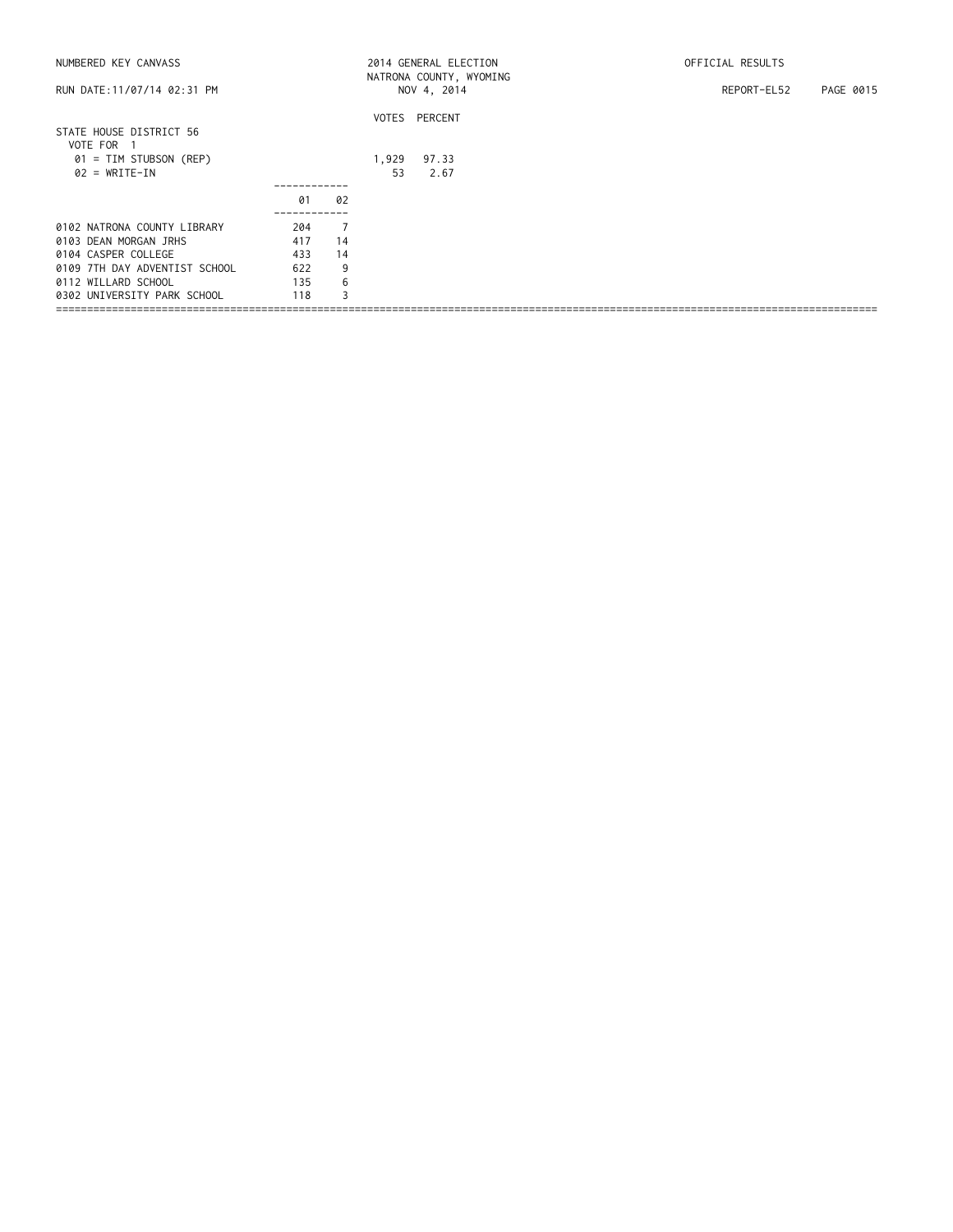| NUMBERED KEY CANVASS                                                                                                                                               |                                        |                                           |             | 2014 GENERAL ELECTION                  | OFFICIAL RESULTS         |
|--------------------------------------------------------------------------------------------------------------------------------------------------------------------|----------------------------------------|-------------------------------------------|-------------|----------------------------------------|--------------------------|
| RUN DATE: 11/07/14 02:31 PM                                                                                                                                        |                                        |                                           |             | NATRONA COUNTY, WYOMING<br>NOV 4, 2014 | REPORT-EL52<br>PAGE 0015 |
| STATE HOUSE DISTRICT 56<br>VOTE FOR                                                                                                                                |                                        |                                           |             | VOTES PERCENT                          |                          |
| 01 = TIM STUBSON (REP)<br>$02 = WRITE-IN$                                                                                                                          |                                        |                                           | 1,929<br>53 | 97.33<br>2.67                          |                          |
|                                                                                                                                                                    | 01                                     | 02                                        |             |                                        |                          |
| 0102 NATRONA COUNTY LIBRARY<br>0103 DEAN MORGAN JRHS<br>0104 CASPER COLLEGE<br>0109 7TH DAY ADVENTIST SCHOOL<br>0112 WILLARD SCHOOL<br>0302 UNIVERSITY PARK SCHOOL | 204<br>417<br>433<br>622<br>135<br>118 | $\overline{7}$<br>14<br>14<br>9<br>6<br>3 |             |                                        |                          |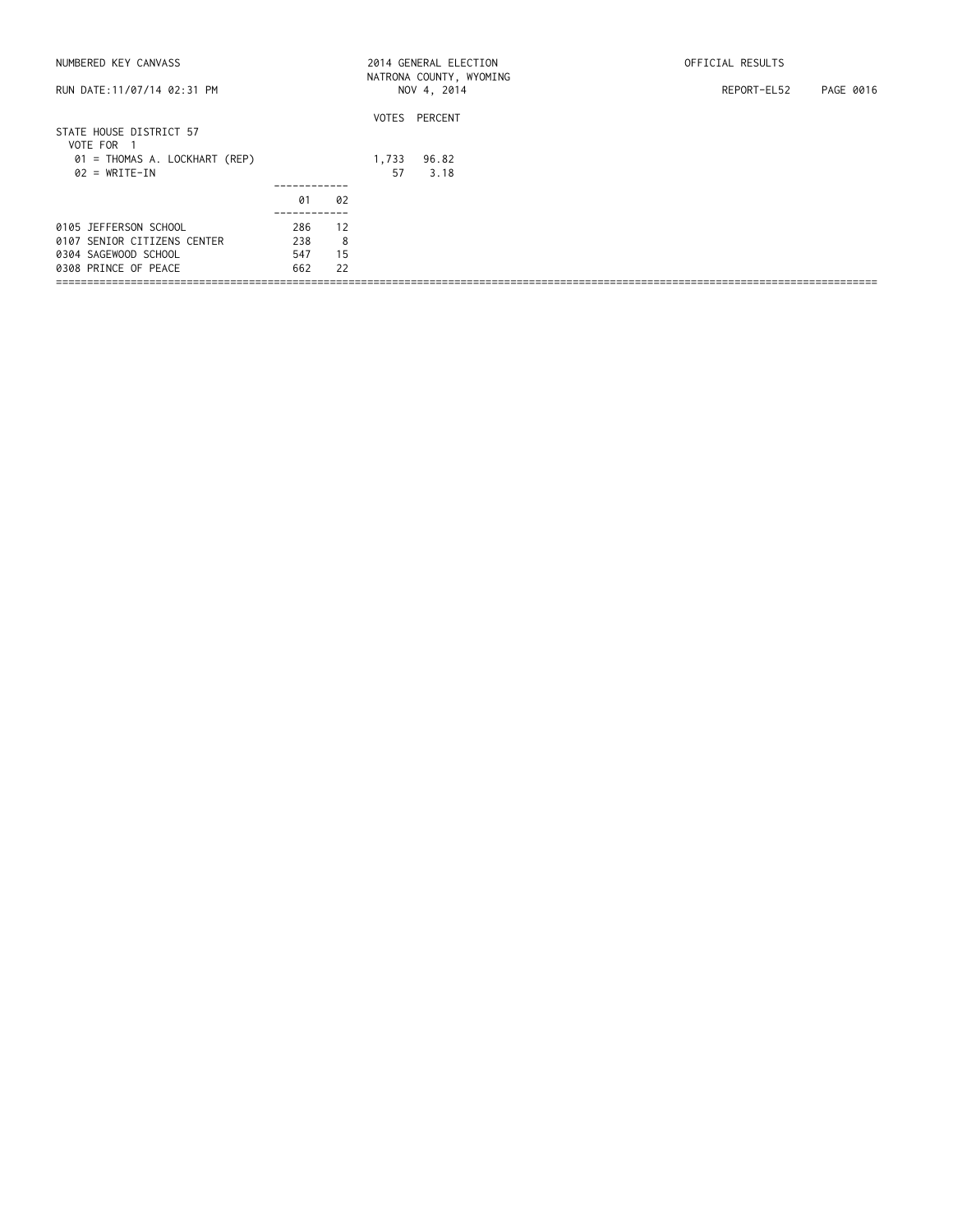| NUMBERED KEY CANVASS                  |     |    |       | 2014 GENERAL ELECTION<br>NATRONA COUNTY, WYOMING | OFFICIAL RESULTS         |
|---------------------------------------|-----|----|-------|--------------------------------------------------|--------------------------|
| RUN DATE: 11/07/14 02:31 PM           |     |    |       | NOV 4, 2014                                      | PAGE 0016<br>REPORT-EL52 |
|                                       |     |    |       | VOTES PERCENT                                    |                          |
| STATE HOUSE DISTRICT 57<br>VOTE FOR 1 |     |    |       |                                                  |                          |
| 01 = THOMAS A. LOCKHART (REP)         |     |    | 1,733 | 96.82                                            |                          |
| $02 = WRITE-IN$                       |     |    | 57    | 3.18                                             |                          |
|                                       |     |    |       |                                                  |                          |
|                                       | 01  | 02 |       |                                                  |                          |
|                                       |     |    |       |                                                  |                          |
| 0105 JEFFERSON SCHOOL                 | 286 | 12 |       |                                                  |                          |
| 0107 SENIOR CITIZENS CENTER           | 238 | 8  |       |                                                  |                          |
| 0304 SAGEWOOD SCHOOL                  | 547 | 15 |       |                                                  |                          |
| 0308 PRINCE OF PEACE                  | 662 | 22 |       |                                                  |                          |
|                                       |     |    |       |                                                  |                          |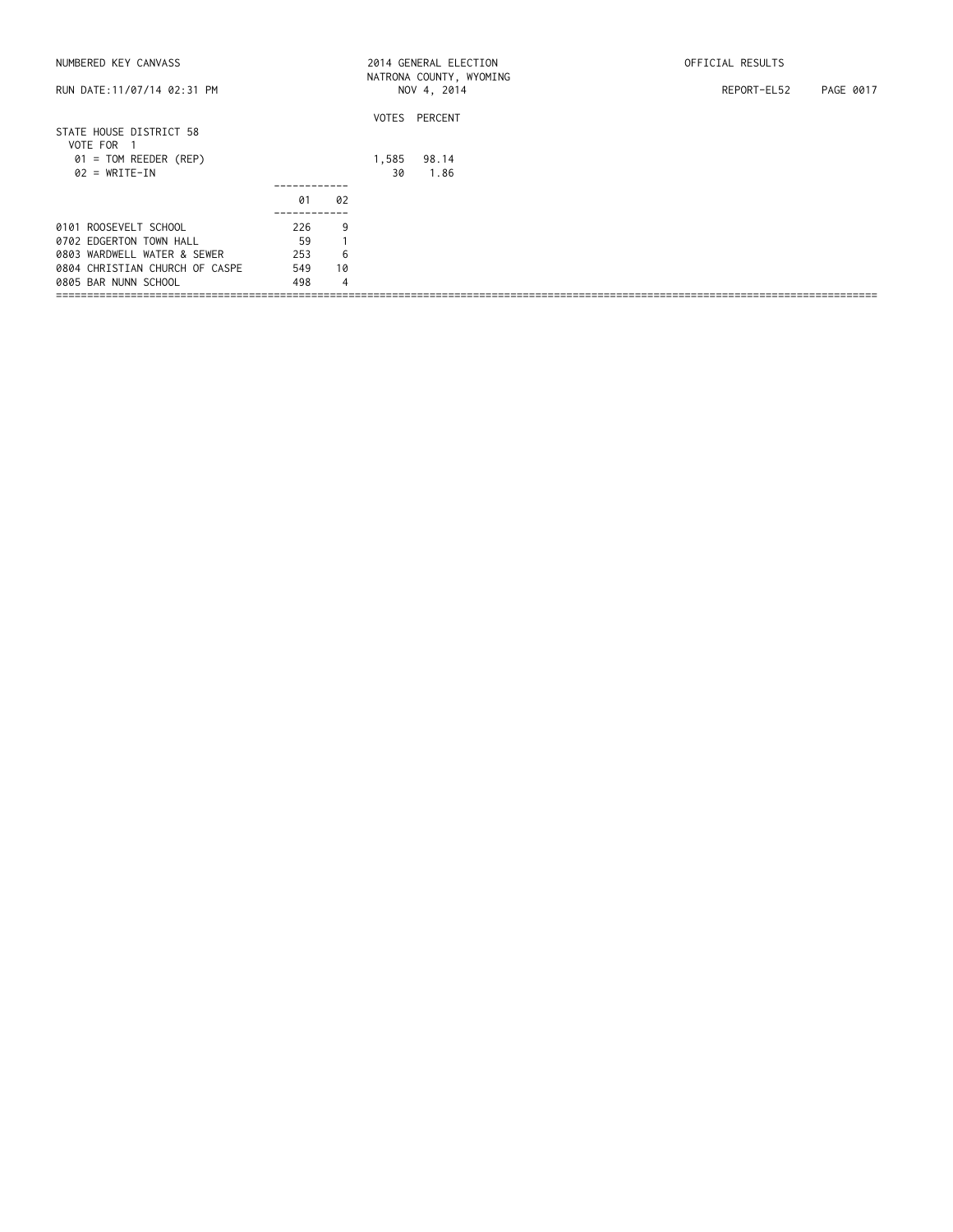| RUN DATE: 11/07/14 02:31 PM<br>NOV 4, 2014<br>REPORT-EL52<br>PAGE 0017<br>VOTES PERCENT<br>STATE HOUSE DISTRICT 58<br>VOTE FOR 1 |  |
|----------------------------------------------------------------------------------------------------------------------------------|--|
|                                                                                                                                  |  |
|                                                                                                                                  |  |
|                                                                                                                                  |  |
| $01 = TOM REEDER (REP)$<br>1,585<br>98.14                                                                                        |  |
| $02 = WRITE-IN$<br>1.86<br>30                                                                                                    |  |
|                                                                                                                                  |  |
| 02<br>01                                                                                                                         |  |
| 0101 ROOSEVELT SCHOOL<br>9<br>226                                                                                                |  |
| 59<br>0702 EDGERTON TOWN HALL                                                                                                    |  |
| 6<br>0803 WARDWELL WATER & SEWER<br>253                                                                                          |  |
| 10<br>549<br>0804 CHRISTIAN CHURCH OF CASPE                                                                                      |  |
| $\overline{4}$<br>0805 BAR NUNN SCHOOL<br>498                                                                                    |  |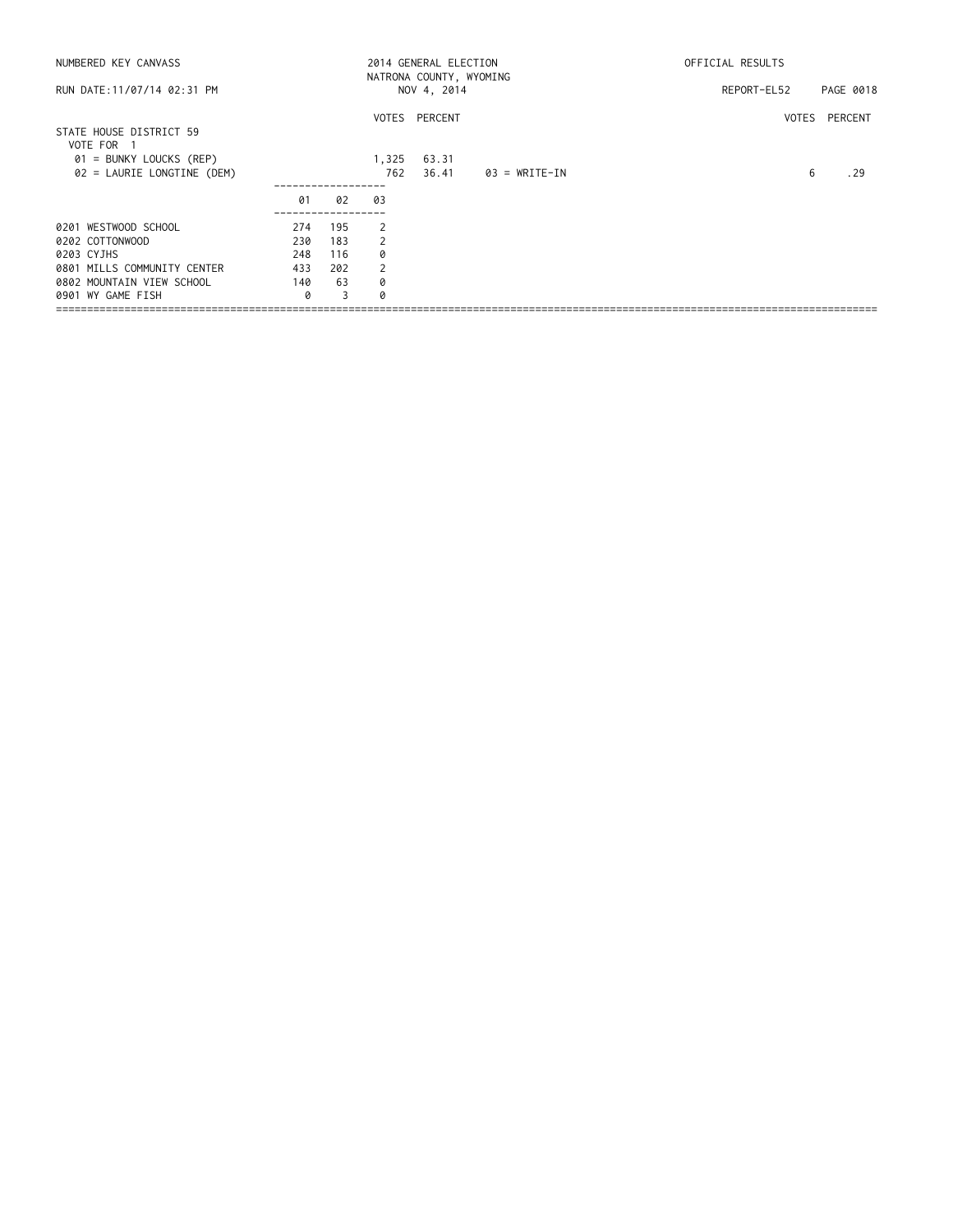| NUMBERED KEY CANVASS                  |     |     |       | 2014 GENERAL ELECTION<br>NATRONA COUNTY, WYOMING |               | OFFICIAL RESULTS |               |
|---------------------------------------|-----|-----|-------|--------------------------------------------------|---------------|------------------|---------------|
| RUN DATE: 11/07/14 02:31 PM           |     |     |       | NOV 4, 2014                                      |               | REPORT-EL52      | PAGE 0018     |
|                                       |     |     |       | VOTES PERCENT                                    |               |                  | VOTES PERCENT |
| STATE HOUSE DISTRICT 59<br>VOTE FOR 1 |     |     |       |                                                  |               |                  |               |
| 01 = BUNKY LOUCKS (REP)               |     |     | 1,325 | 63.31                                            |               |                  |               |
| 02 = LAURIE LONGTINE (DEM)            |     |     | 762   | 36.41                                            | 03 = WRITE-IN | 6                | . 29          |
|                                       | 01  | 02  | 03    |                                                  |               |                  |               |
| 0201 WESTWOOD SCHOOL                  | 274 | 195 | 2     |                                                  |               |                  |               |
| 0202 COTTONWOOD                       | 230 | 183 | 2     |                                                  |               |                  |               |
| 0203 CYJHS                            | 248 | 116 | 0     |                                                  |               |                  |               |
| 0801 MILLS COMMUNITY CENTER           | 433 | 202 | 2     |                                                  |               |                  |               |
| 0802 MOUNTAIN VIEW SCHOOL             | 140 | 63  | 0     |                                                  |               |                  |               |
| 0901 WY GAME FISH                     | 0   | 3   | Q     |                                                  |               |                  |               |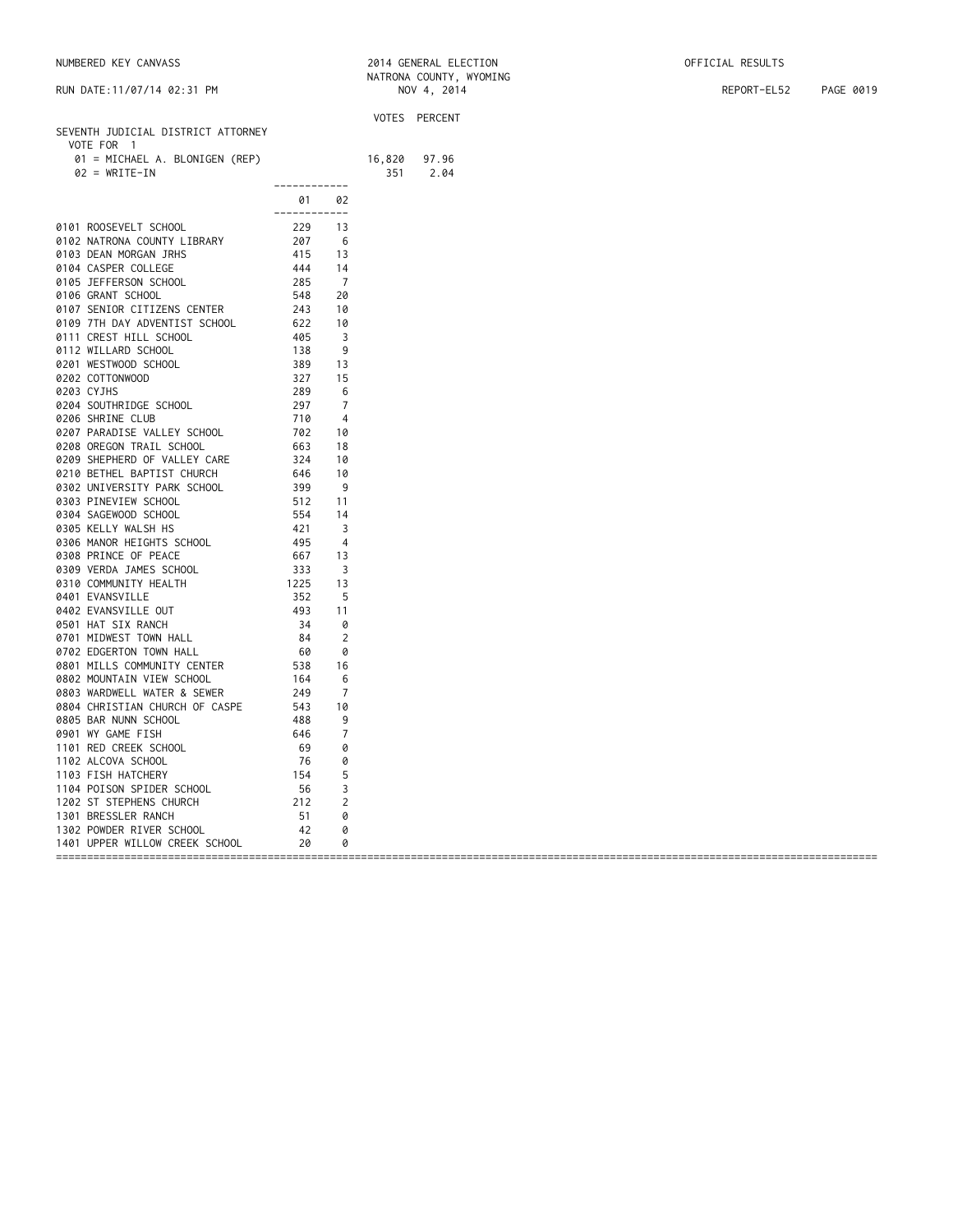| NUMBERED KEY CANVASS | 2014 GENERAL ELECTION | OFFICIAL RESULTS |
|----------------------|-----------------------|------------------|
|----------------------|-----------------------|------------------|

| RUN DATE:11/07/14 02:31 PM                  |                                                    |                |        | NOV 4, 2014   | REPORT-EL52 | PAGE 0019 |
|---------------------------------------------|----------------------------------------------------|----------------|--------|---------------|-------------|-----------|
|                                             |                                                    |                |        | VOTES PERCENT |             |           |
| SEVENTH JUDICIAL DISTRICT ATTORNEY          |                                                    |                |        |               |             |           |
| VOTE FOR 1                                  |                                                    |                |        |               |             |           |
| 01 = MICHAEL A. BLONIGEN (REP)              |                                                    |                | 16,820 | 97.96         |             |           |
| $02 = WRITE-IN$                             | ------------                                       |                | 351    | 2.04          |             |           |
|                                             | 01                                                 | 02             |        |               |             |           |
| 0101 ROOSEVELT SCHOOL                       | -------------<br>229                               | 13             |        |               |             |           |
| 0102 NATRONA COUNTY LIBRARY                 | 229<br>207<br>415<br>444<br>285<br>548             | -6             |        |               |             |           |
| 0103 DEAN MORGAN JRHS                       |                                                    | 13             |        |               |             |           |
| 0104 CASPER COLLEGE                         |                                                    | 14             |        |               |             |           |
| 0105 JEFFERSON SCHOOL                       |                                                    | $\overline{7}$ |        |               |             |           |
| 0106 GRANT SCHOOL                           |                                                    | 20             |        |               |             |           |
| 0107 SENIOR CITIZENS CENTER                 | 243                                                | 10             |        |               |             |           |
| 0109 7TH DAY ADVENTIST SCHOOL               | 622                                                | 10             |        |               |             |           |
| 0111 CREST HILL SCHOOL                      | 405                                                | 3              |        |               |             |           |
| 0112 WILLARD SCHOOL                         | $\frac{138}{389}$<br>$\frac{327}{289}$             | 9              |        |               |             |           |
| 0201 WESTWOOD SCHOOL                        |                                                    | 13             |        |               |             |           |
| 0202 COTTONWOOD                             |                                                    | 15             |        |               |             |           |
| 0203 CYJHS                                  |                                                    | 6              |        |               |             |           |
| 0204 SOUTHRIDGE SCHOOL                      | 297                                                | 7              |        |               |             |           |
| 0206 SHRINE CLUB                            | 710<br>702                                         | 4              |        |               |             |           |
| 0207 PARADISE VALLEY SCHOOL                 |                                                    | 10             |        |               |             |           |
| 0208 OREGON TRAIL SCHOOL                    | 663                                                | 18             |        |               |             |           |
| 0209 SHEPHERD OF VALLEY CARE                | 324                                                | 10             |        |               |             |           |
| 0210 BETHEL BAPTIST CHURCH                  | 646                                                | 10             |        |               |             |           |
| 0302 UNIVERSITY PARK SCHOOL                 |                                                    | 9              |        |               |             |           |
| 0303 PINEVIEW SCHOOL                        |                                                    | 11             |        |               |             |           |
| 0304 SAGEWOOD SCHOOL<br>0305 KELLY WALSH HS |                                                    | 14<br>3        |        |               |             |           |
| 0306 MANOR HEIGHTS SCHOOL                   | $399$<br>$512$<br>$554$<br>$421$<br>$495$<br>$667$ | $\overline{4}$ |        |               |             |           |
| 0308 PRINCE OF PEACE                        |                                                    | 13             |        |               |             |           |
| 0309 VERDA JAMES SCHOOL                     | 333                                                | 3              |        |               |             |           |
| 0310 COMMUNITY HEALTH                       | 1225                                               | 13             |        |               |             |           |
| 0401 EVANSVILLE                             | 352                                                | 5              |        |               |             |           |
| 0402 EVANSVILLE OUT                         | 493                                                | 11             |        |               |             |           |
| 0501 HAT SIX RANCH                          | 34                                                 | 0              |        |               |             |           |
| 0701 MIDWEST TOWN HALL                      | 84                                                 | 2              |        |               |             |           |
| 0702 EDGERTON TOWN HALL                     | 60                                                 | 0              |        |               |             |           |
| 0801 MILLS COMMUNITY CENTER                 | 538                                                | 16             |        |               |             |           |
| 0802 MOUNTAIN VIEW SCHOOL                   | 164                                                | 6              |        |               |             |           |
| 0803 WARDWELL WATER & SEWER                 | 249                                                | 7              |        |               |             |           |
| 0804 CHRISTIAN CHURCH OF CASPE              | 543                                                | 10             |        |               |             |           |
| 0805 BAR NUNN SCHOOL                        | 488                                                | 9              |        |               |             |           |
| 0901 WY GAME FISH                           | 646                                                | 7              |        |               |             |           |
| 1101 RED CREEK SCHOOL                       | 69                                                 | 0              |        |               |             |           |
| 1102 ALCOVA SCHOOL                          | 76<br>154                                          | 0              |        |               |             |           |
| 1103 FISH HATCHERY                          |                                                    | 5              |        |               |             |           |
| 1104 POISON SPIDER SCHOOL                   | 56                                                 | 3              |        |               |             |           |
| 1202 ST STEPHENS CHURCH                     | 212                                                | 2              |        |               |             |           |
| 1301 BRESSLER RANCH                         | 51                                                 | 0              |        |               |             |           |
| 1302 POWDER RIVER SCHOOL                    | 42                                                 | 0              |        |               |             |           |

1401 UPPER WILLOW CREEK SCHOOL 20 0

====================================================================================================================================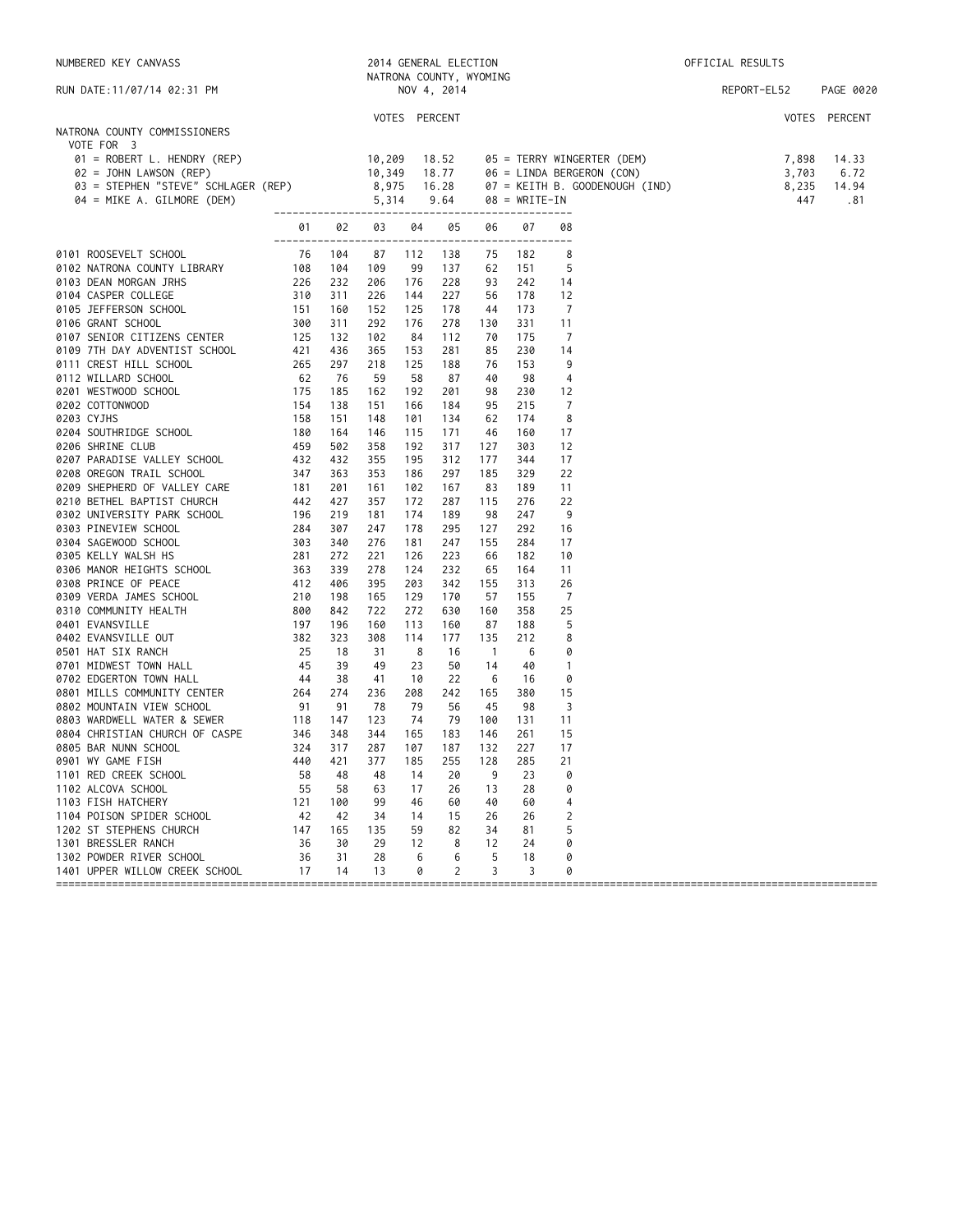| NUMBERED KEY CANVASS                                                                                                                                                                                                                             |                       |     |            |               | 2014 GENERAL ELECTION<br>NATRONA COUNTY, WYOMING |                          |            |                | OFFICIAL RESULTS                                                                                                                 |  |             |  |               |
|--------------------------------------------------------------------------------------------------------------------------------------------------------------------------------------------------------------------------------------------------|-----------------------|-----|------------|---------------|--------------------------------------------------|--------------------------|------------|----------------|----------------------------------------------------------------------------------------------------------------------------------|--|-------------|--|---------------|
| RUN DATE: 11/07/14 02:31 PM                                                                                                                                                                                                                      |                       |     |            | NOV 4, 2014   |                                                  |                          |            |                |                                                                                                                                  |  | REPORT-EL52 |  | PAGE 0020     |
| NATRONA COUNTY COMMISSIONERS<br>VOTE FOR 3                                                                                                                                                                                                       |                       |     |            | VOTES PERCENT |                                                  |                          |            |                |                                                                                                                                  |  |             |  | VOTES PERCENT |
| VOLE FOR 3<br>01 = ROBERT L. HENDRY (REP) 0 10,309<br>02 = JOHN LAWSON (REP) 10,349<br>03 = STEPHEN "STEVE" SCHLAGER (REP) 8,975<br>04 = MIKE A. GILMORE (DEM) 5,314                                                                             |                       |     |            |               | 18.52<br>18.77                                   |                          |            |                | 05 = TERRY WINGERTER (DEM) 7,898<br>06 = LINDA BERGERON (CON) 3,703<br>07 = KEITH B. GOODENOUGH (IND) 8,235<br>08 = WRITE-IN 447 |  |             |  | 14.33<br>6.72 |
|                                                                                                                                                                                                                                                  |                       |     |            |               | 16.28                                            |                          |            |                |                                                                                                                                  |  |             |  | 14.94         |
|                                                                                                                                                                                                                                                  | --------------------- |     |            |               | 9.64                                             |                          | ---------- |                |                                                                                                                                  |  |             |  | .81           |
| 0101 ROOSEVELT SCHOOL<br>0101 ROOSEVELT SCHOOL<br>0102 NATRONA COUNTY LIBRARY<br>0103 DEAN MORGAN JTHIS<br>0103 DEAN MORGAN JTHIS<br>0103 DEAN MORGAN JTHIS<br>0103 DEAN MORGAN JTHIS<br>0106 GRANT SCHOOL<br>0106 GRANT SCHOOL<br>0106 GRANT SC |                       |     |            |               |                                                  | 06                       | 07         | 08             |                                                                                                                                  |  |             |  |               |
|                                                                                                                                                                                                                                                  |                       |     | 87         | 112           | 138                                              | 75                       | 182        | 8              |                                                                                                                                  |  |             |  |               |
|                                                                                                                                                                                                                                                  |                       |     | 109        | 99            | 137                                              | 62                       | 151        | 5              |                                                                                                                                  |  |             |  |               |
|                                                                                                                                                                                                                                                  |                       |     | 206        | 176           | 228                                              | 93                       | 242        | 14             |                                                                                                                                  |  |             |  |               |
|                                                                                                                                                                                                                                                  |                       |     | 226        | 144           | 227                                              | 56                       | 178        | 12             |                                                                                                                                  |  |             |  |               |
|                                                                                                                                                                                                                                                  |                       |     | 152        | 125           | 178                                              | 44                       | 173        | $\overline{7}$ |                                                                                                                                  |  |             |  |               |
|                                                                                                                                                                                                                                                  |                       |     | 292        | 176           | 278                                              | 130                      | 331        | 11             |                                                                                                                                  |  |             |  |               |
|                                                                                                                                                                                                                                                  |                       |     | 102        | 84            | 112                                              | 70                       | 175        | - 7            |                                                                                                                                  |  |             |  |               |
|                                                                                                                                                                                                                                                  |                       |     | 365        | 153           | 281                                              | 85                       | 230        | 14             |                                                                                                                                  |  |             |  |               |
|                                                                                                                                                                                                                                                  |                       |     | 218        | 125           | 188                                              | 76                       | 153        | -9             |                                                                                                                                  |  |             |  |               |
|                                                                                                                                                                                                                                                  |                       |     | 59         | 58            | 87                                               | 40                       | 98         | $\overline{4}$ |                                                                                                                                  |  |             |  |               |
|                                                                                                                                                                                                                                                  |                       |     | 162        | 192           | 201                                              | 98                       | 230        | 12             |                                                                                                                                  |  |             |  |               |
|                                                                                                                                                                                                                                                  |                       |     | 151        | 166           | 184                                              | 95                       | 215        | 7              |                                                                                                                                  |  |             |  |               |
|                                                                                                                                                                                                                                                  |                       |     | 148        | 101           | 134                                              | 62                       | 174        | 8              |                                                                                                                                  |  |             |  |               |
|                                                                                                                                                                                                                                                  |                       |     | 146        | 115           | 171                                              | 46                       | 160        | 17             |                                                                                                                                  |  |             |  |               |
|                                                                                                                                                                                                                                                  |                       |     | 358        | 192           | 317<br>312                                       | 127                      | 303        | 12             |                                                                                                                                  |  |             |  |               |
|                                                                                                                                                                                                                                                  |                       |     | 355<br>353 | 195<br>186    | 297                                              | 177<br>185               | 344<br>329 | 17<br>22       |                                                                                                                                  |  |             |  |               |
|                                                                                                                                                                                                                                                  |                       |     | 161        | 102           | 167                                              | 83                       | 189        | 11             |                                                                                                                                  |  |             |  |               |
|                                                                                                                                                                                                                                                  |                       |     | 357        | 172           | 287                                              | 115                      | 276        | 22             |                                                                                                                                  |  |             |  |               |
|                                                                                                                                                                                                                                                  |                       |     | 181        | 174           | 189                                              | 98                       | 247        | -9             |                                                                                                                                  |  |             |  |               |
|                                                                                                                                                                                                                                                  |                       |     | 247        | 178           | 295                                              | 127                      | 292        | 16             |                                                                                                                                  |  |             |  |               |
|                                                                                                                                                                                                                                                  |                       |     | 276        | 181           | 247                                              | 155                      | 284        | 17             |                                                                                                                                  |  |             |  |               |
|                                                                                                                                                                                                                                                  |                       |     | 221        | 126           | 223                                              | 66                       | 182        | 10             |                                                                                                                                  |  |             |  |               |
|                                                                                                                                                                                                                                                  |                       |     | 278        | 124           | 232                                              | 65                       | 164        | 11             |                                                                                                                                  |  |             |  |               |
|                                                                                                                                                                                                                                                  |                       |     | 395        | 203           | 342                                              | 155                      | 313        | 26             |                                                                                                                                  |  |             |  |               |
|                                                                                                                                                                                                                                                  |                       |     | 165        | 129           | 170                                              | 57                       | 155        | - 7            |                                                                                                                                  |  |             |  |               |
|                                                                                                                                                                                                                                                  |                       |     | 722        | 272           | 630                                              | 160                      | 358        | 25             |                                                                                                                                  |  |             |  |               |
|                                                                                                                                                                                                                                                  |                       |     | 160        | 113           | 160                                              | 87                       | 188        | -5             |                                                                                                                                  |  |             |  |               |
|                                                                                                                                                                                                                                                  |                       |     | 308        | 114           | 177                                              | 135                      | 212        | 8              |                                                                                                                                  |  |             |  |               |
|                                                                                                                                                                                                                                                  |                       |     | 31         | 8             | 16                                               | $\overline{\phantom{0}}$ | 6          | 0              |                                                                                                                                  |  |             |  |               |
|                                                                                                                                                                                                                                                  |                       |     | 49         | 23            | 50                                               | 14                       | 40         | $\overline{1}$ |                                                                                                                                  |  |             |  |               |
|                                                                                                                                                                                                                                                  |                       |     | 41         | 10            | 22                                               | -6                       | 16         | 0              |                                                                                                                                  |  |             |  |               |
|                                                                                                                                                                                                                                                  |                       |     | 236        | 208           | 242                                              | 165                      | 380        | 15             |                                                                                                                                  |  |             |  |               |
|                                                                                                                                                                                                                                                  |                       |     | 78         | 79            | 56                                               | 45                       | 98         | 3              |                                                                                                                                  |  |             |  |               |
|                                                                                                                                                                                                                                                  |                       |     | 123        | 74            | 79                                               | 100                      | 131        | 11             |                                                                                                                                  |  |             |  |               |
|                                                                                                                                                                                                                                                  |                       |     | 344        | 165           | 183                                              | 146                      | 261        | 15             |                                                                                                                                  |  |             |  |               |
| 0805 BAR NUNN SCHOOL                                                                                                                                                                                                                             | $324$ $317$           |     | 287        | 107           | 187                                              | 132                      | 227        | 17             |                                                                                                                                  |  |             |  |               |
| 0901 WY GAME FISH                                                                                                                                                                                                                                | 440                   | 421 | 377        | 185           | 255                                              | 128                      | 285        | 21             |                                                                                                                                  |  |             |  |               |
| 1101 RED CREEK SCHOOL                                                                                                                                                                                                                            | 58                    | 48  | 48         | 14            | 20                                               | 9                        | 23         | 0              |                                                                                                                                  |  |             |  |               |
| 1102 ALCOVA SCHOOL                                                                                                                                                                                                                               | 55                    | 58  | 63         | 17            | 26                                               | 13                       | 28         | 0              |                                                                                                                                  |  |             |  |               |
| 1103 FISH HATCHERY                                                                                                                                                                                                                               | 121                   | 100 | 99         | 46            | 60                                               | 40                       | 60         | 4              |                                                                                                                                  |  |             |  |               |
| 1104 POISON SPIDER SCHOOL                                                                                                                                                                                                                        | 42                    | 42  | 34         | 14            | 15                                               | 26                       | 26         | 2              |                                                                                                                                  |  |             |  |               |
| 1202 ST STEPHENS CHURCH                                                                                                                                                                                                                          | 147                   | 165 | 135        | 59            | 82                                               | 34                       | 81         | 5              |                                                                                                                                  |  |             |  |               |
| 1301 BRESSLER RANCH                                                                                                                                                                                                                              | 36                    | 30  | 29         | 12            | 8                                                | 12                       | 24         | 0              |                                                                                                                                  |  |             |  |               |
| 1302 POWDER RIVER SCHOOL                                                                                                                                                                                                                         | 36                    | 31  | 28         | 6             | 6                                                | 5                        | 18         | 0              |                                                                                                                                  |  |             |  |               |
| 1401 UPPER WILLOW CREEK SCHOOL                                                                                                                                                                                                                   | 17                    | 14  | 13         | 0             | 2                                                | 3                        | 3          | 0              |                                                                                                                                  |  |             |  |               |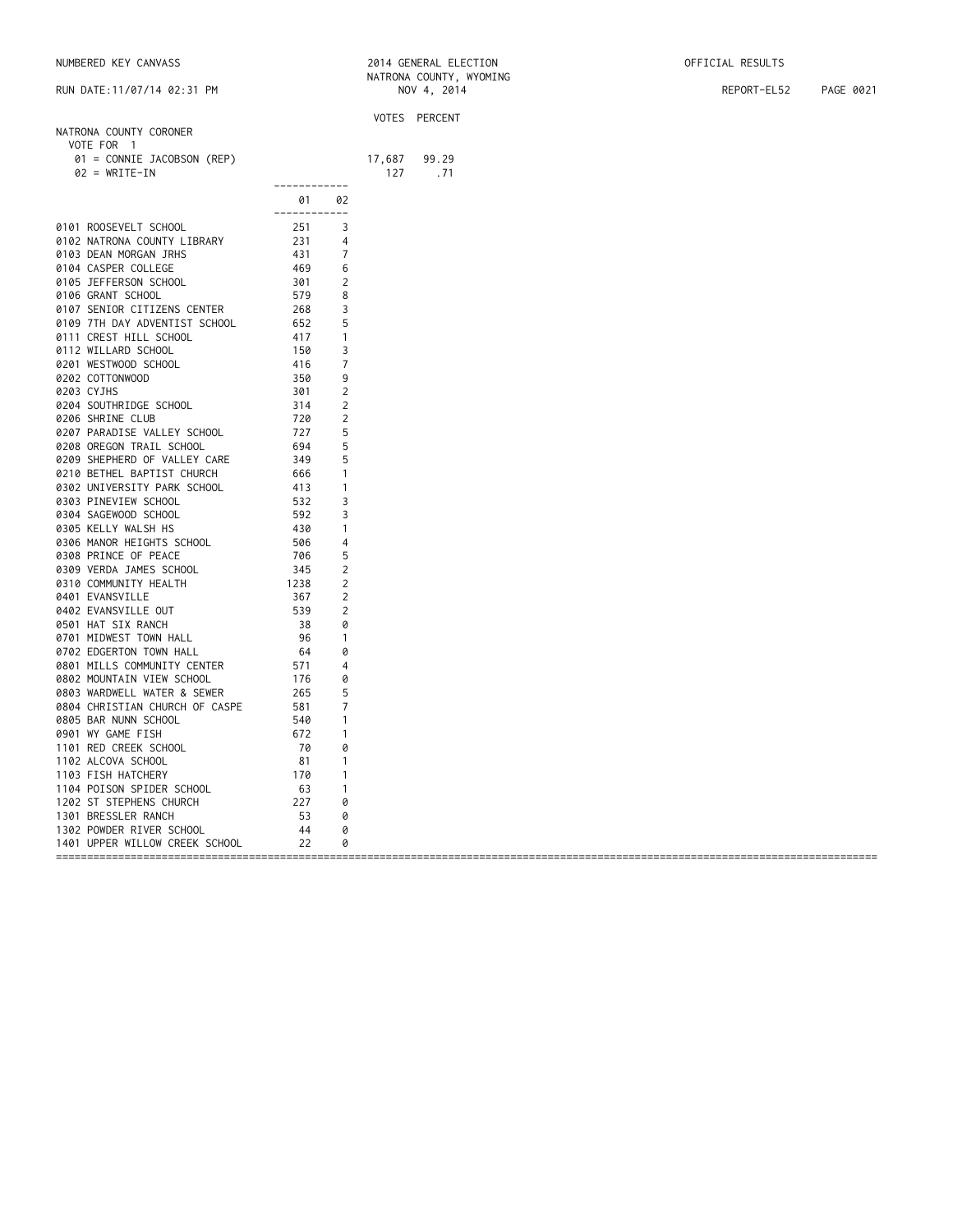| NUMBERED KEY CANVASS | 2014 GENERAL ELECTION | OFFICIAL RESULTS |
|----------------------|-----------------------|------------------|
|----------------------|-----------------------|------------------|

|                                   |                                                                                                       |                |                 | VOTES PERCENT |
|-----------------------------------|-------------------------------------------------------------------------------------------------------|----------------|-----------------|---------------|
| NATRONA COUNTY CORONER            |                                                                                                       |                |                 |               |
| VOTE FOR 1                        |                                                                                                       |                |                 |               |
| 01 = CONNIE JACOBSON (REP)        |                                                                                                       |                |                 | 99.29         |
| $02 = WRITE-IN$                   |                                                                                                       |                | $17,687$<br>127 | .71           |
|                                   | ------------                                                                                          |                |                 |               |
|                                   | 01 —                                                                                                  | 02             |                 |               |
|                                   | ------------                                                                                          |                |                 |               |
|                                   |                                                                                                       |                |                 |               |
| 0101 ROOSEVELT SCHOOL             |                                                                                                       |                |                 |               |
| 0102 NATRONA COUNTY LIBRARY       |                                                                                                       |                |                 |               |
| 0103 DEAN MORGAN JRHS             |                                                                                                       |                |                 |               |
| 0104 CASPER COLLEGE               |                                                                                                       |                |                 |               |
| 0105 JEFFERSON SCHOOL             |                                                                                                       |                |                 |               |
| 0106 GRANT SCHOOL                 |                                                                                                       |                |                 |               |
| 0107 SENIOR CITIZENS CENTER       |                                                                                                       |                |                 |               |
| 0109 7TH DAY ADVENTIST SCHOOL     |                                                                                                       |                |                 |               |
| 0111 CREST HILL SCHOOL            |                                                                                                       |                |                 |               |
| 0112 WILLARD SCHOOL               |                                                                                                       |                |                 |               |
| 0201 WESTWOOD SCHOOL              |                                                                                                       |                |                 |               |
|                                   |                                                                                                       |                |                 |               |
| 0202 COTTONWOOD                   |                                                                                                       |                |                 |               |
| 0203 CYJHS                        |                                                                                                       |                |                 |               |
| 0204 SOUTHRIDGE SCHOOL            |                                                                                                       |                |                 |               |
| 0206 SHRINE CLUB                  |                                                                                                       |                |                 |               |
| 0207 PARADISE VALLEY SCHOOL       |                                                                                                       |                |                 |               |
| 0208 OREGON TRAIL SCHOOL          |                                                                                                       |                |                 |               |
| 0209 SHEPHERD OF VALLEY CARE      |                                                                                                       | 5              |                 |               |
| 0210 BETHEL BAPTIST CHURCH        |                                                                                                       | $\mathbf{1}$   |                 |               |
| 0302 UNIVERSITY PARK SCHOOL       |                                                                                                       | $\overline{1}$ |                 |               |
| 0303 PINEVIEW SCHOOL              |                                                                                                       | 3              |                 |               |
| 0304 SAGEWOOD SCHOOL              |                                                                                                       | 3              |                 |               |
| 0305 KELLY WALSH HS               |                                                                                                       | $\mathbf{1}$   |                 |               |
|                                   |                                                                                                       | 4              |                 |               |
| 0306 MANOR HEIGHTS SCHOOL         |                                                                                                       |                |                 |               |
| 0308 PRINCE OF PEACE              | 349<br>349<br>666<br>413<br>532<br>592<br>430<br>594<br>532<br>592<br>594<br>592<br>796<br>796<br>795 | 5              |                 |               |
| 0309 VERDA JAMES SCHOOL           |                                                                                                       | 2              |                 |               |
| 0310 COMMUNITY HEALTH             | 1238                                                                                                  | 2              |                 |               |
| 0401 EVANSVILLE                   | 367<br>539                                                                                            | 2              |                 |               |
| 0402 EVANSVILLE OUT               |                                                                                                       | $\overline{2}$ |                 |               |
| 0501 HAT SIX RANCH                | 38                                                                                                    | 0              |                 |               |
| 0701 MIDWEST TOWN HALL            |                                                                                                       | $\overline{1}$ |                 |               |
| 0702 EDGERTON TOWN HALL           |                                                                                                       | 0              |                 |               |
| 0801 MILLS COMMUNITY CENTER       |                                                                                                       | 4              |                 |               |
| 0802 MOUNTAIN VIEW SCHOOL         |                                                                                                       | 0              |                 |               |
|                                   |                                                                                                       | 5              |                 |               |
| 0803 WARDWELL WATER & SEWER       |                                                                                                       |                |                 |               |
| 0804 CHRISTIAN CHURCH OF CASPE    |                                                                                                       | 7              |                 |               |
| 0805 BAR NUNN SCHOOL              |                                                                                                       | $\overline{1}$ |                 |               |
| 0901 WY GAME FISH                 |                                                                                                       | $\mathbf{1}$   |                 |               |
| 1101 RED CREEK SCHOOL             |                                                                                                       | 0              |                 |               |
| 1102 ALCOVA SCHOOL                | 81                                                                                                    | $\mathbf{1}$   |                 |               |
| 1103 FISH HATCHERY                |                                                                                                       | $\mathbf{1}$   |                 |               |
| 1104 POISON SPIDER SCHOOL         | $\begin{array}{r} 81 \\ 170 \\ 63 \\ 227 \end{array}$                                                 | $\overline{1}$ |                 |               |
| 1202 ST STEPHENS CHURCH           |                                                                                                       | 0              |                 |               |
|                                   |                                                                                                       | 0              |                 |               |
|                                   |                                                                                                       |                |                 |               |
|                                   |                                                                                                       |                |                 |               |
| 1401 UPPER WILLOW CREEK SCHOOL 22 |                                                                                                       | 0              |                 |               |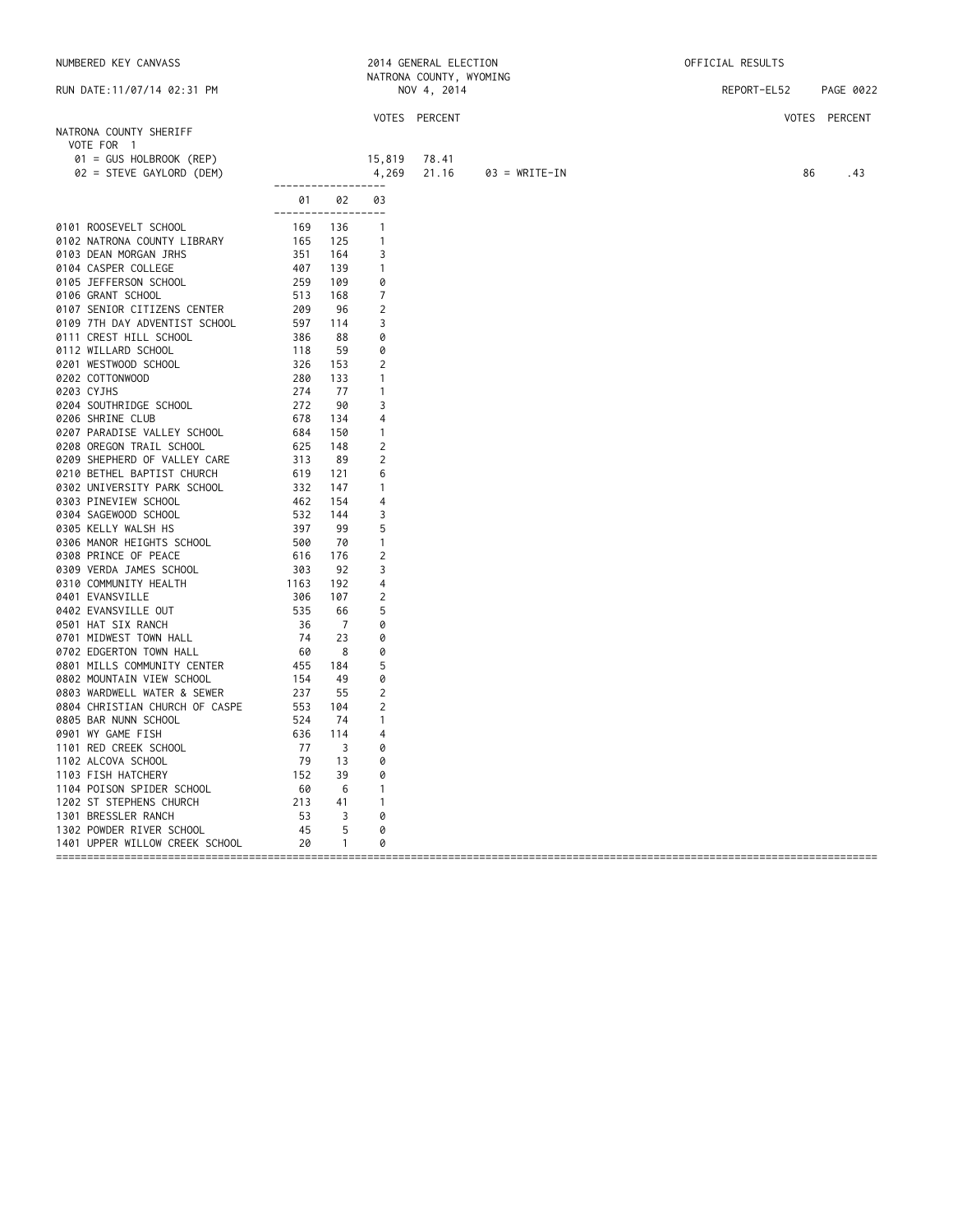| NUMBERED KEY CANVASS                                                                                                                                                                                                                               |                                                                                                                                                                                                                                                                                                  |                         |                                  | 2014 GENERAL ELECTION   |                 | OFFICIAL RESULTS |               |  |
|----------------------------------------------------------------------------------------------------------------------------------------------------------------------------------------------------------------------------------------------------|--------------------------------------------------------------------------------------------------------------------------------------------------------------------------------------------------------------------------------------------------------------------------------------------------|-------------------------|----------------------------------|-------------------------|-----------------|------------------|---------------|--|
|                                                                                                                                                                                                                                                    |                                                                                                                                                                                                                                                                                                  |                         |                                  | NATRONA COUNTY, WYOMING |                 |                  |               |  |
| RUN DATE: 11/07/14 02:31 PM                                                                                                                                                                                                                        |                                                                                                                                                                                                                                                                                                  |                         |                                  | NOV 4, 2014             |                 | REPORT-EL52      | PAGE 0022     |  |
|                                                                                                                                                                                                                                                    |                                                                                                                                                                                                                                                                                                  |                         |                                  | VOTES PERCENT           |                 |                  | VOTES PERCENT |  |
| NATRONA COUNTY SHERIFF                                                                                                                                                                                                                             |                                                                                                                                                                                                                                                                                                  |                         |                                  |                         |                 |                  |               |  |
| VOTE FOR 1                                                                                                                                                                                                                                         |                                                                                                                                                                                                                                                                                                  |                         |                                  |                         |                 |                  |               |  |
| 01 = GUS HOLBROOK (REP)                                                                                                                                                                                                                            |                                                                                                                                                                                                                                                                                                  |                         | 15,819                           | 78.41                   |                 |                  |               |  |
| 02 = STEVE GAYLORD (DEM)                                                                                                                                                                                                                           |                                                                                                                                                                                                                                                                                                  |                         | 4,269                            | 21.16                   | $03 = WRITE-IN$ | 86               | .43           |  |
|                                                                                                                                                                                                                                                    | -------------------                                                                                                                                                                                                                                                                              |                         |                                  |                         |                 |                  |               |  |
|                                                                                                                                                                                                                                                    | 01 —                                                                                                                                                                                                                                                                                             | 02                      | 03                               |                         |                 |                  |               |  |
|                                                                                                                                                                                                                                                    | ------------------                                                                                                                                                                                                                                                                               |                         |                                  |                         |                 |                  |               |  |
| 0101 ROOSEVELT SCHOOL                                                                                                                                                                                                                              | 169 136<br>165 125<br>351 164<br>407 139<br>259 109                                                                                                                                                                                                                                              |                         | $\overline{1}$                   |                         |                 |                  |               |  |
| 0101 RUUSEVELT SCHOOL<br>0102 NATRONA COUNTY LIBRARY                                                                                                                                                                                               |                                                                                                                                                                                                                                                                                                  |                         | $\overline{1}$                   |                         |                 |                  |               |  |
| 0103 DEAN MORGAN JRHS                                                                                                                                                                                                                              |                                                                                                                                                                                                                                                                                                  |                         | 3                                |                         |                 |                  |               |  |
| 0104 CASPER COLLEGE                                                                                                                                                                                                                                |                                                                                                                                                                                                                                                                                                  |                         | $\overline{1}$                   |                         |                 |                  |               |  |
| 0105 JEFFERSON SCHOOL                                                                                                                                                                                                                              |                                                                                                                                                                                                                                                                                                  |                         | 0                                |                         |                 |                  |               |  |
| 0106 GRANT SCHOOL                                                                                                                                                                                                                                  | 513                                                                                                                                                                                                                                                                                              | -168                    | 7                                |                         |                 |                  |               |  |
|                                                                                                                                                                                                                                                    |                                                                                                                                                                                                                                                                                                  | 96                      | 2                                |                         |                 |                  |               |  |
| 0107 SENIOR CITIZENS CENTER<br>0107 SENIOR CITIZENS CENTER<br>0109 7TH DAY ADVENTIST SCHOOL<br>0111 CREST HILL SCHOOL<br>0112 WILLARD SCHOOL<br>0201 WESTWOOD SCHOOL<br>0202 COTTONWOOD<br>0203 CYJHS<br>0203 CYJHS<br>0204 SOUTHRIDGE SCHOOL<br>0 |                                                                                                                                                                                                                                                                                                  | 114                     | 3                                |                         |                 |                  |               |  |
|                                                                                                                                                                                                                                                    |                                                                                                                                                                                                                                                                                                  | 88                      | 0                                |                         |                 |                  |               |  |
|                                                                                                                                                                                                                                                    |                                                                                                                                                                                                                                                                                                  | 59                      | 0                                |                         |                 |                  |               |  |
|                                                                                                                                                                                                                                                    |                                                                                                                                                                                                                                                                                                  | 153                     | $\overline{2}$                   |                         |                 |                  |               |  |
|                                                                                                                                                                                                                                                    |                                                                                                                                                                                                                                                                                                  | 133                     | $\overline{1}$                   |                         |                 |                  |               |  |
|                                                                                                                                                                                                                                                    |                                                                                                                                                                                                                                                                                                  | 77                      | $\overline{1}$                   |                         |                 |                  |               |  |
|                                                                                                                                                                                                                                                    |                                                                                                                                                                                                                                                                                                  | - 90                    | 3                                |                         |                 |                  |               |  |
| 0206 SHRINE CLUB                                                                                                                                                                                                                                   | 678                                                                                                                                                                                                                                                                                              | 134                     | $\overline{4}$                   |                         |                 |                  |               |  |
| 0207 PARADISE VALLEY SCHOOL                                                                                                                                                                                                                        | 684                                                                                                                                                                                                                                                                                              | 150                     | $\overline{1}$                   |                         |                 |                  |               |  |
| 0208 OREGON TRAIL SCHOOL                                                                                                                                                                                                                           | 625                                                                                                                                                                                                                                                                                              | 148                     | 2                                |                         |                 |                  |               |  |
| 0209 SHEPHERD OF VALLEY CARE                                                                                                                                                                                                                       | 313                                                                                                                                                                                                                                                                                              | - 89                    | 2                                |                         |                 |                  |               |  |
| 0210 BETHEL BAPTIST CHURCH                                                                                                                                                                                                                         | 619                                                                                                                                                                                                                                                                                              | 121                     | 6                                |                         |                 |                  |               |  |
| 0302 UNIVERSITY PARK SCHOOL                                                                                                                                                                                                                        | $3 - 462$<br>532                                                                                                                                                                                                                                                                                 | 147                     | $\overline{1}$                   |                         |                 |                  |               |  |
| 0303 PINEVIEW SCHOOL                                                                                                                                                                                                                               |                                                                                                                                                                                                                                                                                                  | 154                     | 4                                |                         |                 |                  |               |  |
| 0304 SAGEWOOD SCHOOL                                                                                                                                                                                                                               |                                                                                                                                                                                                                                                                                                  | 144                     | 3                                |                         |                 |                  |               |  |
| 0305 KELLY WALSH HS                                                                                                                                                                                                                                | 462<br>532<br>597<br>500<br>616                                                                                                                                                                                                                                                                  | 99                      | 5                                |                         |                 |                  |               |  |
| 0306 MANOR HEIGHTS SCHOOL                                                                                                                                                                                                                          |                                                                                                                                                                                                                                                                                                  | 70                      | $\overline{1}$                   |                         |                 |                  |               |  |
| 0308 PRINCE OF PEACE                                                                                                                                                                                                                               |                                                                                                                                                                                                                                                                                                  | 176                     | 2                                |                         |                 |                  |               |  |
| 0309 VERDA JAMES SCHOOL                                                                                                                                                                                                                            | 303                                                                                                                                                                                                                                                                                              | 92                      | 3                                |                         |                 |                  |               |  |
| 0310 COMMUNITY HEALTH                                                                                                                                                                                                                              | $\begin{array}{r} 385 \\ 1163 \\ 306 \\ 535 \end{array}$                                                                                                                                                                                                                                         | 192                     | $\overline{4}$                   |                         |                 |                  |               |  |
| 0401 EVANSVILLE                                                                                                                                                                                                                                    |                                                                                                                                                                                                                                                                                                  | 107                     | 2                                |                         |                 |                  |               |  |
| 0402 EVANSVILLE OUT                                                                                                                                                                                                                                |                                                                                                                                                                                                                                                                                                  | 66                      | 5                                |                         |                 |                  |               |  |
| 0501 HAT SIX RANCH                                                                                                                                                                                                                                 | 36                                                                                                                                                                                                                                                                                               | $\overline{7}$          | 0                                |                         |                 |                  |               |  |
| 0701 MIDWEST TOWN HALL                                                                                                                                                                                                                             | 74                                                                                                                                                                                                                                                                                               | 23                      | 0                                |                         |                 |                  |               |  |
| 0702 EDGERTON TOWN HALL<br>9792 EDGERTON TOWN HALL 69<br>9801 MILLS COMMUNITY CENTER 455<br>9802 MOUNTAIN VIEW SCHOOL 154<br>9803 WARDWELL WATER & SEWER 237<br>9804 CHRISTIAN CHURCH OF CASPE 553                                                 | 60                                                                                                                                                                                                                                                                                               | $_{\rm 8}$              | 0                                |                         |                 |                  |               |  |
|                                                                                                                                                                                                                                                    |                                                                                                                                                                                                                                                                                                  | 184                     | 5                                |                         |                 |                  |               |  |
|                                                                                                                                                                                                                                                    |                                                                                                                                                                                                                                                                                                  | 49                      | 0                                |                         |                 |                  |               |  |
|                                                                                                                                                                                                                                                    |                                                                                                                                                                                                                                                                                                  | 55                      | 2                                |                         |                 |                  |               |  |
|                                                                                                                                                                                                                                                    |                                                                                                                                                                                                                                                                                                  | 104                     | 2                                |                         |                 |                  |               |  |
| 0805 BAR NUNN SCHOOL                                                                                                                                                                                                                               | 524                                                                                                                                                                                                                                                                                              | 74                      | $\overline{1}$                   |                         |                 |                  |               |  |
| 0901 WY GAME FISH                                                                                                                                                                                                                                  |                                                                                                                                                                                                                                                                                                  | 114                     | $\overline{4}$                   |                         |                 |                  |               |  |
| 1101 RED CREEK SCHOOL                                                                                                                                                                                                                              |                                                                                                                                                                                                                                                                                                  | $\overline{\mathbf{3}}$ | 0<br>0                           |                         |                 |                  |               |  |
| 1102 ALCOVA SCHOOL                                                                                                                                                                                                                                 |                                                                                                                                                                                                                                                                                                  | 13                      |                                  |                         |                 |                  |               |  |
| 1103 FISH HATCHERY                                                                                                                                                                                                                                 |                                                                                                                                                                                                                                                                                                  | 39<br>6                 | 0                                |                         |                 |                  |               |  |
| 1104 POISON SPIDER SCHOOL<br>1202 ST STEPHENS CHURCH                                                                                                                                                                                               |                                                                                                                                                                                                                                                                                                  | 41                      | $\overline{1}$<br>$\overline{1}$ |                         |                 |                  |               |  |
| 1301 BRESSLER RANCH                                                                                                                                                                                                                                |                                                                                                                                                                                                                                                                                                  | 3                       | 0                                |                         |                 |                  |               |  |
|                                                                                                                                                                                                                                                    |                                                                                                                                                                                                                                                                                                  | 5                       |                                  |                         |                 |                  |               |  |
| 1302 POWDER RIVER SCHOOL                                                                                                                                                                                                                           |                                                                                                                                                                                                                                                                                                  | $\overline{1}$          | 0<br>0                           |                         |                 |                  |               |  |
| 1401 UPPER WILLOW CREEK SCHOOL                                                                                                                                                                                                                     | $636$<br>$77$<br>$79$<br>$152$<br>$60$<br>$213$<br>$53$<br>$4$<br>$213$<br>$52$<br>$4$<br>$-22$<br>$-22$<br>$-22$<br>$-22$<br>$-22$<br>$-22$<br>$-22$<br>$-22$<br>$-22$<br>$-22$<br>$-22$<br>$-22$<br>$-22$<br>$-22$<br>$-22$<br>$-22$<br>$-22$<br>$-22$<br>$-22$<br>$-22$<br>$-22$<br>$-22$<br> |                         |                                  |                         |                 |                  |               |  |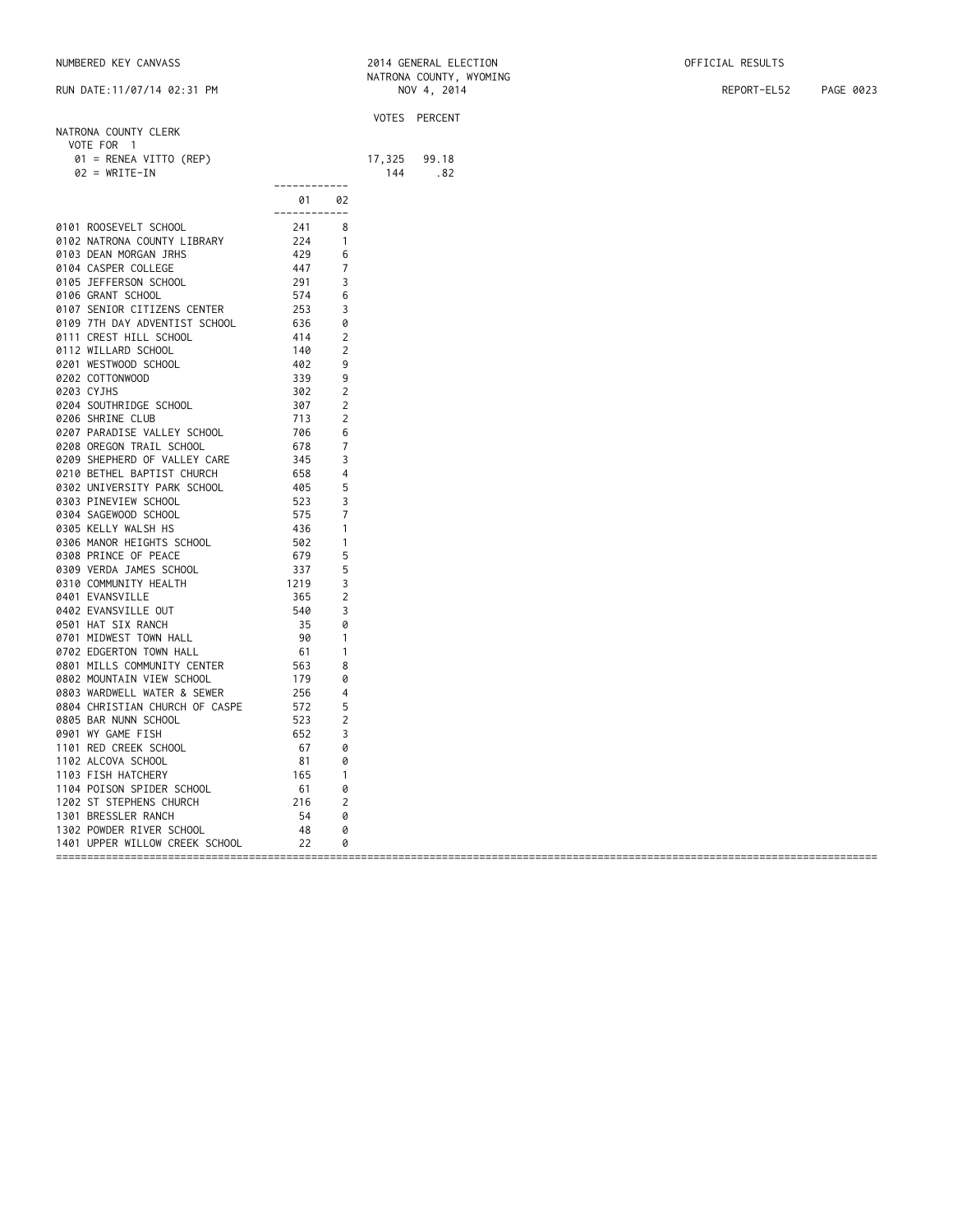## NUMBERED KEY CANVASS 2014 GENERAL ELECTION OFFICIAL RESULTS

RUN DATE:11/07/14 02:31 PM NOV 4, 2014 REPORT-EL52 PAGE 0023

|            |                                |              |                |        | VOTES PERCENT |
|------------|--------------------------------|--------------|----------------|--------|---------------|
|            | NATRONA COUNTY CLERK           |              |                |        |               |
|            | VOTE FOR 1                     |              |                |        |               |
|            | 01 = RENEA VITTO (REP)         |              |                | 17,325 | 99.18         |
|            | $02 = WRITE-IN$                |              |                | 144    | .82           |
|            |                                | ------------ |                |        |               |
|            |                                | 01 —         | 02             |        |               |
|            |                                | ------------ |                |        |               |
|            | 0101 ROOSEVELT SCHOOL          | 241          | 8              |        |               |
|            | 0102 NATRONA COUNTY LIBRARY    | 224          | $\overline{1}$ |        |               |
|            | 0103 DEAN MORGAN JRHS          | 429          | 6              |        |               |
|            | 0104 CASPER COLLEGE            | 447          | 7              |        |               |
|            | 0105 JEFFERSON SCHOOL          | 291          | 3              |        |               |
|            | 0106 GRANT SCHOOL              | 574          | 6              |        |               |
|            | 0107 SENIOR CITIZENS CENTER    | 253          | 3              |        |               |
|            | 0109 7TH DAY ADVENTIST SCHOOL  | 636          | 0              |        |               |
|            | 0111 CREST HILL SCHOOL         | 414          | 2              |        |               |
|            | 0112 WILLARD SCHOOL            | 140          | 2              |        |               |
|            | 0201 WESTWOOD SCHOOL           | 402          | 9              |        |               |
|            | 0202 COTTONWOOD                | 339          | 9              |        |               |
| 0203 CYJHS |                                | 302          | $\overline{c}$ |        |               |
|            | 0204 SOUTHRIDGE SCHOOL         | 307          | 2              |        |               |
|            | 0206 SHRINE CLUB               | 713          | 2              |        |               |
|            | 0207 PARADISE VALLEY SCHOOL    | 706          | 6              |        |               |
|            | 0208 OREGON TRAIL SCHOOL       | 678          | 7              |        |               |
|            | 0209 SHEPHERD OF VALLEY CARE   | 345          | 3              |        |               |
|            | 0210 BETHEL BAPTIST CHURCH     | 658          | 4              |        |               |
|            | 0302 UNIVERSITY PARK SCHOOL    | 405          |                |        |               |
|            |                                | 523          | 5<br>3         |        |               |
|            | 0303 PINEVIEW SCHOOL           |              |                |        |               |
|            | 0304 SAGEWOOD SCHOOL           | 575          | 7              |        |               |
|            | 0305 KELLY WALSH HS            | 436          | -1             |        |               |
|            | 0306 MANOR HEIGHTS SCHOOL      | 502          | $\mathbf{1}$   |        |               |
|            | 0308 PRINCE OF PEACE           | 679          | 5              |        |               |
|            | 0309 VERDA JAMES SCHOOL        | 337          | 5              |        |               |
|            | 0310 COMMUNITY HEALTH          | 1219         | 3              |        |               |
|            | 0401 EVANSVILLE                | 365          | $\overline{c}$ |        |               |
|            | 0402 EVANSVILLE OUT            | 540          | 3              |        |               |
|            | 0501 HAT SIX RANCH             | 35           | 0              |        |               |
|            | 0701 MIDWEST TOWN HALL         | 90           | $\mathbf{1}$   |        |               |
|            | 0702 EDGERTON TOWN HALL        | - 61         | $\mathbf{1}$   |        |               |
|            | 0801 MILLS COMMUNITY CENTER    | 563          | 8              |        |               |
|            | 0802 MOUNTAIN VIEW SCHOOL      | 179          | 0              |        |               |
|            | 0803 WARDWELL WATER & SEWER    | 256          | 4              |        |               |
|            | 0804 CHRISTIAN CHURCH OF CASPE | 572          | 5              |        |               |
|            | 0805 BAR NUNN SCHOOL           | 523          | $\overline{c}$ |        |               |
|            | 0901 WY GAME FISH              | 652          | 3              |        |               |
|            | 1101 RED CREEK SCHOOL          | 67           | 0              |        |               |
|            | 1102 ALCOVA SCHOOL             | 81           | 0              |        |               |
|            | 1103 FISH HATCHERY             | 165          | $\mathbf{1}$   |        |               |
|            | 1104 POISON SPIDER SCHOOL      | 61           | 0              |        |               |
|            | 1202 ST STEPHENS CHURCH        | 216          | $\overline{2}$ |        |               |
|            | 1301 BRESSLER RANCH            | 54           | 0              |        |               |
|            | 1302 POWDER RIVER SCHOOL       | 48           | 0              |        |               |
|            | 1401 UPPER WILLOW CREEK SCHOOL | 22           | 0              |        |               |
|            |                                |              |                |        |               |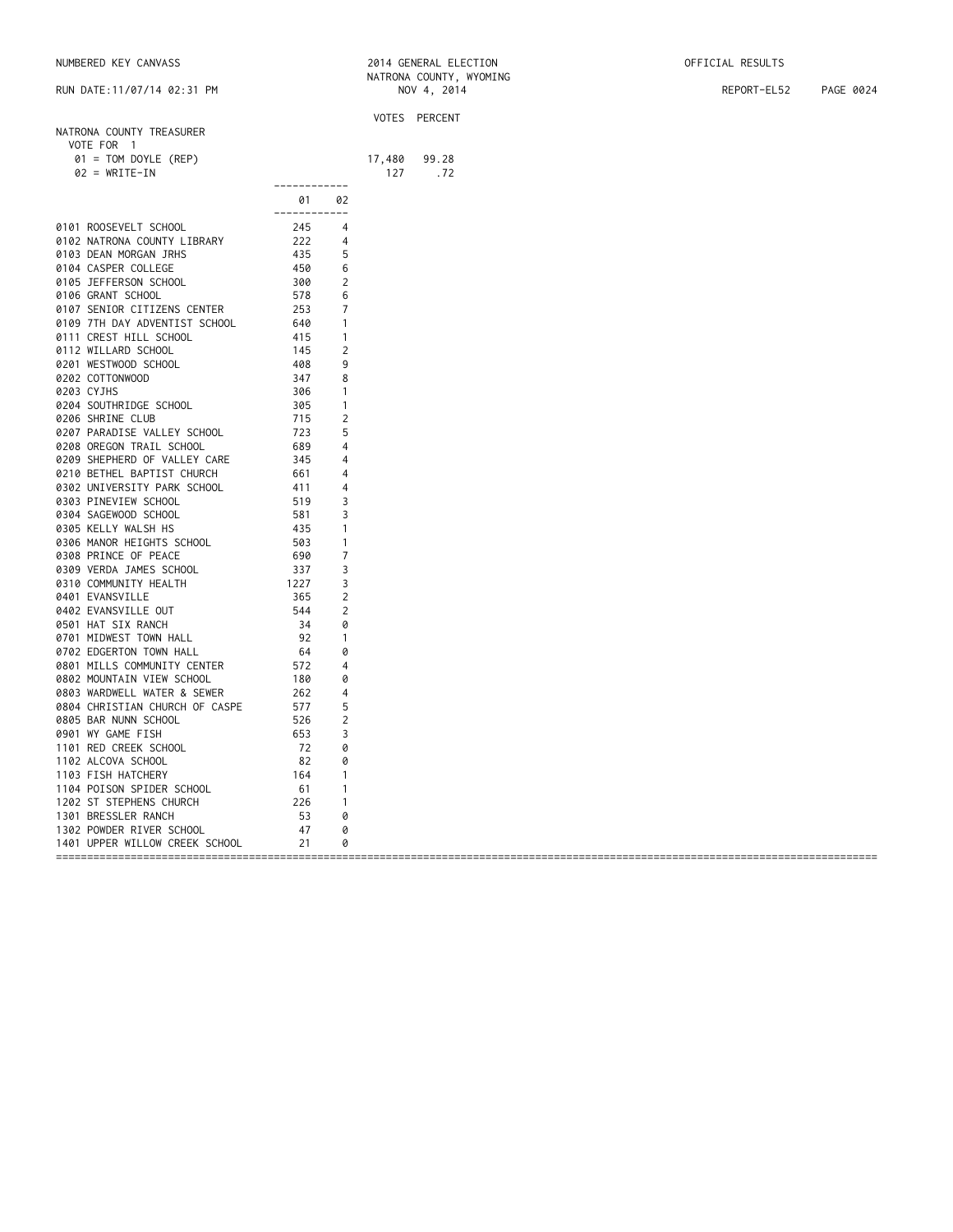## NUMBERED KEY CANVASS 2014 GENERAL ELECTION OFFICIAL RESULTS

RUN DATE:11/07/14 02:31 PM NOV 4, 2014 REPORT-EL52 PAGE 0024

|                                |              |                |        | VOTES PERCENT |
|--------------------------------|--------------|----------------|--------|---------------|
| NATRONA COUNTY TREASURER       |              |                |        |               |
| VOTE FOR 1                     |              |                |        |               |
| $01 = TOM DOYLE (REP)$         |              |                | 17,480 | 99.28         |
| $02 = WRITE-IN$                |              |                | 127    | .72           |
|                                | ------------ |                |        |               |
|                                | 01           | 02             |        |               |
|                                | ------------ |                |        |               |
| 0101 ROOSEVELT SCHOOL          | 245          | 4              |        |               |
| 0102 NATRONA COUNTY LIBRARY    | 222          | 4              |        |               |
| 0103 DEAN MORGAN JRHS          | 435          | 5              |        |               |
| 0104 CASPER COLLEGE            | 450          | 6              |        |               |
| 0105 JEFFERSON SCHOOL          | 300          | $\overline{2}$ |        |               |
| 0106 GRANT SCHOOL              | 578          | 6              |        |               |
| 0107 SENIOR CITIZENS CENTER    | 253          | 7              |        |               |
|                                |              |                |        |               |
| 0109 7TH DAY ADVENTIST SCHOOL  | 640          | $\mathbf{1}$   |        |               |
| 0111 CREST HILL SCHOOL         | 415          | $\mathbf{1}$   |        |               |
| 0112 WILLARD SCHOOL            | 145          | 2              |        |               |
| 0201 WESTWOOD SCHOOL           | 408          | 9              |        |               |
| 0202 COTTONWOOD                | 347          | 8              |        |               |
| 0203 CYJHS                     | 306          | $\mathbf{1}$   |        |               |
| 0204 SOUTHRIDGE SCHOOL         | 305          | $\mathbf{1}$   |        |               |
| 0206 SHRINE CLUB               | 715          | 2              |        |               |
| 0207 PARADISE VALLEY SCHOOL    | 723          | 5              |        |               |
| 0208 OREGON TRAIL SCHOOL       | 689          | 4              |        |               |
| 0209 SHEPHERD OF VALLEY CARE   | 345          | 4              |        |               |
| 0210 BETHEL BAPTIST CHURCH     | 661          | 4              |        |               |
| 0302 UNIVERSITY PARK SCHOOL    | 411          | 4              |        |               |
| 0303 PINEVIEW SCHOOL           | 519          | 3              |        |               |
| 0304 SAGEWOOD SCHOOL           | 581          | 3              |        |               |
| 0305 KELLY WALSH HS            | 435          | $\mathbf{1}$   |        |               |
| 0306 MANOR HEIGHTS SCHOOL      | 503          | -1             |        |               |
| 0308 PRINCE OF PEACE           | 690          | 7              |        |               |
| 0309 VERDA JAMES SCHOOL        | 337          | 3              |        |               |
| 0310 COMMUNITY HEALTH          | 1227         | 3              |        |               |
| 0401 EVANSVILLE                | 365          | 2              |        |               |
|                                | 544          |                |        |               |
| 0402 EVANSVILLE OUT            | 34           | 2              |        |               |
| 0501 HAT SIX RANCH             |              | 0              |        |               |
| 0701 MIDWEST TOWN HALL         | 92           | $\mathbf{1}$   |        |               |
| 0702 EDGERTON TOWN HALL        | 64           | 0              |        |               |
| 0801 MILLS COMMUNITY CENTER    | 572          | 4              |        |               |
| 0802 MOUNTAIN VIEW SCHOOL      | 180          | 0              |        |               |
| 0803 WARDWELL WATER & SEWER    | 262          | 4              |        |               |
| 0804 CHRISTIAN CHURCH OF CASPE | 577          | 5              |        |               |
| 0805 BAR NUNN SCHOOL           | 526          | 2              |        |               |
| 0901 WY GAME FISH              | 653          | 3              |        |               |
| 1101 RED CREEK SCHOOL          | 72           | 0              |        |               |
| 1102 ALCOVA SCHOOL             | - 82         | 0              |        |               |
| 1103 FISH HATCHERY             | 164          | $\mathbf{1}$   |        |               |
| 1104 POISON SPIDER SCHOOL      | - 61         | -1             |        |               |
| 1202 ST STEPHENS CHURCH        | 226          | $\mathbf{1}$   |        |               |
| 1301 BRESSLER RANCH            | 53           | 0              |        |               |
| 1302 POWDER RIVER SCHOOL       | 47           | 0              |        |               |
| 1401 UPPER WILLOW CREEK SCHOOL | 21           | 0              |        |               |
|                                |              |                |        |               |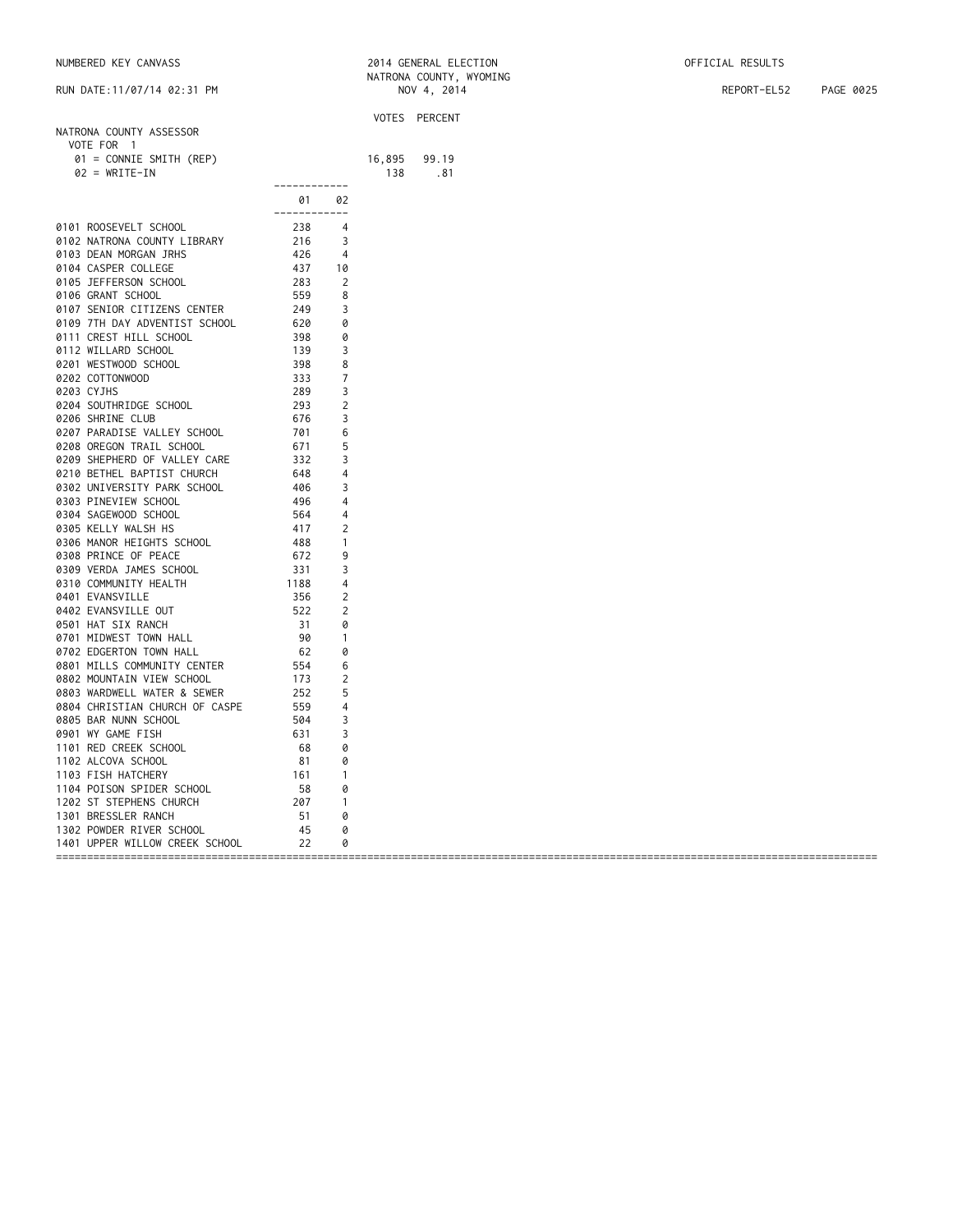|            |                                                                                                                                                                                |                                                             |                     |        | VOTES PERCENT |
|------------|--------------------------------------------------------------------------------------------------------------------------------------------------------------------------------|-------------------------------------------------------------|---------------------|--------|---------------|
|            | NATRONA COUNTY ASSESSOR                                                                                                                                                        |                                                             |                     |        |               |
|            | VOTE FOR 1                                                                                                                                                                     |                                                             |                     |        |               |
|            | 01 = CONNIE SMITH (REP)                                                                                                                                                        |                                                             |                     | 16,895 | 99.19         |
|            | $02 = WRITE-IN$                                                                                                                                                                |                                                             |                     | 138    | .81           |
|            |                                                                                                                                                                                | ------------                                                |                     |        |               |
|            |                                                                                                                                                                                | 01 —                                                        | 02                  |        |               |
|            |                                                                                                                                                                                | ------------                                                |                     |        |               |
|            | 0101 ROOSEVELT SCHOOL                                                                                                                                                          | 238                                                         | $\overline{4}$      |        |               |
|            | 0102 NATRONA COUNTY LIBRARY                                                                                                                                                    | $\frac{216}{426}$                                           | 3                   |        |               |
|            | 0103 DEAN MORGAN JRHS                                                                                                                                                          |                                                             | 4                   |        |               |
|            | 0104 CASPER COLLEGE                                                                                                                                                            |                                                             | 10                  |        |               |
|            | 0105 JEFFERSON SCHOOL                                                                                                                                                          | 283                                                         | 2                   |        |               |
|            | 0106 GRANT SCHOOL                                                                                                                                                              |                                                             | 8                   |        |               |
|            | 0107 SENIOR CITIZENS CENTER                                                                                                                                                    |                                                             | 3                   |        |               |
|            | 0109 7TH DAY ADVENTIST SCHOOL                                                                                                                                                  |                                                             | 0                   |        |               |
|            | 0111 CREST HILL SCHOOL                                                                                                                                                         |                                                             | 0                   |        |               |
|            | 0112 WILLARD SCHOOL                                                                                                                                                            |                                                             | 3                   |        |               |
|            | 0201 WESTWOOD SCHOOL                                                                                                                                                           | $555$<br>$249$<br>$620$<br>$398$<br>$139$<br>$398$<br>$333$ | 8                   |        |               |
|            | 0202 COTTONWOOD                                                                                                                                                                |                                                             | 7                   |        |               |
| 0203 CYJHS |                                                                                                                                                                                | 289                                                         | 3                   |        |               |
|            | 0204 SOUTHRIDGE SCHOOL                                                                                                                                                         | 293                                                         | 2                   |        |               |
|            | 0206 SHRINE CLUB                                                                                                                                                               | 676                                                         | 3                   |        |               |
|            | 0207 PARADISE VALLEY SCHOOL                                                                                                                                                    | 701                                                         | 6                   |        |               |
|            | 0208 OREGON TRAIL SCHOOL                                                                                                                                                       | 671                                                         | 5                   |        |               |
|            | 0209 SHEPHERD OF VALLEY CARE                                                                                                                                                   | 332                                                         | 3                   |        |               |
|            | 0210 BETHEL BAPTIST CHURCH                                                                                                                                                     | 648                                                         | 4                   |        |               |
|            | 0302 UNIVERSITY PARK SCHOOL                                                                                                                                                    | $\frac{11}{406}$                                            | 3                   |        |               |
|            | 0303 PINEVIEW SCHOOL                                                                                                                                                           |                                                             | 4                   |        |               |
|            | 0304 SAGEWOOD SCHOOL                                                                                                                                                           |                                                             | 4                   |        |               |
|            | 0305 KELLY WALSH HS                                                                                                                                                            |                                                             | 2                   |        |               |
|            | 0306 MANOR HEIGHTS SCHOOL                                                                                                                                                      |                                                             | -1                  |        |               |
|            | 0308 PRINCE OF PEACE                                                                                                                                                           | $-30$<br>$564$<br>$417$<br>$488$<br>$672$<br>$331$          | 9                   |        |               |
|            | 0309 VERDA JAMES SCHOOL                                                                                                                                                        |                                                             | 3                   |        |               |
|            | 0310 COMMUNITY HEALTH                                                                                                                                                          | 1188                                                        | 4                   |        |               |
|            | 0401 EVANSVILLE                                                                                                                                                                | 356                                                         | 2                   |        |               |
|            | 0402 EVANSVILLE OUT                                                                                                                                                            | 522                                                         | 2                   |        |               |
|            | 0501 HAT SIX RANCH                                                                                                                                                             | 31                                                          | 0                   |        |               |
|            | 0701 MIDWEST TOWN HALL                                                                                                                                                         | 90                                                          |                     |        |               |
|            | 0702 EDGERTON TOWN HALL                                                                                                                                                        | 62                                                          | $\overline{1}$<br>0 |        |               |
|            |                                                                                                                                                                                |                                                             |                     |        |               |
|            | 02<br>02<br>02<br>0301 MILLS COMMUNITY CENTER<br>0302 MOUNTAIN VIEW SCHOOL<br>173<br>0303 WARDWELL WATER & SEWER<br>252<br>0304 CHAISTIAN CHURCH OF CASPE<br>554<br>554<br>554 |                                                             | 6                   |        |               |
|            |                                                                                                                                                                                |                                                             | 2                   |        |               |
|            |                                                                                                                                                                                |                                                             | 5                   |        |               |
|            |                                                                                                                                                                                |                                                             | 4                   |        |               |
|            | 0805 BAR NUNN SCHOOL                                                                                                                                                           | 504                                                         | 3                   |        |               |
|            | 0901 WY GAME FISH                                                                                                                                                              | 631                                                         | 3                   |        |               |
|            | 1101 RED CREEK SCHOOL                                                                                                                                                          | 68                                                          | 0                   |        |               |
|            | 1102 ALCOVA SCHOOL                                                                                                                                                             | 81                                                          | 0                   |        |               |
|            | 1103 FISH HATCHERY                                                                                                                                                             | $\frac{16}{58}$<br>$\frac{58}{20}$                          | $\mathbf{1}$        |        |               |
|            | 1104 POISON SPIDER SCHOOL                                                                                                                                                      |                                                             | 0                   |        |               |
|            | 1202 ST STEPHENS CHURCH                                                                                                                                                        |                                                             | $\overline{1}$      |        |               |
|            | 1301 BRESSLER RANCH                                                                                                                                                            | 51                                                          | 0                   |        |               |
|            | 1302 POWDER RIVER SCHOOL                                                                                                                                                       | 45                                                          | 0                   |        |               |
|            | 1401 UPPER WILLOW CREEK SCHOOL                                                                                                                                                 | 22                                                          | 0                   |        |               |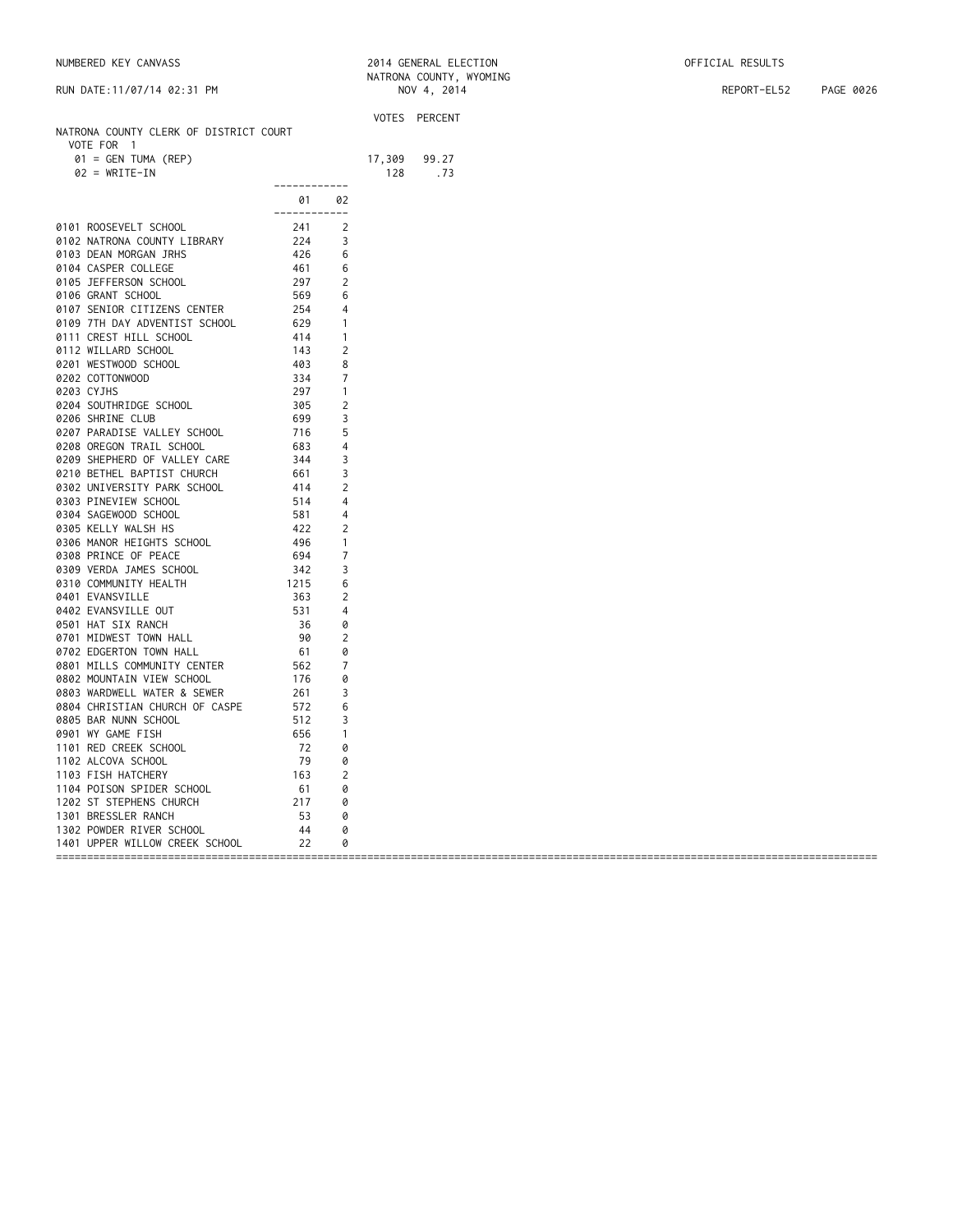|                                        |               |                | VOTES PERCENT |
|----------------------------------------|---------------|----------------|---------------|
| NATRONA COUNTY CLERK OF DISTRICT COURT |               |                |               |
| VOTE FOR 1                             |               |                |               |
| $01 = GEN TUMA (REP)$                  |               | 17,309         | 99.27         |
| $02 = WRITE-IN$                        |               | 128            | .73           |
|                                        | ------------  |                |               |
|                                        | 01 02         |                |               |
|                                        | ------------- |                |               |
| 0101 ROOSEVELT SCHOOL                  | 241           | 2              |               |
| 0102 NATRONA COUNTY LIBRARY            | 224           | 3              |               |
| 0103 DEAN MORGAN JRHS                  | 426           | 6              |               |
| 0104 CASPER COLLEGE                    | 461           | 6              |               |
| 0105 JEFFERSON SCHOOL                  | 297           | $\overline{2}$ |               |
|                                        |               |                |               |
| 0106 GRANT SCHOOL                      | 569           | 6              |               |
| 0107 SENIOR CITIZENS CENTER            | 254           | $\overline{4}$ |               |
| 0109 7TH DAY ADVENTIST SCHOOL          | 629           | $\overline{1}$ |               |
| 0111 CREST HILL SCHOOL                 | 414           | $\overline{1}$ |               |
| 0112 WILLARD SCHOOL                    | 143<br>403    | 2              |               |
| 0201 WESTWOOD SCHOOL                   |               | 8              |               |
| 0202 COTTONWOOD                        | 334           | 7              |               |
| 0203 CYJHS                             | 297           | $\mathbf{1}$   |               |
| 0204 SOUTHRIDGE SCHOOL                 | 305           | 2              |               |
| 0206 SHRINE CLUB                       | 699           | 3              |               |
| 0207 PARADISE VALLEY SCHOOL            | 716           | 5              |               |
| 0208 OREGON TRAIL SCHOOL               | 683           | $\overline{4}$ |               |
|                                        |               |                |               |
| 0209 SHEPHERD OF VALLEY CARE           | 344           | 3              |               |
| 0210 BETHEL BAPTIST CHURCH             | 661           | 3              |               |
| 0302 UNIVERSITY PARK SCHOOL            | 414           | 2              |               |
| 0303 PINEVIEW SCHOOL                   | 514           | 4              |               |
| 0304 SAGEWOOD SCHOOL                   | 581           | 4              |               |
| 0305 KELLY WALSH HS                    | 422           | 2              |               |
| 0306 MANOR HEIGHTS SCHOOL              | 496           | $\overline{1}$ |               |
| 0308 PRINCE OF PEACE                   | 694           | 7              |               |
| 0309 VERDA JAMES SCHOOL                | 342           | 3              |               |
| 0310 COMMUNITY HEALTH                  | 1215          | 6              |               |
|                                        | 363           | 2              |               |
| 0401 EVANSVILLE                        |               |                |               |
| 0402 EVANSVILLE OUT                    | 531           | $\overline{4}$ |               |
| 0501 HAT SIX RANCH                     | 36            | 0              |               |
| 0701 MIDWEST TOWN HALL                 | 90            | 2              |               |
| 0702 EDGERTON TOWN HALL                | 61            | 0              |               |
| 0801 MILLS COMMUNITY CENTER            | 562           | 7              |               |
| 0802 MOUNTAIN VIEW SCHOOL              | 176           | 0              |               |
| 0803 WARDWELL WATER & SEWER            | 261           | 3              |               |
| 0804 CHRISTIAN CHURCH OF CASPE         | 572           | 6              |               |
| 0805 BAR NUNN SCHOOL                   | 512           | 3              |               |
| 0901 WY GAME FISH                      | 656           | $\overline{1}$ |               |
| 1101 RED CREEK SCHOOL                  | 72            | 0              |               |
|                                        |               |                |               |
| 1102 ALCOVA SCHOOL                     | 79            | 0              |               |
| 1103 FISH HATCHERY                     | 163           | 2              |               |
| 1104 POISON SPIDER SCHOOL              | 61            | 0              |               |
| 1202 ST STEPHENS CHURCH                | 217           | 0              |               |
| 1301 BRESSLER RANCH                    | 53            | 0              |               |
| 1302 POWDER RIVER SCHOOL               | - 44          | 0              |               |
| 1401 UPPER WILLOW CREEK SCHOOL         | 22            | 0              |               |
|                                        |               |                |               |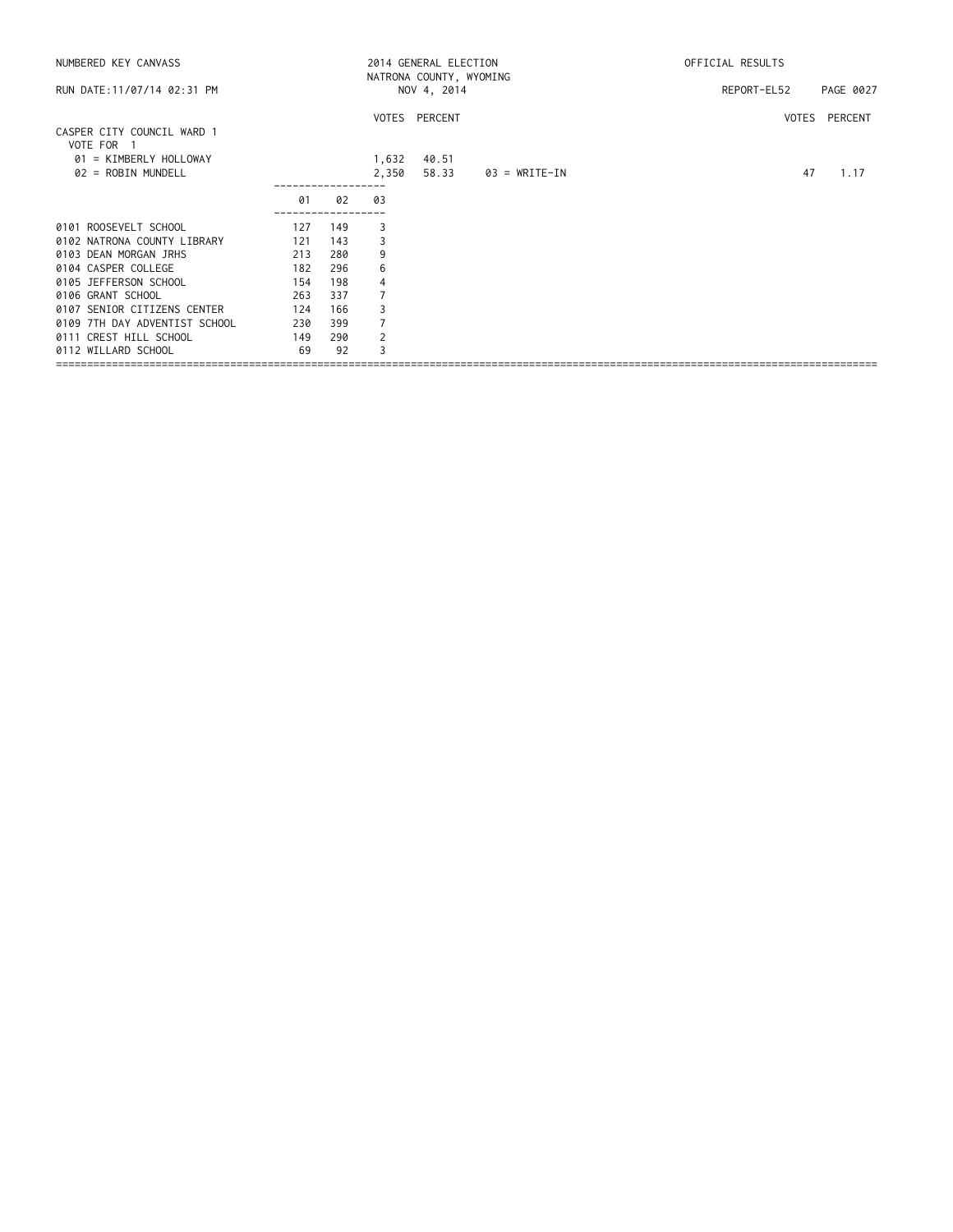| NUMBERED KEY CANVASS                     |     |     |       | 2014 GENERAL ELECTION<br>NATRONA COUNTY, WYOMING |                 | OFFICIAL RESULTS |           |
|------------------------------------------|-----|-----|-------|--------------------------------------------------|-----------------|------------------|-----------|
| RUN DATE: 11/07/14 02:31 PM              |     |     |       | NOV 4, 2014                                      |                 | REPORT-EL52      | PAGE 0027 |
|                                          |     |     |       | VOTES PERCENT                                    |                 | VOTES PERCENT    |           |
| CASPER CITY COUNCIL WARD 1<br>VOTE FOR 1 |     |     |       |                                                  |                 |                  |           |
| 01 = KIMBERLY HOLLOWAY                   |     |     | 1,632 | 40.51                                            |                 |                  |           |
| 02 = ROBIN MUNDELL                       |     |     | 2,350 | 58.33                                            | $03 = WRITE-IN$ | 47               | 1.17      |
|                                          | 01  | 02  | 03    |                                                  |                 |                  |           |
| 0101 ROOSEVELT SCHOOL                    | 127 | 149 | 3     |                                                  |                 |                  |           |
| 0102 NATRONA COUNTY LIBRARY              | 121 | 143 | 3     |                                                  |                 |                  |           |
| 0103 DEAN MORGAN JRHS                    | 213 | 280 | 9     |                                                  |                 |                  |           |
| 0104 CASPER COLLEGE                      | 182 | 296 | 6     |                                                  |                 |                  |           |
| 0105 JEFFERSON SCHOOL                    | 154 | 198 | 4     |                                                  |                 |                  |           |
| 0106 GRANT SCHOOL                        | 263 | 337 |       |                                                  |                 |                  |           |
| 0107 SENIOR CITIZENS CENTER              | 124 | 166 |       |                                                  |                 |                  |           |
| 0109 7TH DAY ADVENTIST SCHOOL            | 230 | 399 |       |                                                  |                 |                  |           |
| 0111 CREST HILL SCHOOL                   | 149 | 290 | 2     |                                                  |                 |                  |           |
| 0112 WILLARD SCHOOL                      | 69  | 92  | 3     |                                                  |                 |                  |           |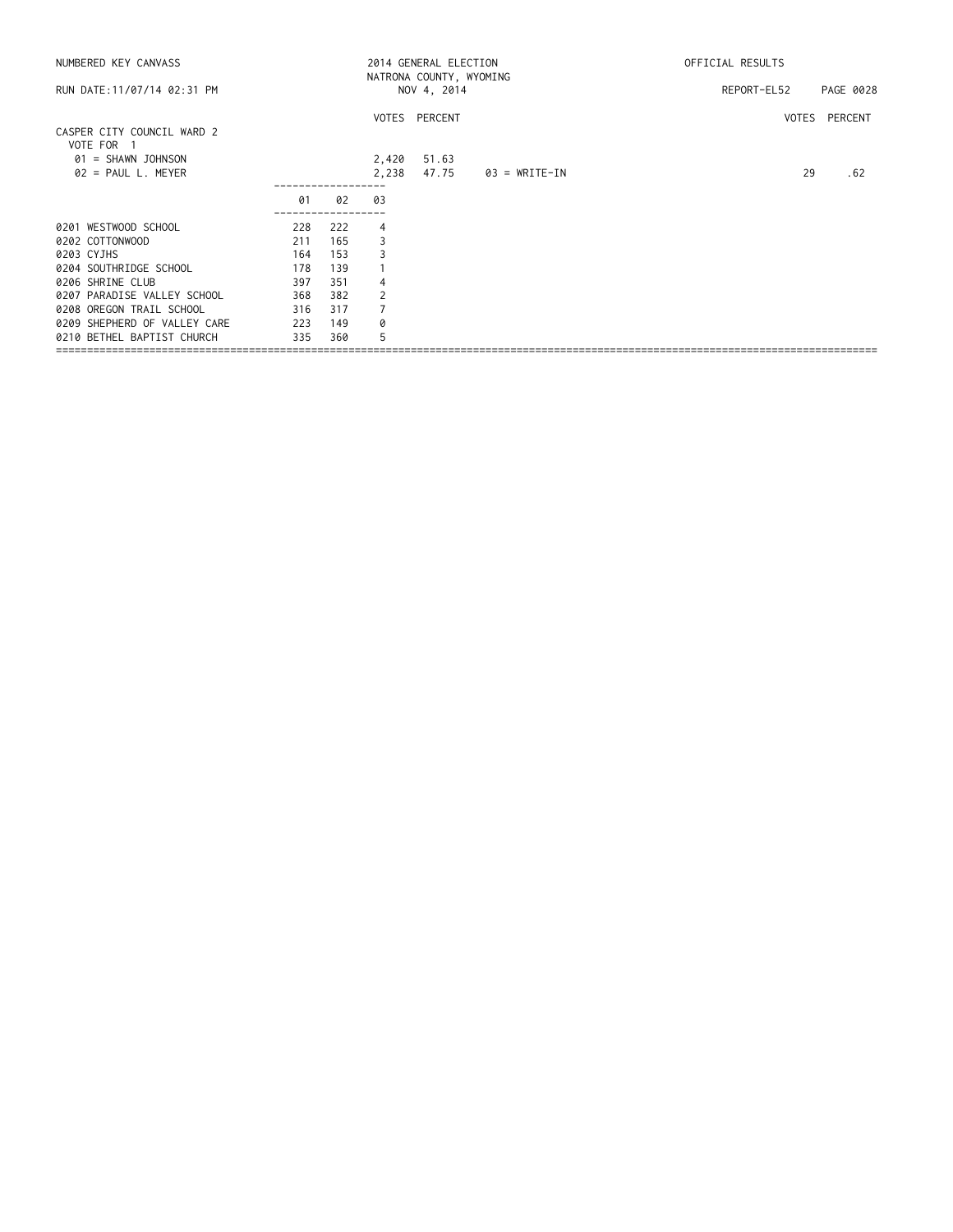| NUMBERED KEY CANVASS                                       |     |     |                | 2014 GENERAL ELECTION<br>NATRONA COUNTY, WYOMING |               | OFFICIAL RESULTS |               |  |  |
|------------------------------------------------------------|-----|-----|----------------|--------------------------------------------------|---------------|------------------|---------------|--|--|
| RUN DATE: 11/07/14 02:31 PM                                |     |     |                | NOV 4, 2014                                      |               | REPORT-EL52      | PAGE 0028     |  |  |
| CASPER CITY COUNCIL WARD 2                                 |     |     |                | VOTES PERCENT                                    |               |                  | VOTES PERCENT |  |  |
| VOTE FOR 1<br>$01 = SHAWN$ JOHNSON<br>$02 = PAUL L. MEYER$ |     |     | 2,420<br>2,238 | 51.63<br>47.75                                   | 03 = WRITE-IN | 29               | .62           |  |  |
|                                                            | 01  | 02  | 03             |                                                  |               |                  |               |  |  |
| 0201 WESTWOOD SCHOOL                                       | 228 | 222 | 4              |                                                  |               |                  |               |  |  |
| 0202 COTTONWOOD                                            | 211 | 165 | 3              |                                                  |               |                  |               |  |  |
| 0203 CYJHS                                                 | 164 | 153 |                |                                                  |               |                  |               |  |  |
| 0204 SOUTHRIDGE SCHOOL                                     | 178 | 139 |                |                                                  |               |                  |               |  |  |
| 0206 SHRINE CLUB                                           | 397 | 351 | 4              |                                                  |               |                  |               |  |  |
| 0207 PARADISE VALLEY SCHOOL                                | 368 | 382 | 2              |                                                  |               |                  |               |  |  |
| 0208 OREGON TRAIL SCHOOL                                   | 316 | 317 |                |                                                  |               |                  |               |  |  |
| 0209 SHEPHERD OF VALLEY CARE                               | 223 | 149 | 0              |                                                  |               |                  |               |  |  |
| 0210 BETHEL BAPTIST CHURCH                                 | 335 | 360 | 5              |                                                  |               |                  |               |  |  |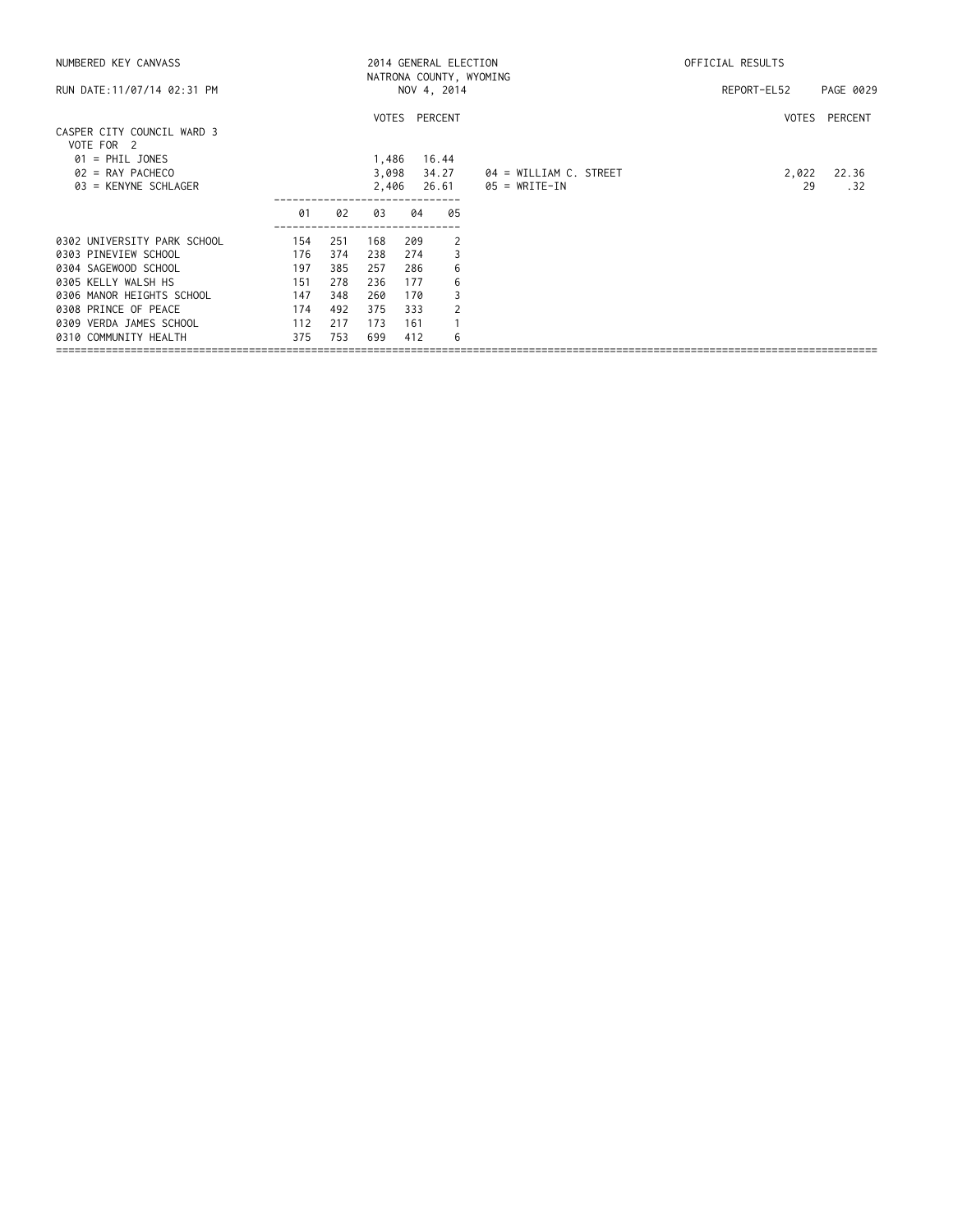| NUMBERED KEY CANVASS                                                     |                   |                   |                         |                   | 2014 GENERAL ELECTION<br>NATRONA COUNTY, WYOMING |                                           | OFFICIAL RESULTS |               |  |  |
|--------------------------------------------------------------------------|-------------------|-------------------|-------------------------|-------------------|--------------------------------------------------|-------------------------------------------|------------------|---------------|--|--|
| RUN DATE: 11/07/14 02:31 PM                                              |                   |                   |                         |                   | NOV 4, 2014                                      |                                           | REPORT-EL52      | PAGE 0029     |  |  |
| CASPER CITY COUNCIL WARD 3<br>VOTE FOR 2                                 |                   |                   |                         |                   | VOTES PERCENT                                    |                                           |                  | VOTES PERCENT |  |  |
| $01 = PHIL JONES$<br>$02 = RAY$ PACHECO<br>03 = KENYNE SCHLAGER          |                   |                   | 1,486<br>3,098<br>2,406 |                   | 16.44<br>34.27<br>26.61                          | 04 = WILLIAM C. STREET<br>$05 = WRITE-IN$ | 2,022<br>29      | 22.36<br>.32  |  |  |
|                                                                          | 01                | 02                | 03                      | 04                | 05                                               |                                           |                  |               |  |  |
| 0302 UNIVERSITY PARK SCHOOL<br>0303 PINEVIEW SCHOOL                      | 154<br>176        | 251<br>374        | 168<br>238              | 209<br>274        | 2<br>3                                           |                                           |                  |               |  |  |
| 0304 SAGEWOOD SCHOOL                                                     | 197               | 385               | 257                     | 286               | 6                                                |                                           |                  |               |  |  |
| 0305 KELLY WALSH HS<br>0306 MANOR HEIGHTS SCHOOL                         | 151<br>147        | 278<br>348        | 236<br>260              | 177<br>170        | 6<br>3                                           |                                           |                  |               |  |  |
| 0308 PRINCE OF PEACE<br>0309 VERDA JAMES SCHOOL<br>0310 COMMUNITY HEALTH | 174<br>112<br>375 | 492<br>217<br>753 | 375<br>173<br>699       | 333<br>161<br>412 | 2<br>6                                           |                                           |                  |               |  |  |
|                                                                          |                   |                   |                         |                   |                                                  |                                           |                  |               |  |  |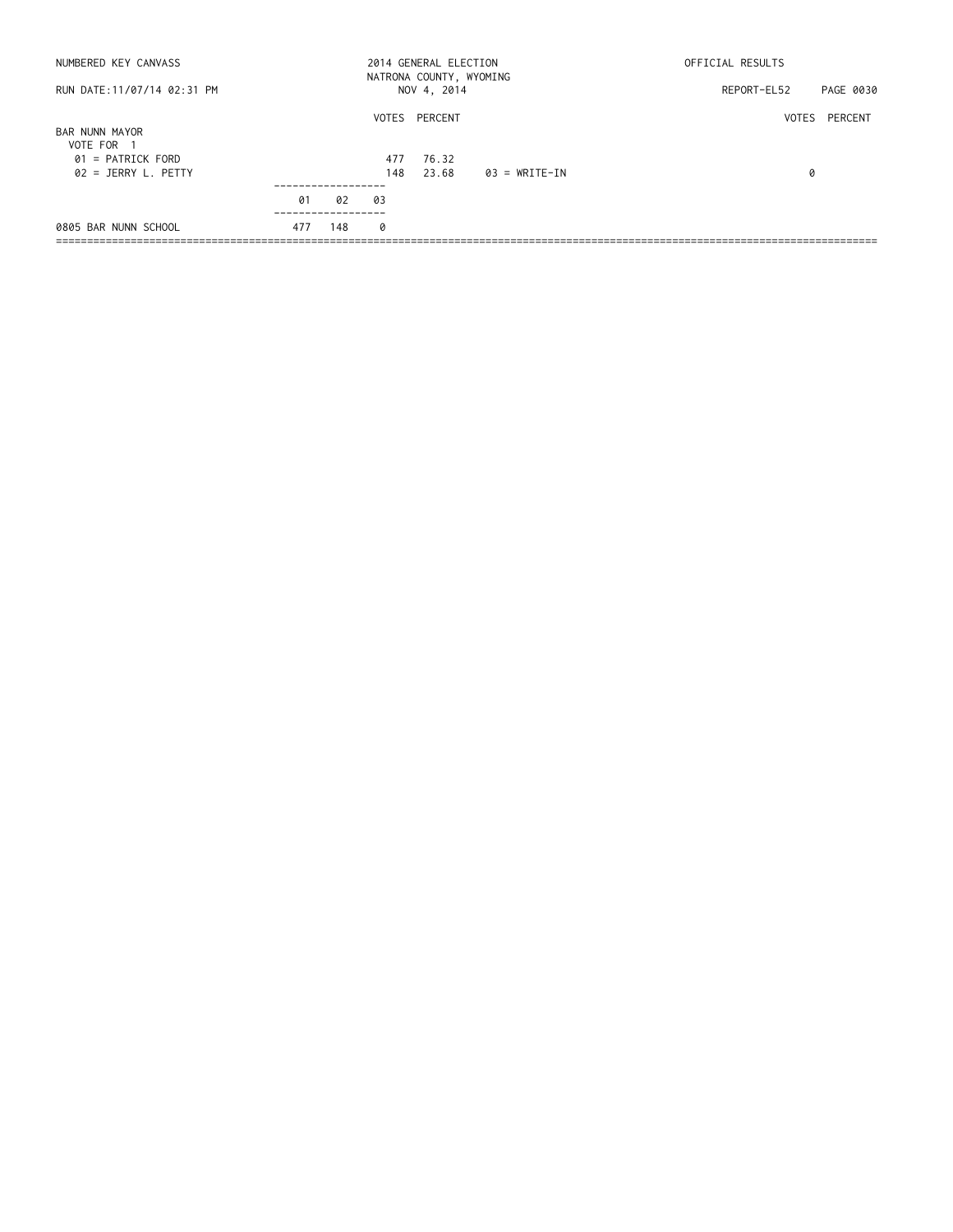| NUMBERED KEY CANVASS                         |     |     |            | 2014 GENERAL ELECTION<br>NATRONA COUNTY, WYOMING |               | OFFICIAL RESULTS |               |  |  |
|----------------------------------------------|-----|-----|------------|--------------------------------------------------|---------------|------------------|---------------|--|--|
| RUN DATE:11/07/14 02:31 PM                   |     |     |            | NOV 4, 2014                                      |               | REPORT-EL52      | PAGE 0030     |  |  |
| BAR NUNN MAYOR<br>VOTE FOR 1                 |     |     |            | VOTES PERCENT                                    |               |                  | VOTES PERCENT |  |  |
| $01$ = PATRICK FORD<br>$02 = JERRY L. PETTY$ |     |     | 477<br>148 | 76.32<br>23.68                                   | 03 = WRITE-IN | 0                |               |  |  |
|                                              | 01  | 02  | 03         |                                                  |               |                  |               |  |  |
| 0805 BAR NUNN SCHOOL                         | 477 | 148 | 0          |                                                  |               |                  |               |  |  |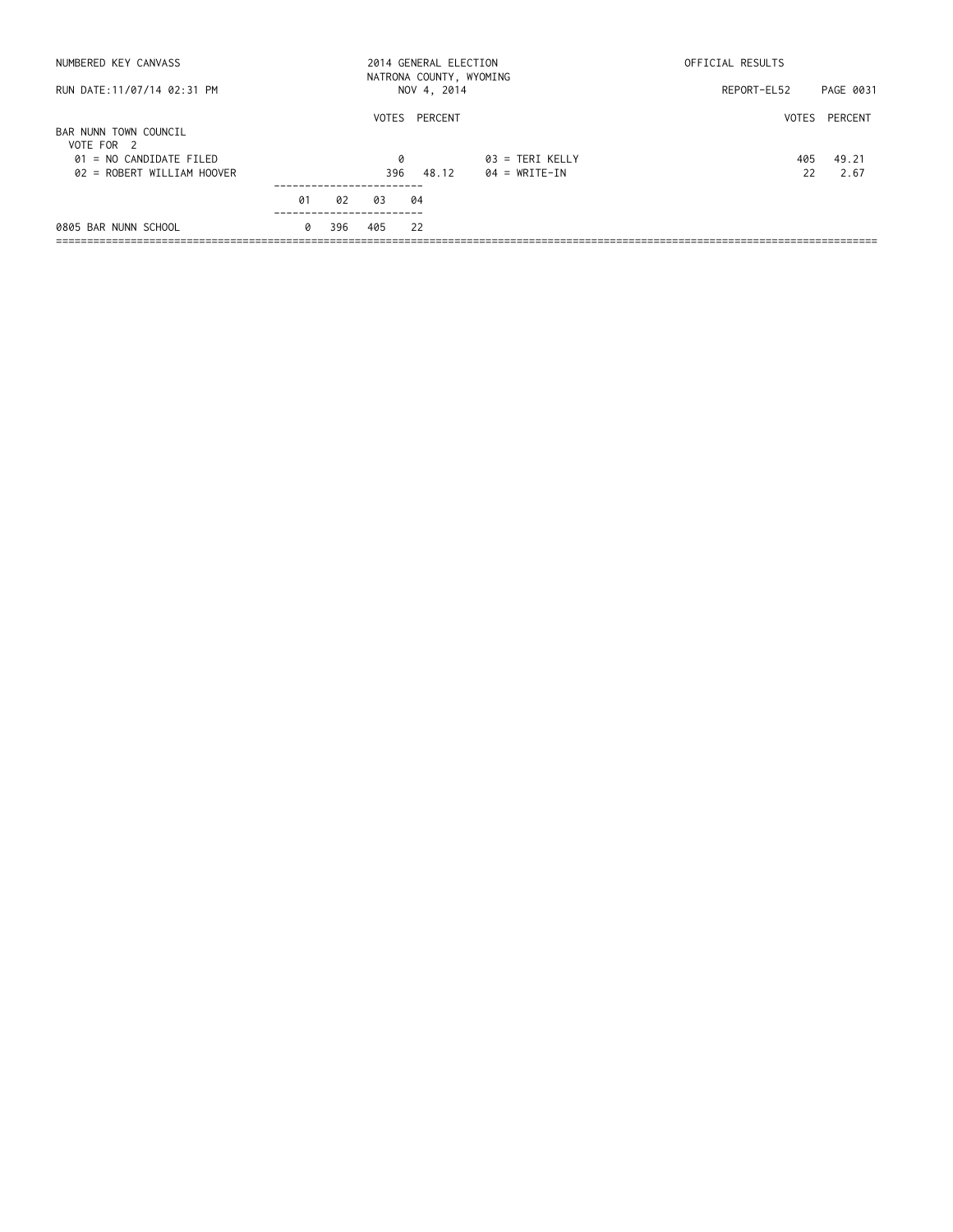| NUMBERED KEY CANVASS                                    |    |     |     |    | 2014 GENERAL ELECTION | NATRONA COUNTY, WYOMING            | OFFICIAL RESULTS |               |
|---------------------------------------------------------|----|-----|-----|----|-----------------------|------------------------------------|------------------|---------------|
| RUN DATE: 11/07/14 02:31 PM                             |    |     |     |    | NOV 4, 2014           |                                    | REPORT-EL52      | PAGE 0031     |
| BAR NUNN TOWN COUNCIL<br>VOTE FOR 2                     |    |     |     |    | VOTES PERCENT         |                                    |                  | VOTES PERCENT |
| $01 = NO$ CANDIDATE FILED<br>02 = ROBERT WILLIAM HOOVER |    |     | 396 | 0  | 48.12                 | $03$ = TERI KELLY<br>04 = WRITE-IN | 405<br>22        | 49.21<br>2.67 |
|                                                         | 01 | 02  | 03  | 04 |                       |                                    |                  |               |
| 0805 BAR NUNN SCHOOL                                    | 0  | 396 | 405 | 22 |                       |                                    |                  |               |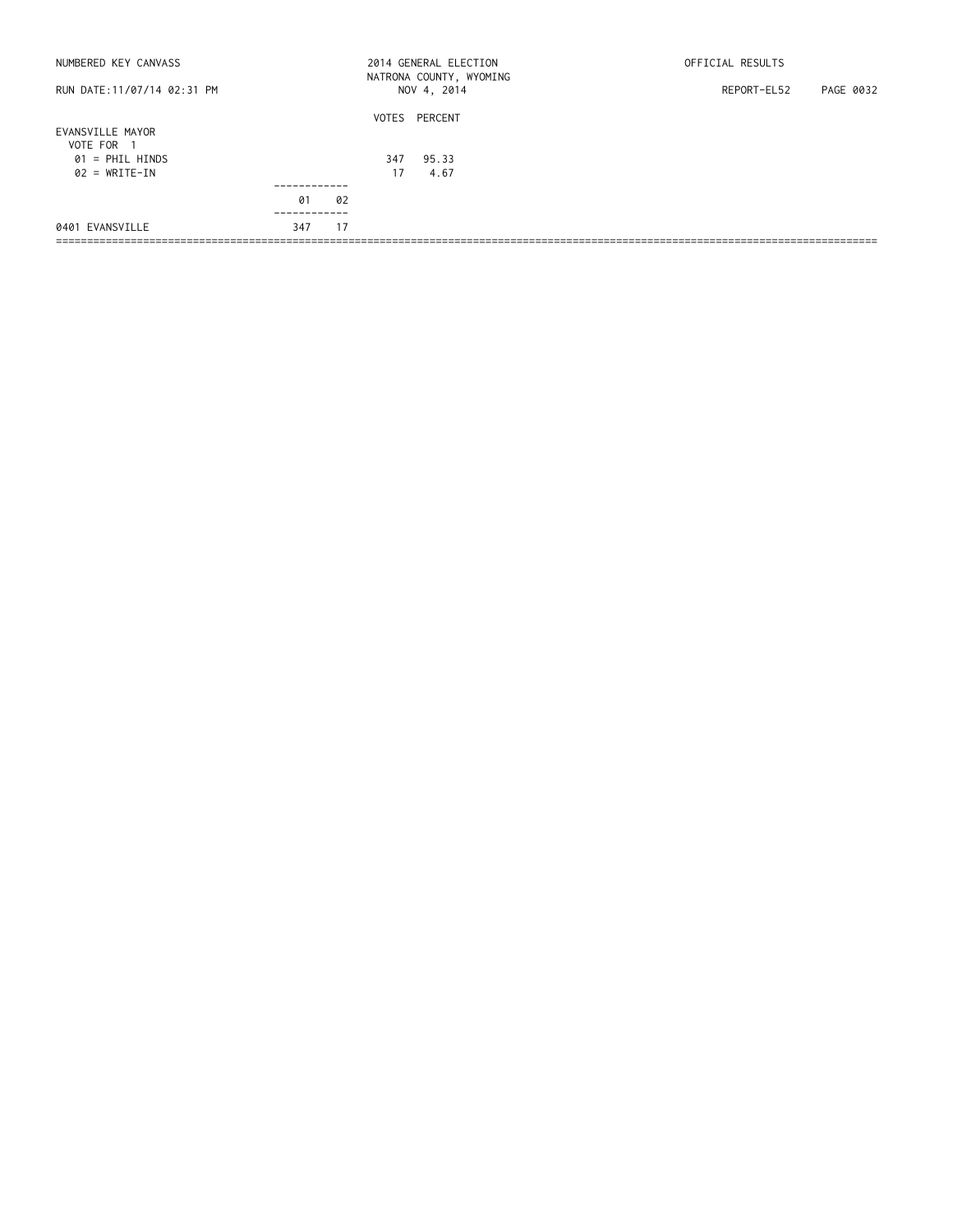| NUMBERED KEY CANVASS                 |     |           | 2014 GENERAL ELECTION                  | OFFICIAL RESULTS         |
|--------------------------------------|-----|-----------|----------------------------------------|--------------------------|
| RUN DATE:11/07/14 02:31 PM           |     |           | NATRONA COUNTY, WYOMING<br>NOV 4, 2014 | PAGE 0032<br>REPORT-EL52 |
| EVANSVILLE MAYOR<br>VOTE FOR<br>- 1  |     |           | VOTES PERCENT                          |                          |
| $01$ = PHIL HINDS<br>$02 = WRITE-IN$ |     | 347<br>17 | 95.33<br>4.67                          |                          |
|                                      | 01  | 02        |                                        |                          |
| 0401 EVANSVILLE                      | 347 | 17        |                                        |                          |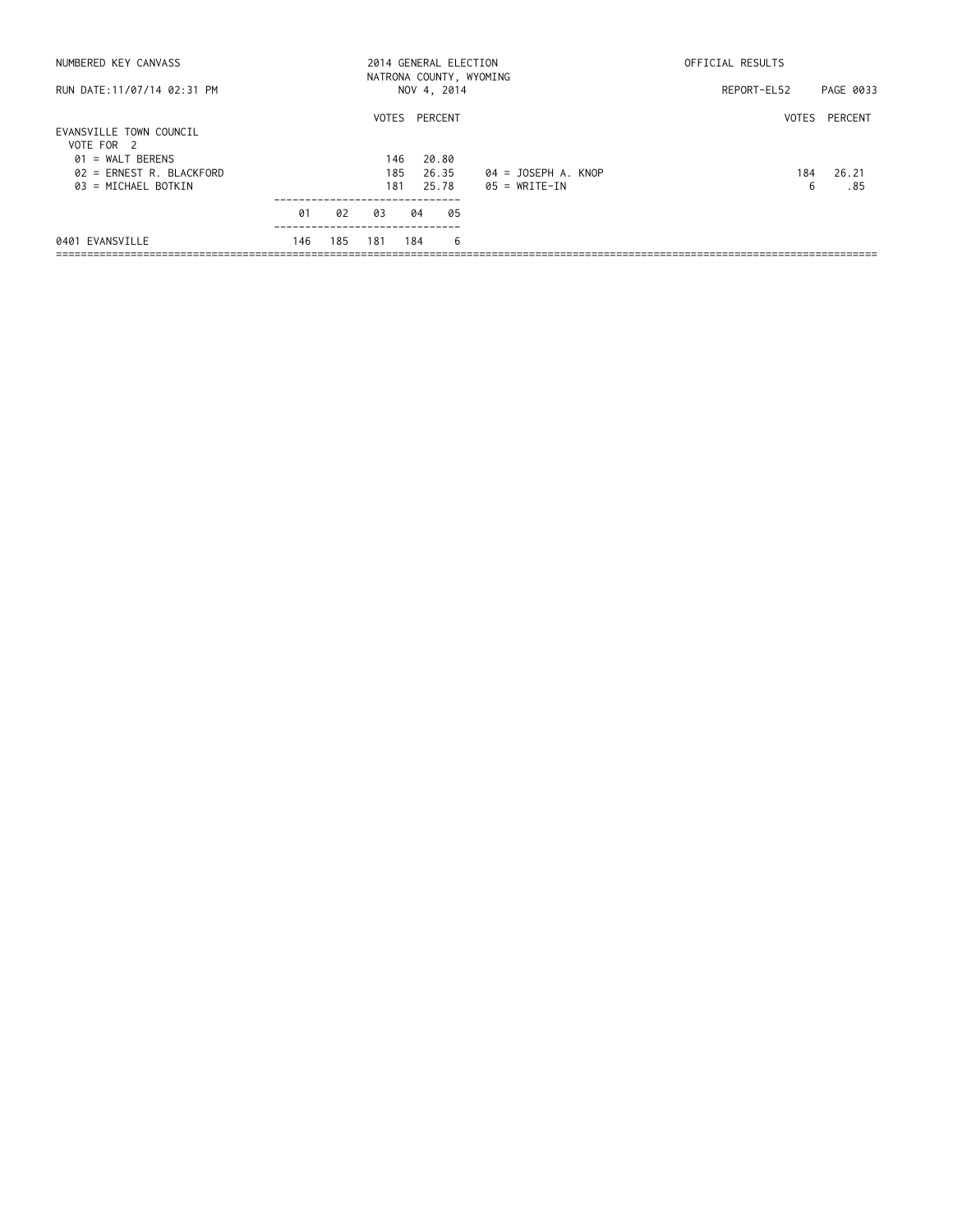| NUMBERED KEY CANVASS                                                                                             |           |           |           |                                    |       | 2014 GENERAL ELECTION | NATRONA COUNTY, WYOMING                | OFFICIAL RESULTS |                               |
|------------------------------------------------------------------------------------------------------------------|-----------|-----------|-----------|------------------------------------|-------|-----------------------|----------------------------------------|------------------|-------------------------------|
| RUN DATE:11/07/14 02:31 PM                                                                                       |           |           |           |                                    |       | NOV 4, 2014           |                                        | REPORT-EL52      | PAGE 0033                     |
| EVANSVILLE TOWN COUNCIL<br>VOTE FOR 2<br>$01 = WALT$ BERENS<br>$02$ = ERNEST R. BLACKFORD<br>03 = MICHAEL BOTKIN |           |           |           | VOTES PERCENT<br>146<br>185<br>181 | 20.80 | 26.35<br>25.78        | 04 = JOSEPH A. KNOP<br>$05 = WRITE-IN$ | 184<br>6         | VOTES PERCENT<br>26.21<br>.85 |
| 0401 EVANSVILLE                                                                                                  | 01<br>146 | 02<br>185 | 03<br>181 | 184                                | 04    | 05<br>- 6             |                                        |                  |                               |
|                                                                                                                  |           |           |           |                                    |       |                       |                                        |                  |                               |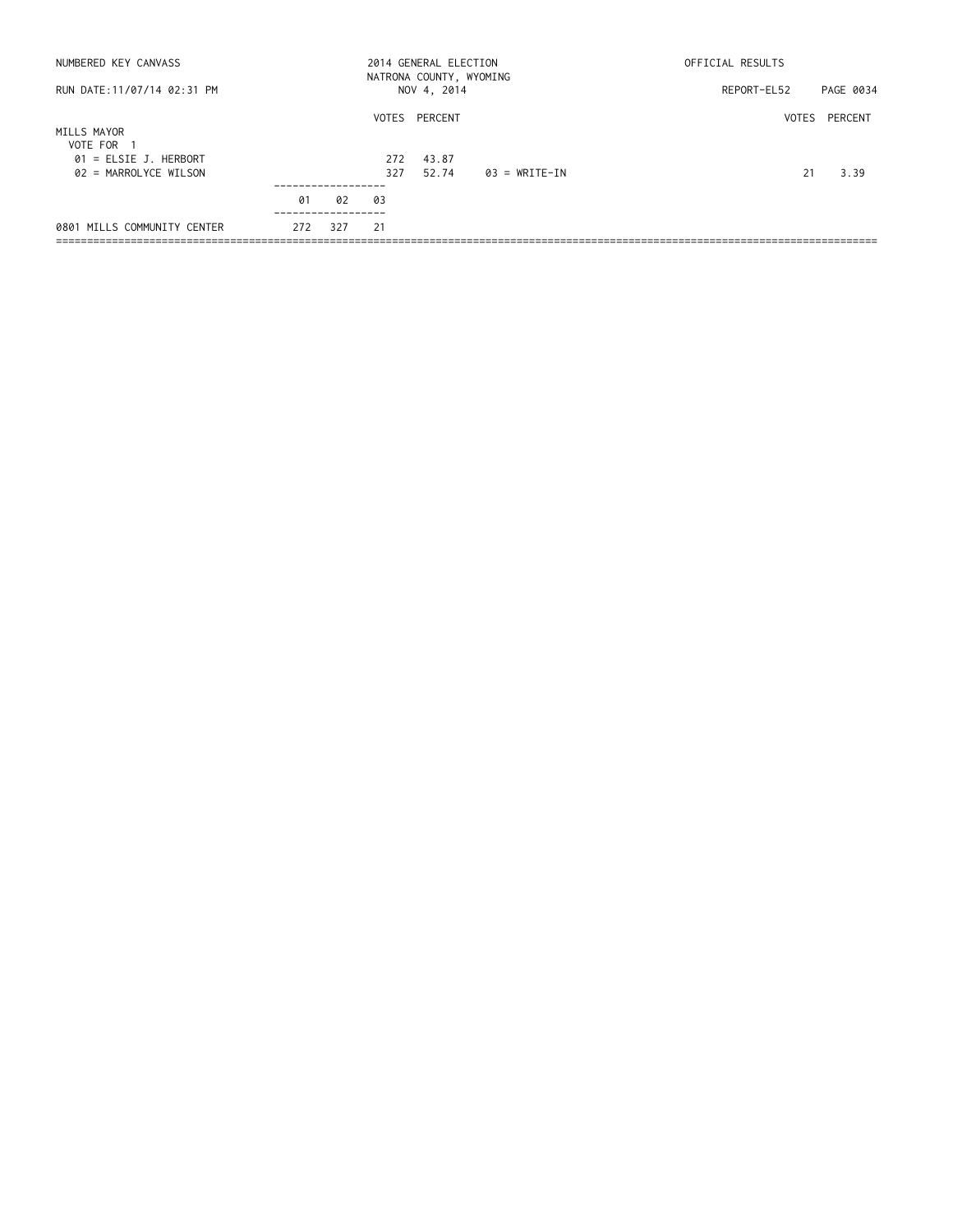| NUMBERED KEY CANVASS                             |     |     |            | 2014 GENERAL ELECTION<br>NATRONA COUNTY, WYOMING |               | OFFICIAL RESULTS |               |
|--------------------------------------------------|-----|-----|------------|--------------------------------------------------|---------------|------------------|---------------|
| RUN DATE: 11/07/14 02:31 PM                      |     |     |            | NOV 4, 2014                                      |               | REPORT-EL52      | PAGE 0034     |
| MILLS MAYOR<br>VOTE FOR 1                        |     |     |            | VOTES PERCENT                                    |               |                  | VOTES PERCENT |
| $01$ = ELSIE J. HERBORT<br>02 = MARROLYCE WILSON |     |     | 272<br>327 | 43.87<br>52.74                                   | 03 = WRITE-IN | 21               | 3.39          |
|                                                  | 01  | 02  | 03         |                                                  |               |                  |               |
| 0801 MILLS COMMUNITY CENTER                      | 272 | 327 | 21         |                                                  |               |                  |               |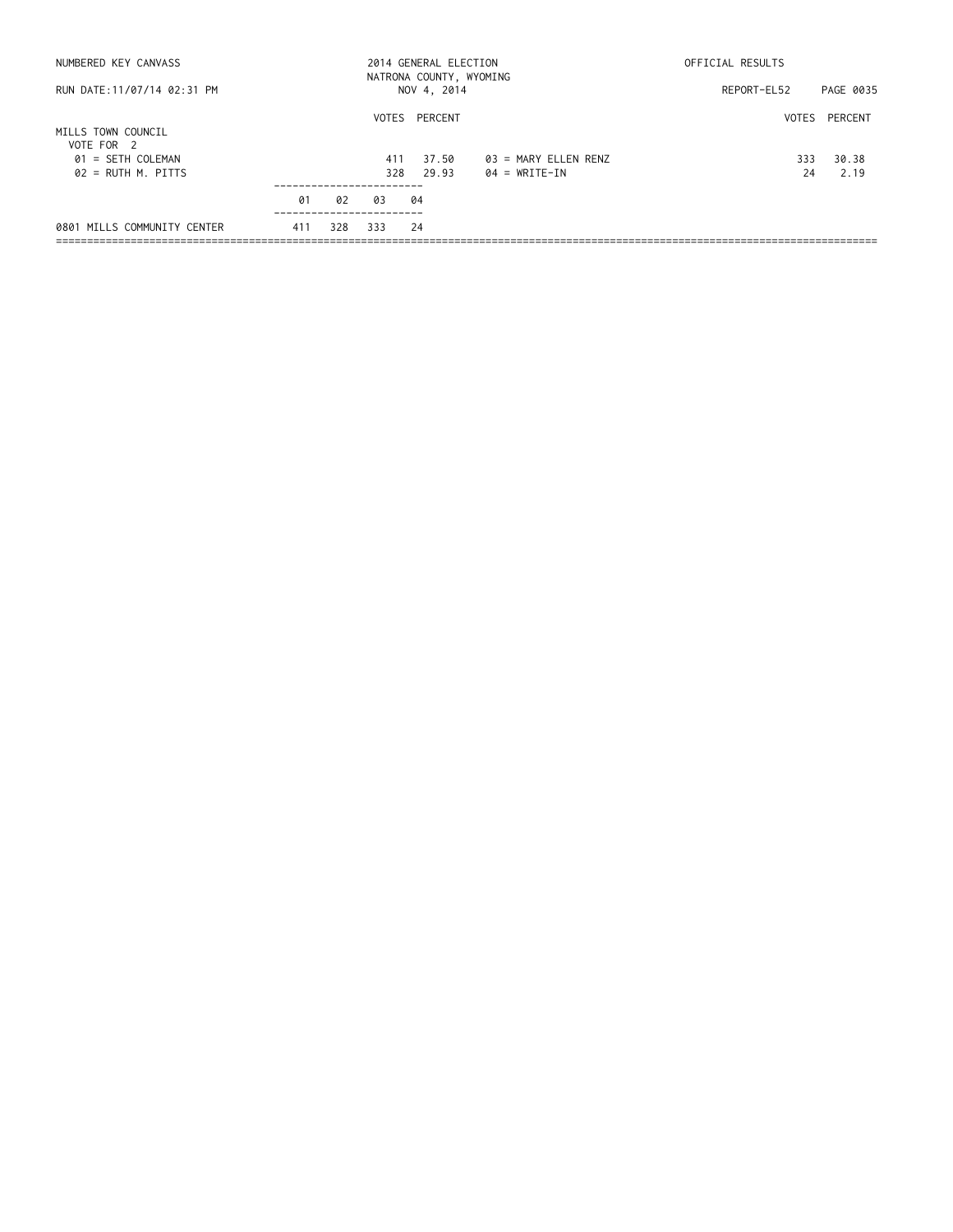| NUMBERED KEY CANVASS             |     |     |     |                | 2014 GENERAL ELECTION<br>NATRONA COUNTY, WYOMING | OFFICIAL RESULTS |               |
|----------------------------------|-----|-----|-----|----------------|--------------------------------------------------|------------------|---------------|
| RUN DATE:11/07/14 02:31 PM       |     |     |     | NOV 4, 2014    |                                                  | REPORT-EL52      | PAGE 0035     |
| MILLS TOWN COUNCIL<br>VOTE FOR 2 |     |     |     | VOTES PERCENT  |                                                  |                  | VOTES PERCENT |
| 01 = SETH COLEMAN                |     |     | 411 | 37.50<br>29.93 | 03 = MARY ELLEN RENZ<br>$04 = WRITE-IN$          | 333              | 30.38         |
| $02 = RUTH M.$ PITTS             |     |     | 328 |                |                                                  | 24               | 2.19          |
|                                  | 01  | 02  | 03  | 04             |                                                  |                  |               |
| 0801 MILLS COMMUNITY CENTER      | 411 | 328 | 333 | -24            |                                                  |                  |               |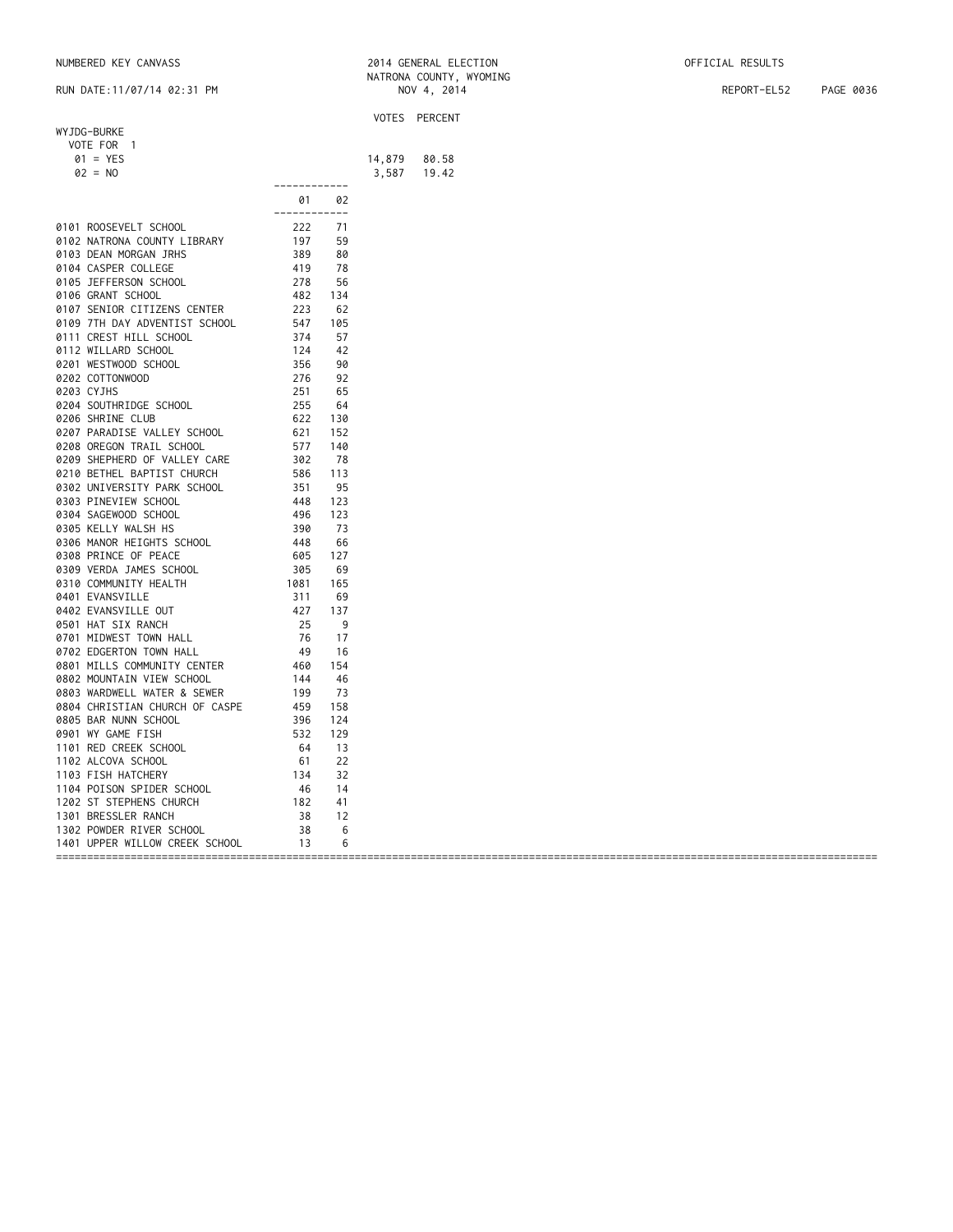|                                   |                                                                                     |     |        | VOTES PERCENT  |
|-----------------------------------|-------------------------------------------------------------------------------------|-----|--------|----------------|
| WYJDG-BURKE                       |                                                                                     |     |        |                |
| VOTE FOR 1                        |                                                                                     |     |        |                |
| $01 = YES$                        |                                                                                     |     |        |                |
| $02 = NO$                         |                                                                                     |     | 14,879 | 80.58<br>19.42 |
|                                   | ------------                                                                        |     | 3,587  |                |
|                                   |                                                                                     |     |        |                |
|                                   | 01                                                                                  | 02  |        |                |
|                                   | ------------                                                                        |     |        |                |
| 0101 ROOSEVELT SCHOOL             | 222<br>197<br>389<br>419<br>278<br>482                                              | 71  |        |                |
| 0102 NATRONA COUNTY LIBRARY       |                                                                                     | 59  |        |                |
| 0103 DEAN MORGAN JRHS             |                                                                                     | 80  |        |                |
| 0104 CASPER COLLEGE               |                                                                                     | 78  |        |                |
| 0105 JEFFERSON SCHOOL             |                                                                                     | 56  |        |                |
| 0106 GRANT SCHOOL                 |                                                                                     | 134 |        |                |
| 0107 SENIOR CITIZENS CENTER       | 223                                                                                 | 62  |        |                |
| 0109 7TH DAY ADVENTIST SCHOOL     |                                                                                     | 105 |        |                |
| 0111 CREST HILL SCHOOL            |                                                                                     | 57  |        |                |
| 0112 WILLARD SCHOOL               |                                                                                     | 42  |        |                |
| 0201 WESTWOOD SCHOOL              | 223<br>547<br>574<br>574<br>55<br>56<br>576<br>255<br>255<br>55<br>522              | 90  |        |                |
|                                   |                                                                                     |     |        |                |
| 0202 COTTONWOOD                   |                                                                                     | 92  |        |                |
| 0203 CYJHS                        |                                                                                     | 65  |        |                |
| 0204 SOUTHRIDGE SCHOOL            |                                                                                     | 64  |        |                |
| 0206 SHRINE CLUB                  |                                                                                     | 130 |        |                |
| 0207 PARADISE VALLEY SCHOOL       | 621                                                                                 | 152 |        |                |
| 0208 OREGON TRAIL SCHOOL          | 577                                                                                 | 140 |        |                |
| 0209 SHEPHERD OF VALLEY CARE      |                                                                                     | 78  |        |                |
| 0210 BETHEL BAPTIST CHURCH        |                                                                                     | 113 |        |                |
| 0302 UNIVERSITY PARK SCHOOL       |                                                                                     | 95  |        |                |
| 0303 PINEVIEW SCHOOL              |                                                                                     | 123 |        |                |
| 0304 SAGEWOOD SCHOOL              |                                                                                     | 123 |        |                |
| 0305 KELLY WALSH HS               |                                                                                     | 73  |        |                |
| 0306 MANOR HEIGHTS SCHOOL         |                                                                                     | 66  |        |                |
|                                   |                                                                                     |     |        |                |
| 0308 PRINCE OF PEACE              |                                                                                     | 127 |        |                |
| 0309 VERDA JAMES SCHOOL           | 377<br>302<br>586<br>351<br>448<br>496<br>448<br>605<br>305<br>305                  | 69  |        |                |
| 0310 COMMUNITY HEALTH             | $\frac{1081}{212}$                                                                  | 165 |        |                |
| 0401 EVANSVILLE                   |                                                                                     | 69  |        |                |
| 0402 EVANSVILLE OUT               |                                                                                     | 137 |        |                |
| 0501 HAT SIX RANCH                |                                                                                     | - 9 |        |                |
| 0701 MIDWEST TOWN HALL            |                                                                                     | 17  |        |                |
| 0702 EDGERTON TOWN HALL           |                                                                                     | 16  |        |                |
| 0801 MILLS COMMUNITY CENTER       |                                                                                     | 154 |        |                |
| 0802 MOUNTAIN VIEW SCHOOL         |                                                                                     | 46  |        |                |
| 0803 WARDWELL WATER & SEWER       | 1981<br>311<br>427<br>25<br>76<br>49<br>460<br>444<br>199<br>459<br>532<br>64<br>61 | 73  |        |                |
| 0804 CHRISTIAN CHURCH OF CASPE    |                                                                                     | 158 |        |                |
|                                   |                                                                                     |     |        |                |
| 0805 BAR NUNN SCHOOL              |                                                                                     | 124 |        |                |
| 0901 WY GAME FISH                 |                                                                                     | 129 |        |                |
| 1101 RED CREEK SCHOOL             |                                                                                     | 13  |        |                |
| 1102 ALCOVA SCHOOL                | $\begin{array}{r} 61 \\ 134 \\ 46 \\ 182 \end{array}$                               | 22  |        |                |
| 1103 FISH HATCHERY                |                                                                                     | 32  |        |                |
| 1104 POISON SPIDER SCHOOL         |                                                                                     | 14  |        |                |
| 1202 ST STEPHENS CHURCH           |                                                                                     | 41  |        |                |
| 1301 BRESSLER RANCH               | 38                                                                                  | 12  |        |                |
|                                   |                                                                                     | 6   |        |                |
| 1401 UPPER WILLOW CREEK SCHOOL 13 |                                                                                     | 6   |        |                |
|                                   |                                                                                     |     |        |                |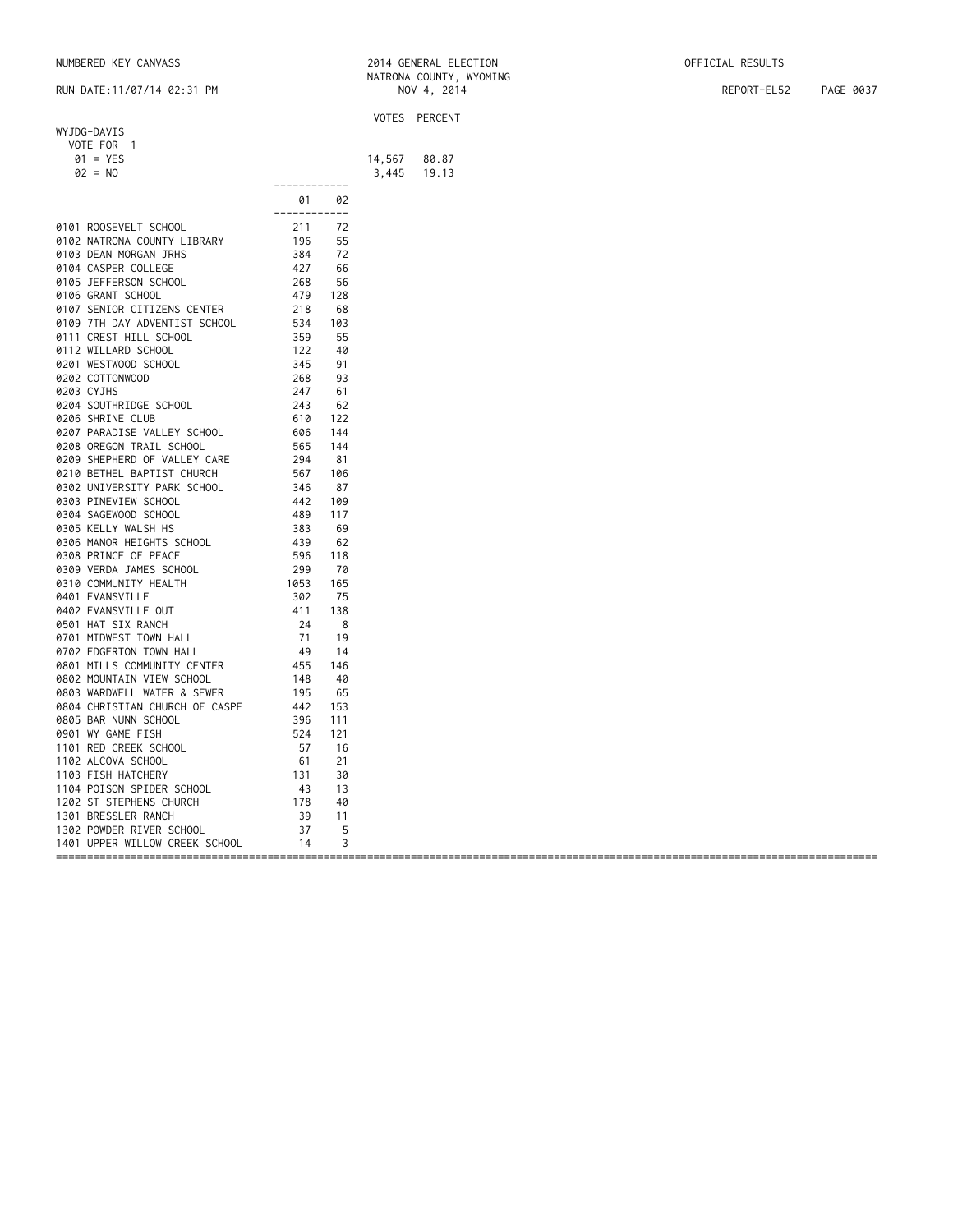|            | WYJDG-DAVIS<br>VOTE FOR 1         |                                                                                                                                                        |            |        | VOTES PERCENT  |
|------------|-----------------------------------|--------------------------------------------------------------------------------------------------------------------------------------------------------|------------|--------|----------------|
|            |                                   |                                                                                                                                                        |            |        |                |
|            |                                   |                                                                                                                                                        |            |        |                |
|            | $01 = YES$                        |                                                                                                                                                        |            |        |                |
|            | $02 = NO$                         |                                                                                                                                                        |            | 14,567 | 80.87<br>19.13 |
|            |                                   | ------------                                                                                                                                           |            | 3,445  |                |
|            |                                   |                                                                                                                                                        |            |        |                |
|            |                                   | 01                                                                                                                                                     | 02         |        |                |
|            |                                   | ------------                                                                                                                                           |            |        |                |
|            | 0101 ROOSEVELT SCHOOL             |                                                                                                                                                        | 72         |        |                |
|            | 0102 NATRONA COUNTY LIBRARY       |                                                                                                                                                        | 55         |        |                |
|            | 0103 DEAN MORGAN JRHS             |                                                                                                                                                        | 72         |        |                |
|            | 0104 CASPER COLLEGE               |                                                                                                                                                        | 66         |        |                |
|            | 0105 JEFFERSON SCHOOL             |                                                                                                                                                        | 56         |        |                |
|            | 0106 GRANT SCHOOL                 |                                                                                                                                                        | 128        |        |                |
|            | 0107 SENIOR CITIZENS CENTER       |                                                                                                                                                        | 68         |        |                |
|            | 0109 7TH DAY ADVENTIST SCHOOL     |                                                                                                                                                        | 103        |        |                |
|            | 0111 CREST HILL SCHOOL            |                                                                                                                                                        | 55         |        |                |
|            |                                   |                                                                                                                                                        |            |        |                |
|            | 0112 WILLARD SCHOOL               |                                                                                                                                                        | 40         |        |                |
|            | 0201 WESTWOOD SCHOOL              |                                                                                                                                                        | 91         |        |                |
|            | 0202 COTTONWOOD                   |                                                                                                                                                        | 93         |        |                |
| 0203 CYJHS |                                   |                                                                                                                                                        | 61         |        |                |
|            | 0204 SOUTHRIDGE SCHOOL            |                                                                                                                                                        | 62         |        |                |
|            | 0206 SHRINE CLUB                  |                                                                                                                                                        | 122        |        |                |
|            | 0207 PARADISE VALLEY SCHOOL       |                                                                                                                                                        | 144        |        |                |
|            | 0208 OREGON TRAIL SCHOOL          |                                                                                                                                                        | 144        |        |                |
|            | 0209 SHEPHERD OF VALLEY CARE      |                                                                                                                                                        | 81         |        |                |
|            | 0210 BETHEL BAPTIST CHURCH        |                                                                                                                                                        | 106        |        |                |
|            | 0302 UNIVERSITY PARK SCHOOL       |                                                                                                                                                        | 87         |        |                |
|            |                                   |                                                                                                                                                        |            |        |                |
|            | 0303 PINEVIEW SCHOOL              |                                                                                                                                                        | 109        |        |                |
|            | 0304 SAGEWOOD SCHOOL              |                                                                                                                                                        | 117        |        |                |
|            | 0305 KELLY WALSH HS               |                                                                                                                                                        | 69         |        |                |
|            | 0306 MANOR HEIGHTS SCHOOL         |                                                                                                                                                        | 62         |        |                |
|            | 0308 PRINCE OF PEACE              |                                                                                                                                                        | 118        |        |                |
|            | 0309 VERDA JAMES SCHOOL           | $610$<br>$606$<br>$565$<br>$294$<br>$567$<br>$346$<br>$442$<br>$489$<br>$383$<br>$439$<br>$596$<br>$299$<br>$1053$<br>$302$                            | 70         |        |                |
|            | 0310 COMMUNITY HEALTH             |                                                                                                                                                        | 165        |        |                |
|            | 0401 EVANSVILLE                   |                                                                                                                                                        | 75         |        |                |
|            | 0402 EVANSVILLE OUT               |                                                                                                                                                        | 138        |        |                |
|            | 0501 HAT SIX RANCH                |                                                                                                                                                        | $_{\rm 8}$ |        |                |
|            | 0701 MIDWEST TOWN HALL            |                                                                                                                                                        | 19         |        |                |
|            | 0702 EDGERTON TOWN HALL           |                                                                                                                                                        | -14        |        |                |
|            |                                   |                                                                                                                                                        |            |        |                |
|            | 0801 MILLS COMMUNITY CENTER       |                                                                                                                                                        | 146        |        |                |
|            | 0802 MOUNTAIN VIEW SCHOOL         | $\begin{array}{r} 1053 \\ 302 \\ 411 \\ 24 \\ 71 \\ 49 \\ 455 \\ 148 \\ 195 \\ 442 \\ 396 \\ 524 \\ 57 \\ 61 \\ 131 \\ 43 \\ 178 \\ 39 \\ \end{array}$ | 40         |        |                |
|            | 0803 WARDWELL WATER & SEWER       |                                                                                                                                                        | 65         |        |                |
|            | 0804 CHRISTIAN CHURCH OF CASPE    |                                                                                                                                                        | 153        |        |                |
|            | 0805 BAR NUNN SCHOOL              |                                                                                                                                                        | 111        |        |                |
|            | 0901 WY GAME FISH                 |                                                                                                                                                        | 121        |        |                |
|            | 1101 RED CREEK SCHOOL             |                                                                                                                                                        | 16         |        |                |
|            | 1102 ALCOVA SCHOOL                |                                                                                                                                                        | 21         |        |                |
|            | 1103 FISH HATCHERY                |                                                                                                                                                        | 30         |        |                |
|            | 1104 POISON SPIDER SCHOOL         |                                                                                                                                                        | 13         |        |                |
|            | 1202 ST STEPHENS CHURCH           |                                                                                                                                                        | 40         |        |                |
|            |                                   |                                                                                                                                                        |            |        |                |
|            |                                   |                                                                                                                                                        | 11         |        |                |
|            |                                   |                                                                                                                                                        | 5          |        |                |
|            | 1401 UPPER WILLOW CREEK SCHOOL 14 |                                                                                                                                                        | 3          |        |                |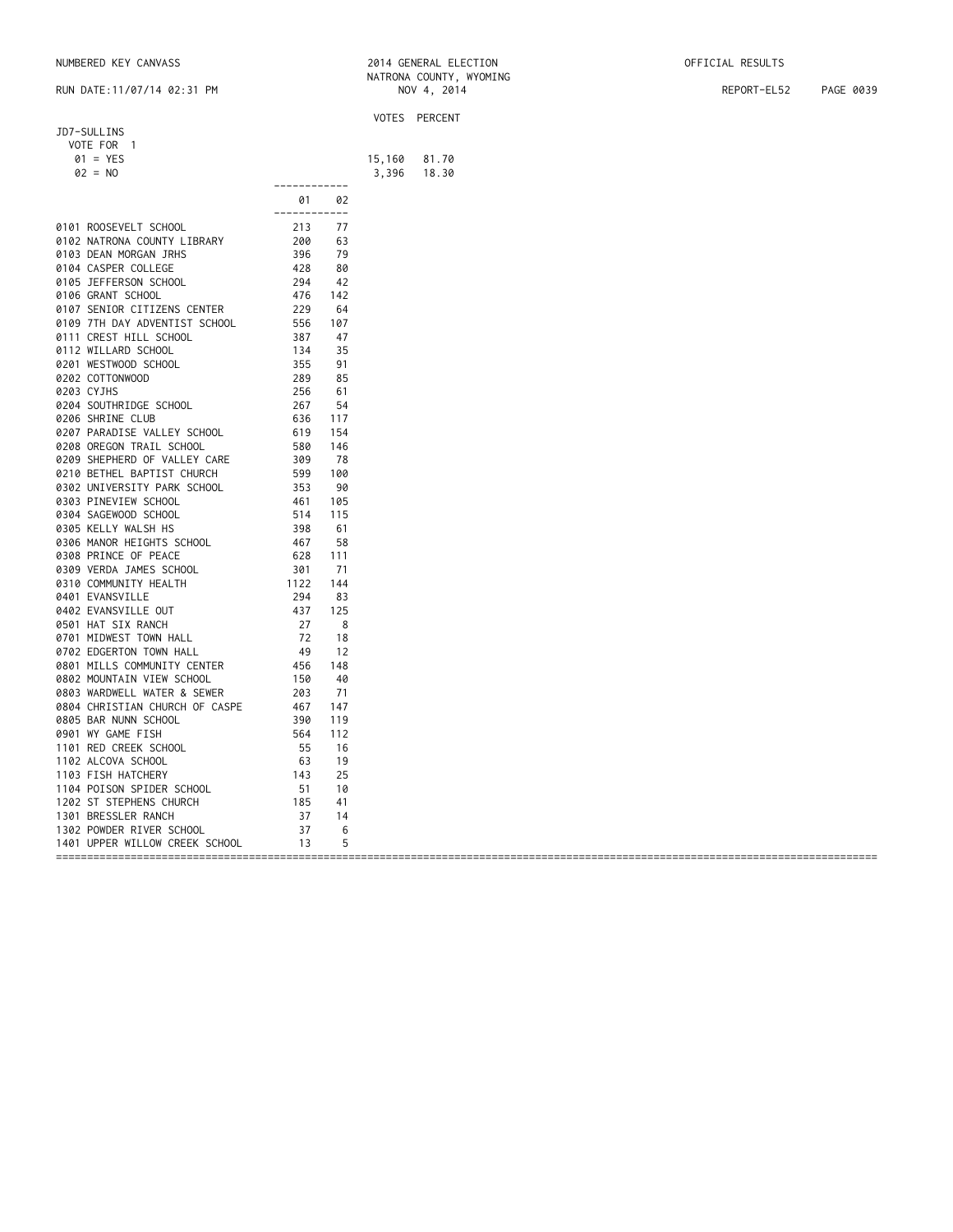|                                   |                                                                            |      |        | VOTES PERCENT |
|-----------------------------------|----------------------------------------------------------------------------|------|--------|---------------|
| JD7-SULLINS                       |                                                                            |      |        |               |
| VOTE FOR 1                        |                                                                            |      |        |               |
| $01 = YES$                        |                                                                            |      | 15,160 | 81.70         |
| $02 = NO$                         |                                                                            |      |        | 18.30         |
|                                   | ------------                                                               |      | 3,396  |               |
|                                   |                                                                            |      |        |               |
|                                   | 01                                                                         | 02   |        |               |
|                                   | ------------                                                               |      |        |               |
| 0101 ROOSEVELT SCHOOL             | 213                                                                        | 77   |        |               |
| 0102 NATRONA COUNTY LIBRARY       | $200$<br>$396$<br>$428$<br>$294$<br>$476$<br>$229$                         | 63   |        |               |
| 0103 DEAN MORGAN JRHS             |                                                                            | 79   |        |               |
| 0104 CASPER COLLEGE               |                                                                            | 80   |        |               |
| 0105 JEFFERSON SCHOOL             |                                                                            | 42   |        |               |
| 0106 GRANT SCHOOL                 |                                                                            | 142  |        |               |
| 0107 SENIOR CITIZENS CENTER       |                                                                            | 64   |        |               |
|                                   |                                                                            |      |        |               |
| 0109 7TH DAY ADVENTIST SCHOOL     |                                                                            | 107  |        |               |
| 0111 CREST HILL SCHOOL            |                                                                            | 47   |        |               |
| 0112 WILLARD SCHOOL               |                                                                            | 35   |        |               |
| 0201 WESTWOOD SCHOOL              | $229$<br>$556$<br>$387$<br>$134$<br>$355$<br>$289$<br>$256$                | 91   |        |               |
| 0202 COTTONWOOD                   |                                                                            | 85   |        |               |
| 0203 CYJHS                        |                                                                            | 61   |        |               |
| 0204 SOUTHRIDGE SCHOOL            | 267                                                                        | 54   |        |               |
| 0206 SHRINE CLUB                  | 636                                                                        | 117  |        |               |
| 0207 PARADISE VALLEY SCHOOL       | 619                                                                        | 154  |        |               |
| 0208 OREGON TRAIL SCHOOL          | 580                                                                        | 146  |        |               |
| 0209 SHEPHERD OF VALLEY CARE      |                                                                            | - 78 |        |               |
|                                   |                                                                            |      |        |               |
| 0210 BETHEL BAPTIST CHURCH        |                                                                            | 100  |        |               |
| 0302 UNIVERSITY PARK SCHOOL       |                                                                            | 90   |        |               |
| 0303 PINEVIEW SCHOOL              |                                                                            | 105  |        |               |
| 0304 SAGEWOOD SCHOOL              | 389<br>389<br>599<br>553<br>461<br>514<br>38<br>467<br>628<br>3133         | 115  |        |               |
| 0305 KELLY WALSH HS               |                                                                            | 61   |        |               |
| 0306 MANOR HEIGHTS SCHOOL         |                                                                            | 58   |        |               |
| 0308 PRINCE OF PEACE              |                                                                            | 111  |        |               |
| 0309 VERDA JAMES SCHOOL           |                                                                            | 71   |        |               |
| 0310 COMMUNITY HEALTH             | 1122                                                                       | 144  |        |               |
| 0401 EVANSVILLE                   |                                                                            | 83   |        |               |
|                                   | 294<br>437<br>27<br>72<br>72                                               | 125  |        |               |
| 0402 EVANSVILLE OUT               |                                                                            |      |        |               |
| 0501 HAT SIX RANCH                |                                                                            | - 8  |        |               |
| 0701 MIDWEST TOWN HALL            |                                                                            | 18   |        |               |
| 0702 EDGERTON TOWN HALL           |                                                                            | -12  |        |               |
| 0801 MILLS COMMUNITY CENTER       | $49$<br>$456$<br>$150$<br>$203$                                            | 148  |        |               |
| 0802 MOUNTAIN VIEW SCHOOL         |                                                                            | 40   |        |               |
| 0803 WARDWELL WATER & SEWER       |                                                                            | 71   |        |               |
| 0804 CHRISTIAN CHURCH OF CASPE    |                                                                            | 147  |        |               |
| 0805 BAR NUNN SCHOOL              |                                                                            | 119  |        |               |
| 0901 WY GAME FISH                 | $203$<br>$467$<br>$390$<br>$564$<br>$55$<br>$63$<br>$143$<br>$51$<br>$187$ | 112  |        |               |
| 1101 RED CREEK SCHOOL             |                                                                            | 16   |        |               |
|                                   |                                                                            |      |        |               |
| 1102 ALCOVA SCHOOL                |                                                                            | 19   |        |               |
| 1103 FISH HATCHERY                |                                                                            | 25   |        |               |
| 1104 POISON SPIDER SCHOOL         |                                                                            | 10   |        |               |
| 1202 ST STEPHENS CHURCH           |                                                                            | 41   |        |               |
| 1301 BRESSLER RANCH               |                                                                            | 14   |        |               |
| 1302 POWDER RIVER SCHOOL          | $\frac{37}{37}$                                                            | 6    |        |               |
| 1401 UPPER WILLOW CREEK SCHOOL 13 |                                                                            | 5    |        |               |
|                                   |                                                                            |      |        |               |

# NUMBERED KEY CANVASS 2014 GENERAL ELECTION OFFICIAL RESULTS NATRONA COUNTY, WYOMING RUN DATE:11/07/14 02:31 PM NOV 4, 2014 REPORT-EL52 PAGE 0039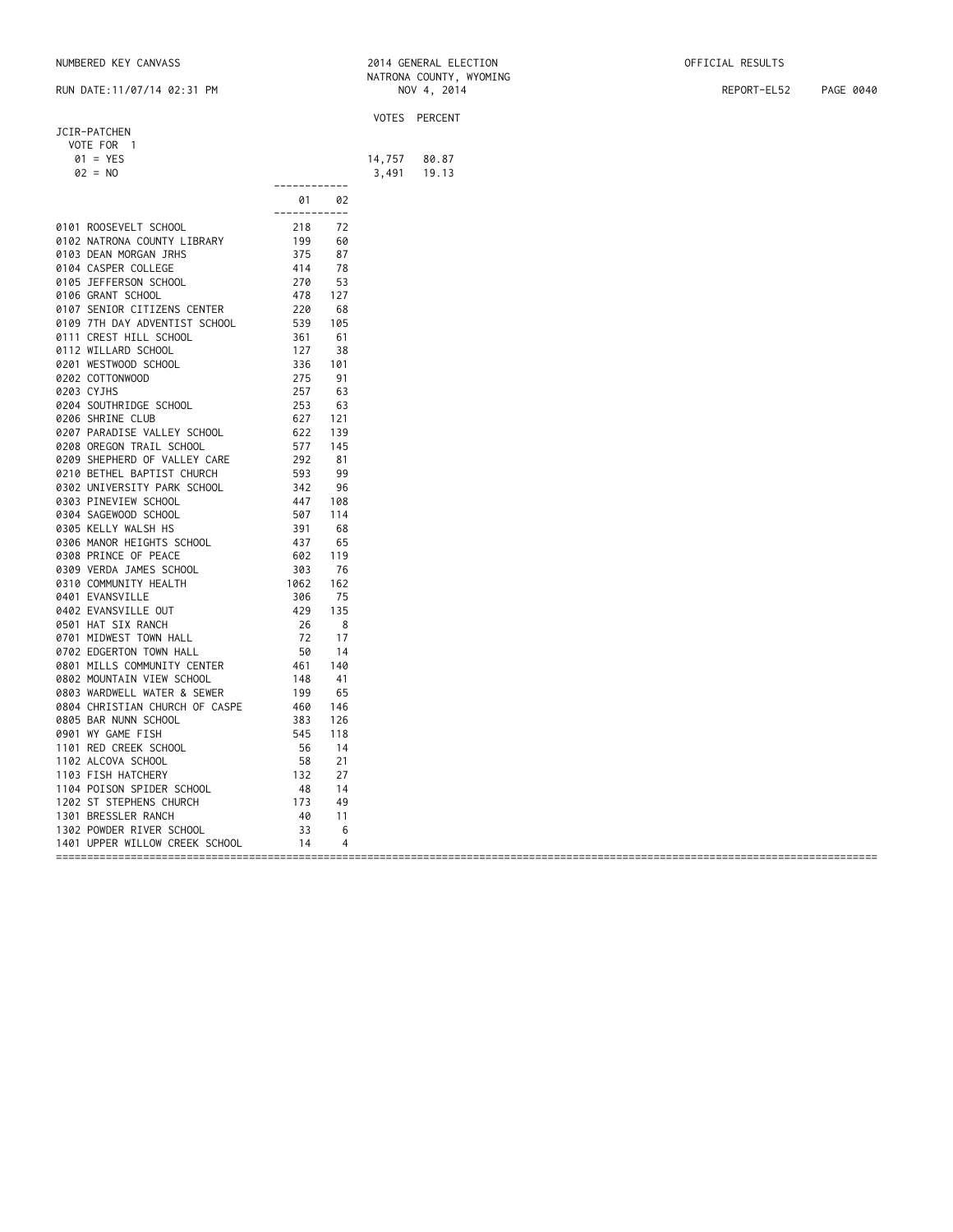| JCIR-PATCHEN<br>VOTE FOR 1     |                                                                                                                   |                |        | VOTES PERCENT |
|--------------------------------|-------------------------------------------------------------------------------------------------------------------|----------------|--------|---------------|
|                                |                                                                                                                   |                |        |               |
|                                |                                                                                                                   |                |        |               |
|                                |                                                                                                                   |                |        |               |
| $01 = YES$                     |                                                                                                                   |                | 14,757 | 80.87         |
| $02 = NO$                      |                                                                                                                   |                | 3,491  | 19.13         |
|                                | ------------                                                                                                      |                |        |               |
|                                | 01                                                                                                                | 02             |        |               |
|                                | ------------                                                                                                      |                |        |               |
| 0101 ROOSEVELT SCHOOL          | 218<br>199<br>375<br>414<br>270<br>478<br>220                                                                     | 72             |        |               |
| 0102 NATRONA COUNTY LIBRARY    |                                                                                                                   | 60             |        |               |
| 0103 DEAN MORGAN JRHS          |                                                                                                                   | 87             |        |               |
| 0104 CASPER COLLEGE            |                                                                                                                   | 78             |        |               |
| 0105 JEFFERSON SCHOOL          |                                                                                                                   | 53             |        |               |
| 0106 GRANT SCHOOL              |                                                                                                                   | 127            |        |               |
| 0107 SENIOR CITIZENS CENTER    |                                                                                                                   | 68             |        |               |
| 0109 7TH DAY ADVENTIST SCHOOL  |                                                                                                                   | 105            |        |               |
|                                |                                                                                                                   |                |        |               |
| 0111 CREST HILL SCHOOL         |                                                                                                                   | 61             |        |               |
| 0112 WILLARD SCHOOL            | 220<br>539<br>531<br>361<br>127<br>336<br>27<br>255<br>627<br>627                                                 | 38             |        |               |
| 0201 WESTWOOD SCHOOL           |                                                                                                                   | 101            |        |               |
| 0202 COTTONWOOD                |                                                                                                                   | 91             |        |               |
| 0203 CYJHS                     |                                                                                                                   | 63             |        |               |
| 0204 SOUTHRIDGE SCHOOL         |                                                                                                                   | 63             |        |               |
| 0206 SHRINE CLUB               |                                                                                                                   | 121            |        |               |
| 0207 PARADISE VALLEY SCHOOL    |                                                                                                                   | 139            |        |               |
| 0208 OREGON TRAIL SCHOOL       |                                                                                                                   | 145            |        |               |
| 0209 SHEPHERD OF VALLEY CARE   |                                                                                                                   | 81             |        |               |
| 0210 BETHEL BAPTIST CHURCH     |                                                                                                                   | 99             |        |               |
|                                |                                                                                                                   |                |        |               |
| 0302 UNIVERSITY PARK SCHOOL    |                                                                                                                   | 96             |        |               |
| 0303 PINEVIEW SCHOOL           |                                                                                                                   | 108            |        |               |
| 0304 SAGEWOOD SCHOOL           |                                                                                                                   | 114            |        |               |
| 0305 KELLY WALSH HS            |                                                                                                                   | 68             |        |               |
| 0306 MANOR HEIGHTS SCHOOL      |                                                                                                                   | 65             |        |               |
| 0308 PRINCE OF PEACE           | $622$<br>$577$<br>$292$<br>$593$<br>$342$<br>$447$<br>$507$<br>$391$<br>$437$<br>$602$<br>$303$                   | 119            |        |               |
| 0309 VERDA JAMES SCHOOL        |                                                                                                                   | 76             |        |               |
| 0310 COMMUNITY HEALTH          | 1062                                                                                                              | 162            |        |               |
| 0401 EVANSVILLE                |                                                                                                                   | 75             |        |               |
| 0402 EVANSVILLE OUT            |                                                                                                                   | 135            |        |               |
| 0501 HAT SIX RANCH             |                                                                                                                   | 8              |        |               |
| 0701 MIDWEST TOWN HALL         |                                                                                                                   | 17             |        |               |
|                                | 306<br>429<br>26<br>72<br>50                                                                                      |                |        |               |
| 0702 EDGERTON TOWN HALL        | $\begin{array}{r} 50 \\ 461 \\ 148 \\ 199 \\ 460 \\ 383 \\ 545 \\ 56 \\ 58 \\ 132 \\ 48 \\ 173 \\ 49 \end{array}$ | -14            |        |               |
| 0801 MILLS COMMUNITY CENTER    |                                                                                                                   | 140            |        |               |
| 0802 MOUNTAIN VIEW SCHOOL      |                                                                                                                   | 41             |        |               |
| 0803 WARDWELL WATER & SEWER    |                                                                                                                   | 65             |        |               |
| 0804 CHRISTIAN CHURCH OF CASPE |                                                                                                                   | 146            |        |               |
| 0805 BAR NUNN SCHOOL           |                                                                                                                   | 126            |        |               |
| 0901 WY GAME FISH              |                                                                                                                   | 118            |        |               |
| 1101 RED CREEK SCHOOL          |                                                                                                                   | 14             |        |               |
| 1102 ALCOVA SCHOOL             |                                                                                                                   | 21             |        |               |
| 1103 FISH HATCHERY             |                                                                                                                   | 27             |        |               |
|                                |                                                                                                                   | 14             |        |               |
| 1104 POISON SPIDER SCHOOL      |                                                                                                                   |                |        |               |
| 1202 ST STEPHENS CHURCH        |                                                                                                                   | 49             |        |               |
| 1301 BRESSLER RANCH            | $\frac{40}{33}$                                                                                                   | 11             |        |               |
| 1302 POWDER RIVER SCHOOL       |                                                                                                                   | 6              |        |               |
| 1401 UPPER WILLOW CREEK SCHOOL | 14                                                                                                                | $\overline{4}$ |        |               |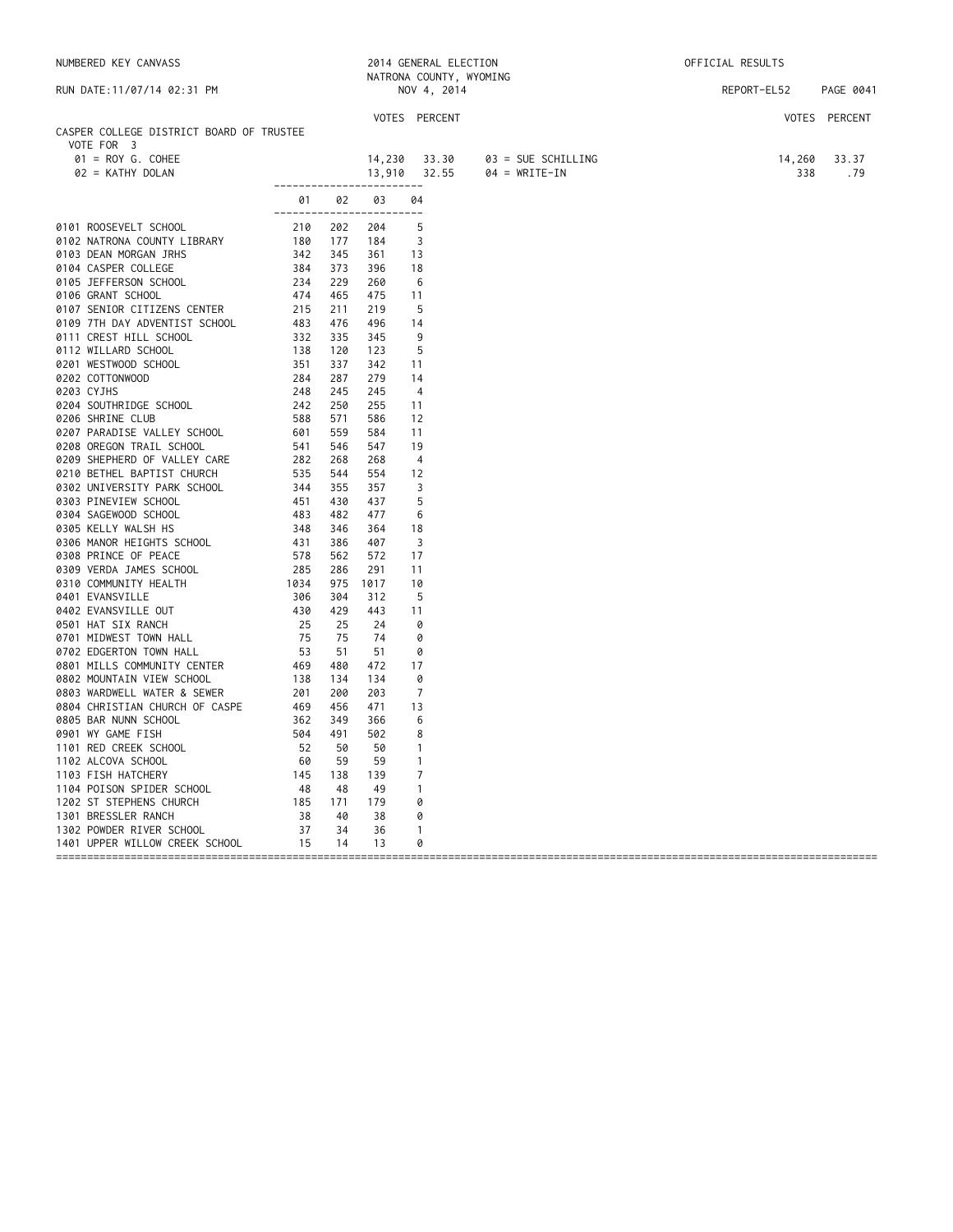| NATRONA COUNTY, WYOMING<br>REPORT-EL52<br>RUN DATE: 11/07/14 02:31 PM<br>NOV 4, 2014<br>PAGE 0041<br>VOTES PERCENT<br>VOTES PERCENT<br>CASPER COLLEGE DISTRICT BOARD OF TRUSTEE<br>VOTE FOR 3<br>$01 = ROY G. COHEE$<br>14,230 33.30<br>03 = SUE SCHILLING<br>14,260<br>33.37<br>$13,910$ $32.55$<br>02 = KATHY DOLAN<br>$04 = WRITE-IN$<br>338<br>.79<br>-------------------------<br>01 02<br>03 04<br>-------------------------<br>204<br>-5<br>184<br>-3<br>361<br>-13<br>396<br>18<br>260<br>-6<br>475<br>11<br>219<br>- 5<br>496<br>14<br>345<br>9 | NUMBERED KEY CANVASS |  |     | 2014 GENERAL ELECTION | OFFICIAL RESULTS |  |
|----------------------------------------------------------------------------------------------------------------------------------------------------------------------------------------------------------------------------------------------------------------------------------------------------------------------------------------------------------------------------------------------------------------------------------------------------------------------------------------------------------------------------------------------------------|----------------------|--|-----|-----------------------|------------------|--|
| 0101 ROOSEVELT SCHOOL 210<br>0102 NATRONA COUNTY LIBRARY 180<br>0102 NATRONA COUNTY LIBRARY 180<br>0177<br>0103 DEAN MORGAN JRHS 342<br>0105 JEFFERSON SCHOOL 234<br>0105 JEFFERSON SCHOOL 234<br>0106 GRANT SCHOOL 474<br>0107 SENIOR CITIZEN                                                                                                                                                                                                                                                                                                           |                      |  |     |                       |                  |  |
|                                                                                                                                                                                                                                                                                                                                                                                                                                                                                                                                                          |                      |  |     |                       |                  |  |
|                                                                                                                                                                                                                                                                                                                                                                                                                                                                                                                                                          |                      |  |     |                       |                  |  |
|                                                                                                                                                                                                                                                                                                                                                                                                                                                                                                                                                          |                      |  |     |                       |                  |  |
|                                                                                                                                                                                                                                                                                                                                                                                                                                                                                                                                                          |                      |  |     |                       |                  |  |
|                                                                                                                                                                                                                                                                                                                                                                                                                                                                                                                                                          |                      |  |     |                       |                  |  |
|                                                                                                                                                                                                                                                                                                                                                                                                                                                                                                                                                          |                      |  |     |                       |                  |  |
|                                                                                                                                                                                                                                                                                                                                                                                                                                                                                                                                                          |                      |  |     |                       |                  |  |
|                                                                                                                                                                                                                                                                                                                                                                                                                                                                                                                                                          |                      |  |     |                       |                  |  |
|                                                                                                                                                                                                                                                                                                                                                                                                                                                                                                                                                          |                      |  |     |                       |                  |  |
|                                                                                                                                                                                                                                                                                                                                                                                                                                                                                                                                                          |                      |  |     |                       |                  |  |
|                                                                                                                                                                                                                                                                                                                                                                                                                                                                                                                                                          |                      |  |     |                       |                  |  |
|                                                                                                                                                                                                                                                                                                                                                                                                                                                                                                                                                          |                      |  |     |                       |                  |  |
|                                                                                                                                                                                                                                                                                                                                                                                                                                                                                                                                                          |                      |  |     |                       |                  |  |
|                                                                                                                                                                                                                                                                                                                                                                                                                                                                                                                                                          |                      |  |     |                       |                  |  |
|                                                                                                                                                                                                                                                                                                                                                                                                                                                                                                                                                          |                      |  |     |                       |                  |  |
|                                                                                                                                                                                                                                                                                                                                                                                                                                                                                                                                                          |                      |  |     |                       |                  |  |
|                                                                                                                                                                                                                                                                                                                                                                                                                                                                                                                                                          |                      |  |     |                       |                  |  |
|                                                                                                                                                                                                                                                                                                                                                                                                                                                                                                                                                          |                      |  | 123 | -5                    |                  |  |
| 342<br>-11                                                                                                                                                                                                                                                                                                                                                                                                                                                                                                                                               |                      |  |     |                       |                  |  |
| 279<br>14                                                                                                                                                                                                                                                                                                                                                                                                                                                                                                                                                |                      |  |     |                       |                  |  |
| 245<br>$\overline{4}$                                                                                                                                                                                                                                                                                                                                                                                                                                                                                                                                    |                      |  |     |                       |                  |  |
| 255<br>11                                                                                                                                                                                                                                                                                                                                                                                                                                                                                                                                                |                      |  |     |                       |                  |  |
| 586<br>12                                                                                                                                                                                                                                                                                                                                                                                                                                                                                                                                                |                      |  |     |                       |                  |  |
| 584<br>11                                                                                                                                                                                                                                                                                                                                                                                                                                                                                                                                                |                      |  |     |                       |                  |  |
| 547<br>19                                                                                                                                                                                                                                                                                                                                                                                                                                                                                                                                                |                      |  |     |                       |                  |  |
| 268<br>$\overline{4}$                                                                                                                                                                                                                                                                                                                                                                                                                                                                                                                                    |                      |  |     |                       |                  |  |
| 554<br>12                                                                                                                                                                                                                                                                                                                                                                                                                                                                                                                                                |                      |  |     |                       |                  |  |
| 357<br>3                                                                                                                                                                                                                                                                                                                                                                                                                                                                                                                                                 |                      |  |     |                       |                  |  |
| 437<br>5                                                                                                                                                                                                                                                                                                                                                                                                                                                                                                                                                 |                      |  |     |                       |                  |  |
| 477<br>6                                                                                                                                                                                                                                                                                                                                                                                                                                                                                                                                                 |                      |  |     |                       |                  |  |
| 364<br>18                                                                                                                                                                                                                                                                                                                                                                                                                                                                                                                                                |                      |  |     |                       |                  |  |
| 3<br>407                                                                                                                                                                                                                                                                                                                                                                                                                                                                                                                                                 |                      |  |     |                       |                  |  |
| 572<br>17                                                                                                                                                                                                                                                                                                                                                                                                                                                                                                                                                |                      |  |     |                       |                  |  |
| 291<br>11                                                                                                                                                                                                                                                                                                                                                                                                                                                                                                                                                |                      |  |     |                       |                  |  |
| 1017<br>10                                                                                                                                                                                                                                                                                                                                                                                                                                                                                                                                               |                      |  |     |                       |                  |  |
| 312<br>-5                                                                                                                                                                                                                                                                                                                                                                                                                                                                                                                                                |                      |  |     |                       |                  |  |
| 443<br>11                                                                                                                                                                                                                                                                                                                                                                                                                                                                                                                                                |                      |  |     |                       |                  |  |
| 24<br>0                                                                                                                                                                                                                                                                                                                                                                                                                                                                                                                                                  |                      |  |     |                       |                  |  |
| 74<br>0                                                                                                                                                                                                                                                                                                                                                                                                                                                                                                                                                  |                      |  |     |                       |                  |  |
| 51<br>0                                                                                                                                                                                                                                                                                                                                                                                                                                                                                                                                                  |                      |  |     |                       |                  |  |
| 472<br>17                                                                                                                                                                                                                                                                                                                                                                                                                                                                                                                                                |                      |  |     |                       |                  |  |
| 134<br>0                                                                                                                                                                                                                                                                                                                                                                                                                                                                                                                                                 |                      |  |     |                       |                  |  |
| $\overline{7}$<br>203                                                                                                                                                                                                                                                                                                                                                                                                                                                                                                                                    |                      |  |     |                       |                  |  |
| 471<br>13                                                                                                                                                                                                                                                                                                                                                                                                                                                                                                                                                |                      |  |     |                       |                  |  |
| 366<br>6                                                                                                                                                                                                                                                                                                                                                                                                                                                                                                                                                 |                      |  |     |                       |                  |  |
| 502<br>8                                                                                                                                                                                                                                                                                                                                                                                                                                                                                                                                                 |                      |  |     |                       |                  |  |
| 50<br>$\mathbf{1}$                                                                                                                                                                                                                                                                                                                                                                                                                                                                                                                                       |                      |  |     |                       |                  |  |
| 59<br>$\mathbf{1}$                                                                                                                                                                                                                                                                                                                                                                                                                                                                                                                                       |                      |  |     |                       |                  |  |
| 139<br>7                                                                                                                                                                                                                                                                                                                                                                                                                                                                                                                                                 |                      |  |     |                       |                  |  |
| 49<br>$\mathbf{1}$                                                                                                                                                                                                                                                                                                                                                                                                                                                                                                                                       |                      |  |     |                       |                  |  |
| 179<br>0                                                                                                                                                                                                                                                                                                                                                                                                                                                                                                                                                 |                      |  |     |                       |                  |  |
| 38<br>0                                                                                                                                                                                                                                                                                                                                                                                                                                                                                                                                                  |                      |  |     |                       |                  |  |
| $\overline{1}$<br>36                                                                                                                                                                                                                                                                                                                                                                                                                                                                                                                                     |                      |  |     |                       |                  |  |
| 13<br>0                                                                                                                                                                                                                                                                                                                                                                                                                                                                                                                                                  |                      |  |     |                       |                  |  |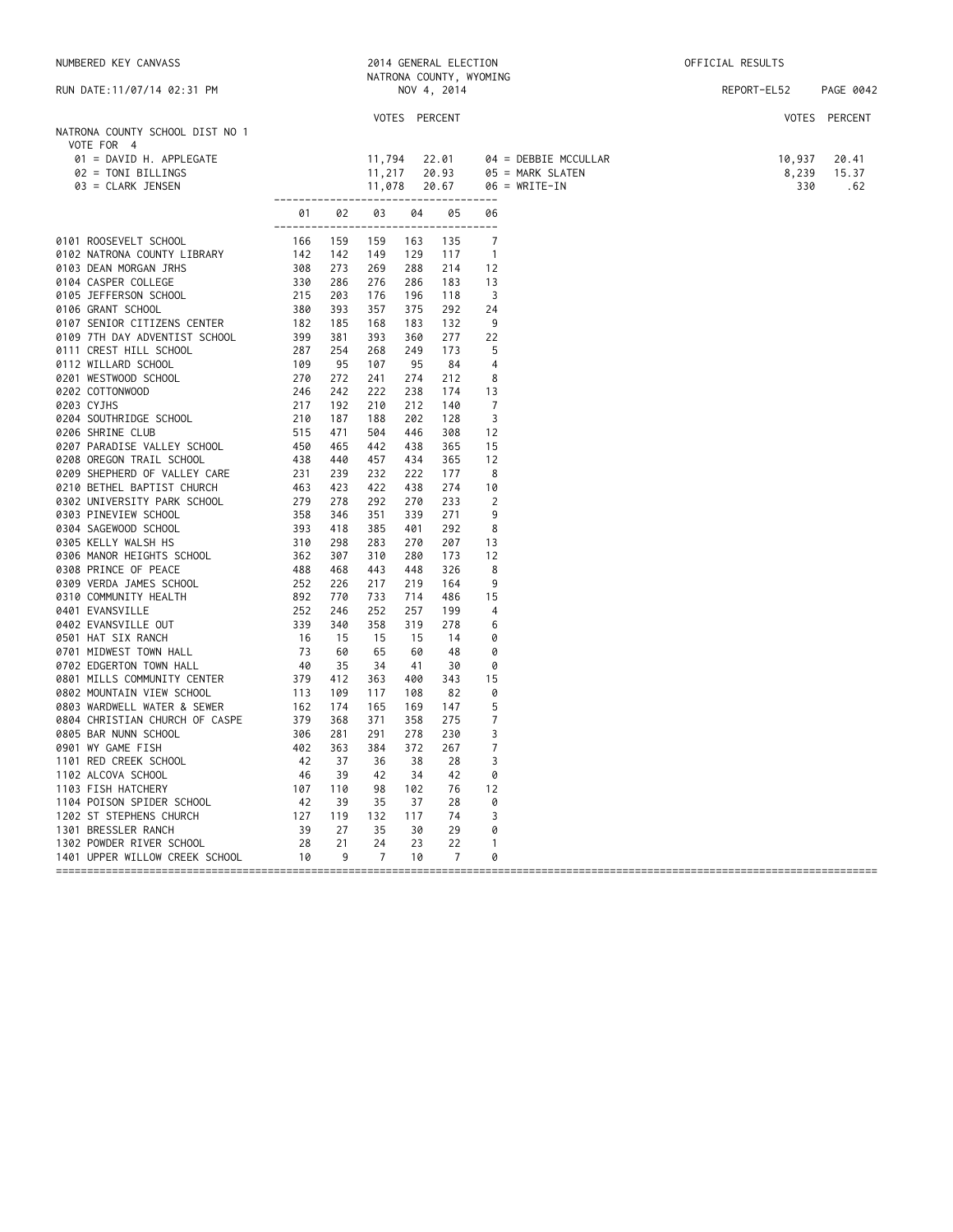| NATRONA COUNTY, WYOMING<br>PAGE 0042<br>RUN DATE:11/07/14 02:31 PM<br>NOV 4, 2014<br>REPORT-EL52<br>VOTES PERCENT<br>VOTES PERCENT<br>NATRONA COUNTY SCHOOL DIST NO 1<br>VOTE FOR 4<br>11,794<br>22.01<br>01 = DAVID H. APPLEGATE<br>$04 = DEBBIE MCCULLAR$<br>10,937<br>20.41<br>02 = TONI BILLINGS<br>11,217<br>20.93<br>8,239<br>05 = MARK SLATEN<br>15.37<br>03 = CLARK JENSEN<br>11,078<br>$06 = WRITE-IN$<br>330<br>20.67<br>-----------------------<br>-------------<br>05<br>01<br>02<br>03<br>04<br>06<br>------------------------------------<br>159<br>159<br>135<br>7<br>163<br>$\overline{1}$<br>142<br>149<br>129<br>117<br>273<br>269<br>288<br>214<br>12<br>286<br>276<br>183<br>13<br>286<br>3<br>203<br>176<br>196<br>118<br>393<br>357<br>292<br>375<br>24<br>185<br>168<br>183<br>132<br>9<br>381<br>393<br>277<br>22<br>360<br>5<br>254<br>268<br>249<br>173<br>95<br>107<br>95<br>84<br>$\overline{4}$<br>272<br>8<br>241<br>274<br>212<br>238<br>13<br>242<br>222<br>174<br>$\overline{7}$<br>0203 CYJHS<br>217<br>212<br>192<br>210<br>140<br>3<br>0204 SOUTHRIDGE SCHOOL<br>210<br>187<br>188<br>202<br>128 |     |
|--------------------------------------------------------------------------------------------------------------------------------------------------------------------------------------------------------------------------------------------------------------------------------------------------------------------------------------------------------------------------------------------------------------------------------------------------------------------------------------------------------------------------------------------------------------------------------------------------------------------------------------------------------------------------------------------------------------------------------------------------------------------------------------------------------------------------------------------------------------------------------------------------------------------------------------------------------------------------------------------------------------------------------------------------------------------------------------------------------------------------------------|-----|
| 0101 ROOSEVELT SCHOOL<br>0102 NATRONA COUNTY LIBRARY<br>0102 NATRONA COUNTY LIBRARY<br>0103 DEAN MORGAN JRHS<br>0104 CASPER COLLEGE<br>0106 JEFFERSON SCHOOL<br>0107 SENIOR CITIZENS CENTER<br>0107 SENIOR CITIZENS CENTER<br>0107 SENIOR CITI                                                                                                                                                                                                                                                                                                                                                                                                                                                                                                                                                                                                                                                                                                                                                                                                                                                                                       |     |
|                                                                                                                                                                                                                                                                                                                                                                                                                                                                                                                                                                                                                                                                                                                                                                                                                                                                                                                                                                                                                                                                                                                                      |     |
|                                                                                                                                                                                                                                                                                                                                                                                                                                                                                                                                                                                                                                                                                                                                                                                                                                                                                                                                                                                                                                                                                                                                      |     |
|                                                                                                                                                                                                                                                                                                                                                                                                                                                                                                                                                                                                                                                                                                                                                                                                                                                                                                                                                                                                                                                                                                                                      |     |
|                                                                                                                                                                                                                                                                                                                                                                                                                                                                                                                                                                                                                                                                                                                                                                                                                                                                                                                                                                                                                                                                                                                                      |     |
|                                                                                                                                                                                                                                                                                                                                                                                                                                                                                                                                                                                                                                                                                                                                                                                                                                                                                                                                                                                                                                                                                                                                      | .62 |
|                                                                                                                                                                                                                                                                                                                                                                                                                                                                                                                                                                                                                                                                                                                                                                                                                                                                                                                                                                                                                                                                                                                                      |     |
|                                                                                                                                                                                                                                                                                                                                                                                                                                                                                                                                                                                                                                                                                                                                                                                                                                                                                                                                                                                                                                                                                                                                      |     |
|                                                                                                                                                                                                                                                                                                                                                                                                                                                                                                                                                                                                                                                                                                                                                                                                                                                                                                                                                                                                                                                                                                                                      |     |
|                                                                                                                                                                                                                                                                                                                                                                                                                                                                                                                                                                                                                                                                                                                                                                                                                                                                                                                                                                                                                                                                                                                                      |     |
|                                                                                                                                                                                                                                                                                                                                                                                                                                                                                                                                                                                                                                                                                                                                                                                                                                                                                                                                                                                                                                                                                                                                      |     |
|                                                                                                                                                                                                                                                                                                                                                                                                                                                                                                                                                                                                                                                                                                                                                                                                                                                                                                                                                                                                                                                                                                                                      |     |
|                                                                                                                                                                                                                                                                                                                                                                                                                                                                                                                                                                                                                                                                                                                                                                                                                                                                                                                                                                                                                                                                                                                                      |     |
|                                                                                                                                                                                                                                                                                                                                                                                                                                                                                                                                                                                                                                                                                                                                                                                                                                                                                                                                                                                                                                                                                                                                      |     |
|                                                                                                                                                                                                                                                                                                                                                                                                                                                                                                                                                                                                                                                                                                                                                                                                                                                                                                                                                                                                                                                                                                                                      |     |
|                                                                                                                                                                                                                                                                                                                                                                                                                                                                                                                                                                                                                                                                                                                                                                                                                                                                                                                                                                                                                                                                                                                                      |     |
|                                                                                                                                                                                                                                                                                                                                                                                                                                                                                                                                                                                                                                                                                                                                                                                                                                                                                                                                                                                                                                                                                                                                      |     |
|                                                                                                                                                                                                                                                                                                                                                                                                                                                                                                                                                                                                                                                                                                                                                                                                                                                                                                                                                                                                                                                                                                                                      |     |
|                                                                                                                                                                                                                                                                                                                                                                                                                                                                                                                                                                                                                                                                                                                                                                                                                                                                                                                                                                                                                                                                                                                                      |     |
|                                                                                                                                                                                                                                                                                                                                                                                                                                                                                                                                                                                                                                                                                                                                                                                                                                                                                                                                                                                                                                                                                                                                      |     |
|                                                                                                                                                                                                                                                                                                                                                                                                                                                                                                                                                                                                                                                                                                                                                                                                                                                                                                                                                                                                                                                                                                                                      |     |
| 515<br>12<br>0206 SHRINE CLUB<br>471<br>504<br>446<br>308                                                                                                                                                                                                                                                                                                                                                                                                                                                                                                                                                                                                                                                                                                                                                                                                                                                                                                                                                                                                                                                                            |     |
| 450<br>365<br>15<br>0207 PARADISE VALLEY SCHOOL<br>465<br>442<br>438<br>0208 OREGON TRAIL SCHOOL<br>438<br>440<br>457<br>434<br>365<br>12                                                                                                                                                                                                                                                                                                                                                                                                                                                                                                                                                                                                                                                                                                                                                                                                                                                                                                                                                                                            |     |
| 0209 SHEPHERD OF VALLEY CARE<br>231<br>232<br>8<br>239<br>222<br>177                                                                                                                                                                                                                                                                                                                                                                                                                                                                                                                                                                                                                                                                                                                                                                                                                                                                                                                                                                                                                                                                 |     |
| 0210 BETHEL BAPTIST CHURCH<br>463<br>423<br>422<br>274<br>438<br>10                                                                                                                                                                                                                                                                                                                                                                                                                                                                                                                                                                                                                                                                                                                                                                                                                                                                                                                                                                                                                                                                  |     |
| 0303 UNIVERSITY PARK SCHOOL<br>0303 PINEVERSITY PARK SCHOOL<br>0303 PINEVIEW SCHOOL<br>0304 SAGEWOOD SCHOOL<br>0306 KELLY WALSH HS<br>0306 MANOR HEIGHTS SCHOOL<br>0308 PRINCE OF PEACE<br>0309 VERDA JAMES SCHOOL<br>0310 COMMUNITY HEALTH<br>0<br>233<br>2<br>278<br>292<br>270                                                                                                                                                                                                                                                                                                                                                                                                                                                                                                                                                                                                                                                                                                                                                                                                                                                    |     |
| 271<br>9<br>346<br>351<br>339                                                                                                                                                                                                                                                                                                                                                                                                                                                                                                                                                                                                                                                                                                                                                                                                                                                                                                                                                                                                                                                                                                        |     |
| 418<br>385<br>401<br>292<br>8                                                                                                                                                                                                                                                                                                                                                                                                                                                                                                                                                                                                                                                                                                                                                                                                                                                                                                                                                                                                                                                                                                        |     |
| 298<br>283<br>270<br>207<br>13                                                                                                                                                                                                                                                                                                                                                                                                                                                                                                                                                                                                                                                                                                                                                                                                                                                                                                                                                                                                                                                                                                       |     |
| 12<br>307<br>310<br>280<br>173                                                                                                                                                                                                                                                                                                                                                                                                                                                                                                                                                                                                                                                                                                                                                                                                                                                                                                                                                                                                                                                                                                       |     |
| 468<br>443<br>326<br>8<br>448                                                                                                                                                                                                                                                                                                                                                                                                                                                                                                                                                                                                                                                                                                                                                                                                                                                                                                                                                                                                                                                                                                        |     |
| 226<br>9<br>217<br>219<br>164                                                                                                                                                                                                                                                                                                                                                                                                                                                                                                                                                                                                                                                                                                                                                                                                                                                                                                                                                                                                                                                                                                        |     |
| 770<br>733<br>714<br>486<br>15                                                                                                                                                                                                                                                                                                                                                                                                                                                                                                                                                                                                                                                                                                                                                                                                                                                                                                                                                                                                                                                                                                       |     |
| 0401 EVANSVILLE<br>246<br>257<br>4<br>252<br>199                                                                                                                                                                                                                                                                                                                                                                                                                                                                                                                                                                                                                                                                                                                                                                                                                                                                                                                                                                                                                                                                                     |     |
| 0402 EVANSVILLE OUT<br>340<br>358<br>319<br>278<br>6                                                                                                                                                                                                                                                                                                                                                                                                                                                                                                                                                                                                                                                                                                                                                                                                                                                                                                                                                                                                                                                                                 |     |
| 15<br>0501 HAT SIX RANCH<br>15<br>15<br>14<br>0                                                                                                                                                                                                                                                                                                                                                                                                                                                                                                                                                                                                                                                                                                                                                                                                                                                                                                                                                                                                                                                                                      |     |
| $892$<br>$252$<br>$339$<br>$16$<br>$73$<br>$40$<br>$8$<br>$379$<br>$113$<br>$162$<br>$1$<br>$12$<br>$12$<br>$12$<br>$12$<br>65<br>0<br>0701 MIDWEST TOWN HALL<br>60<br>60<br>48                                                                                                                                                                                                                                                                                                                                                                                                                                                                                                                                                                                                                                                                                                                                                                                                                                                                                                                                                      |     |
| 0702 EDGERTON TOWN HALL<br>35<br>0<br>34<br>30<br>41                                                                                                                                                                                                                                                                                                                                                                                                                                                                                                                                                                                                                                                                                                                                                                                                                                                                                                                                                                                                                                                                                 |     |
| 0801 MILLS COMMUNITY CENTER<br>343<br>15<br>412<br>363<br>400                                                                                                                                                                                                                                                                                                                                                                                                                                                                                                                                                                                                                                                                                                                                                                                                                                                                                                                                                                                                                                                                        |     |
| 82<br>0<br>0802 MOUNTAIN VIEW SCHOOL<br>109<br>117<br>108                                                                                                                                                                                                                                                                                                                                                                                                                                                                                                                                                                                                                                                                                                                                                                                                                                                                                                                                                                                                                                                                            |     |
| 5<br>0803 WARDWELL WATER & SEWER<br>174<br>165<br>169<br>147<br>0804 CHRISTIAN CHURCH OF CASPE<br>368<br>371<br>275<br>7<br>358                                                                                                                                                                                                                                                                                                                                                                                                                                                                                                                                                                                                                                                                                                                                                                                                                                                                                                                                                                                                      |     |
| 306<br>230<br>3<br>0805 BAR NUNN SCHOOL<br>281<br>291<br>278                                                                                                                                                                                                                                                                                                                                                                                                                                                                                                                                                                                                                                                                                                                                                                                                                                                                                                                                                                                                                                                                         |     |
| 0901 WY GAME FISH<br>402<br>363<br>384<br>372<br>267<br>7                                                                                                                                                                                                                                                                                                                                                                                                                                                                                                                                                                                                                                                                                                                                                                                                                                                                                                                                                                                                                                                                            |     |
| 1101 RED CREEK SCHOOL<br>3<br>37<br>28<br>42<br>36<br>38                                                                                                                                                                                                                                                                                                                                                                                                                                                                                                                                                                                                                                                                                                                                                                                                                                                                                                                                                                                                                                                                             |     |
| 39<br>0<br>1102 ALCOVA SCHOOL<br>42<br>42<br>46<br>34                                                                                                                                                                                                                                                                                                                                                                                                                                                                                                                                                                                                                                                                                                                                                                                                                                                                                                                                                                                                                                                                                |     |
| 1103 FISH HATCHERY<br>110<br>98<br>76<br>12<br>107<br>102                                                                                                                                                                                                                                                                                                                                                                                                                                                                                                                                                                                                                                                                                                                                                                                                                                                                                                                                                                                                                                                                            |     |
| 1104 POISON SPIDER SCHOOL<br>42<br>39<br>35<br>37<br>28<br>0                                                                                                                                                                                                                                                                                                                                                                                                                                                                                                                                                                                                                                                                                                                                                                                                                                                                                                                                                                                                                                                                         |     |
| 1202 ST STEPHENS CHURCH<br>127<br>119<br>132<br>74<br>3<br>117                                                                                                                                                                                                                                                                                                                                                                                                                                                                                                                                                                                                                                                                                                                                                                                                                                                                                                                                                                                                                                                                       |     |
| 1301 BRESSLER RANCH<br>39<br>27<br>35<br>29<br>0<br>30                                                                                                                                                                                                                                                                                                                                                                                                                                                                                                                                                                                                                                                                                                                                                                                                                                                                                                                                                                                                                                                                               |     |
| 1302 POWDER RIVER SCHOOL<br>28<br>21<br>24<br>23<br>22<br>1                                                                                                                                                                                                                                                                                                                                                                                                                                                                                                                                                                                                                                                                                                                                                                                                                                                                                                                                                                                                                                                                          |     |
| 9<br>7<br>7<br>0<br>1401 UPPER WILLOW CREEK SCHOOL<br>10<br>10                                                                                                                                                                                                                                                                                                                                                                                                                                                                                                                                                                                                                                                                                                                                                                                                                                                                                                                                                                                                                                                                       |     |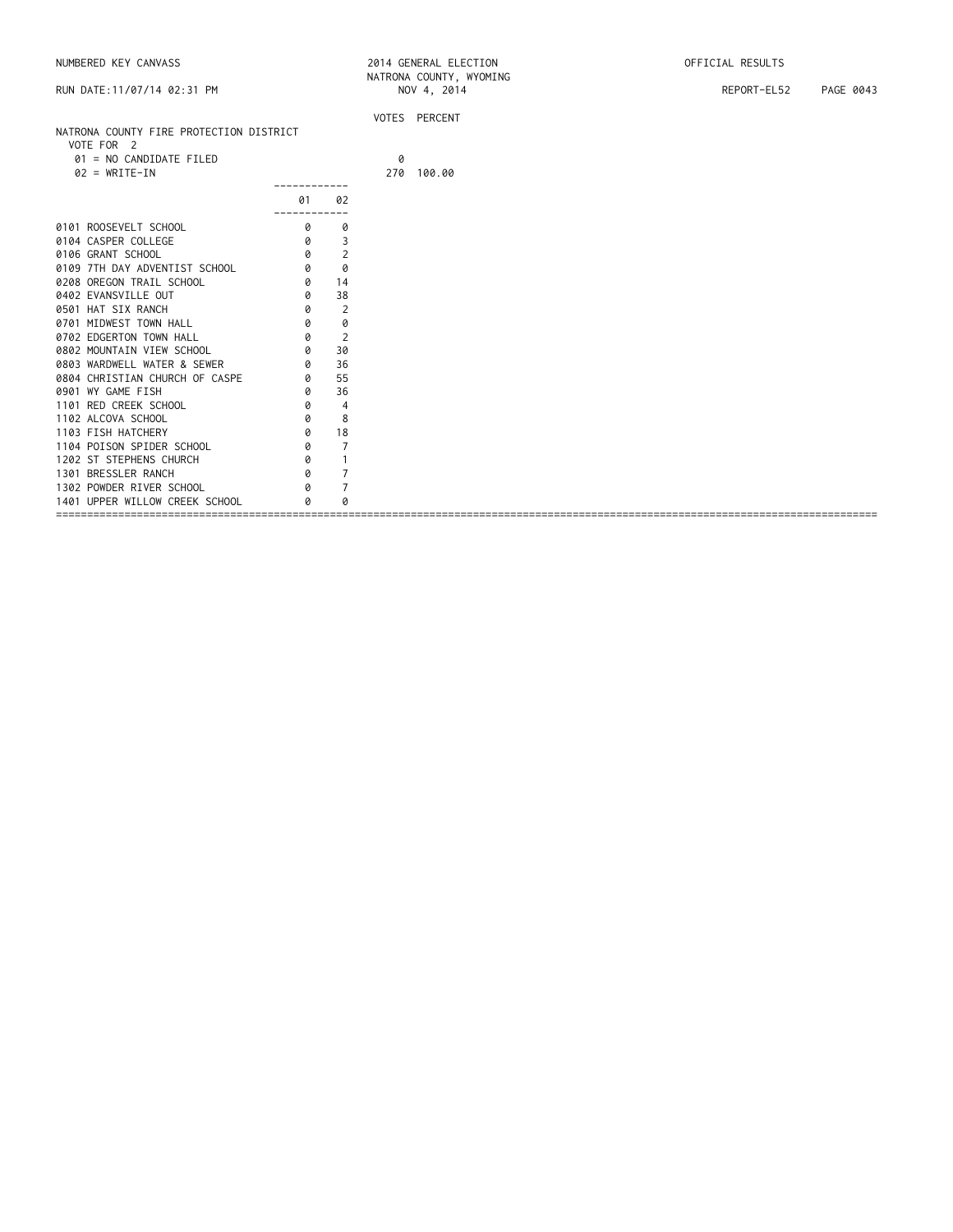| RUN DATE: 11/07/14 02:31 PM             |                |                |   | INATRUINA COUNTE, MIUPLING<br>NOV 4, 2014 | REPORT-EL52<br>PAGE 0043 |
|-----------------------------------------|----------------|----------------|---|-------------------------------------------|--------------------------|
| NATRONA COUNTY FIRE PROTECTION DISTRICT |                |                |   | VOTES PERCENT                             |                          |
| VOTE FOR 2                              |                |                |   |                                           |                          |
| 01 = NO CANDIDATE FILED                 |                |                | 0 |                                           |                          |
| $02 = WRITE-IN$                         |                |                |   | 270 100.00                                |                          |
|                                         | 01             | 02             |   |                                           |                          |
| 0101 ROOSEVELT SCHOOL                   | ---------<br>0 | 0              |   |                                           |                          |
| 0104 CASPER COLLEGE                     | 0              | 3              |   |                                           |                          |
| 0106 GRANT SCHOOL                       | 0              | $\overline{2}$ |   |                                           |                          |
| 0109 7TH DAY ADVENTIST SCHOOL           | 0              | 0              |   |                                           |                          |
| 0208 OREGON TRAIL SCHOOL                | 0              | 14             |   |                                           |                          |
| 0402 EVANSVILLE OUT                     | 0              | 38             |   |                                           |                          |
| 0501 HAT SIX RANCH                      | 0              | 2              |   |                                           |                          |
| 0701 MIDWEST TOWN HALL                  | 0              | 0              |   |                                           |                          |
| 0702 EDGERTON TOWN HALL                 | 0              | 2              |   |                                           |                          |
| 0802 MOUNTAIN VIEW SCHOOL               | 0              | 30             |   |                                           |                          |
| 0803 WARDWELL WATER & SEWER             | 0              | 36             |   |                                           |                          |
| 0804 CHRISTIAN CHURCH OF CASPE          | 0              | 55             |   |                                           |                          |
| 0901 WY GAME FISH                       | 0              | 36             |   |                                           |                          |
| 1101 RED CREEK SCHOOL                   | 0              | $\overline{4}$ |   |                                           |                          |
| 1102 ALCOVA SCHOOL                      | 0              | 8              |   |                                           |                          |
| 1103 FISH HATCHERY                      | 0              | 18             |   |                                           |                          |
| 1104 POISON SPIDER SCHOOL               | 0              | $\overline{7}$ |   |                                           |                          |
| 1202 ST STEPHENS CHURCH                 | 0              | $\mathbf{1}$   |   |                                           |                          |
| 1301 BRESSLER RANCH                     | 0              | $\overline{7}$ |   |                                           |                          |
| 1302 POWDER RIVER SCHOOL                | Q              | $\overline{7}$ |   |                                           |                          |
| 1401 UPPER WILLOW CREEK SCHOOL          |                |                |   |                                           |                          |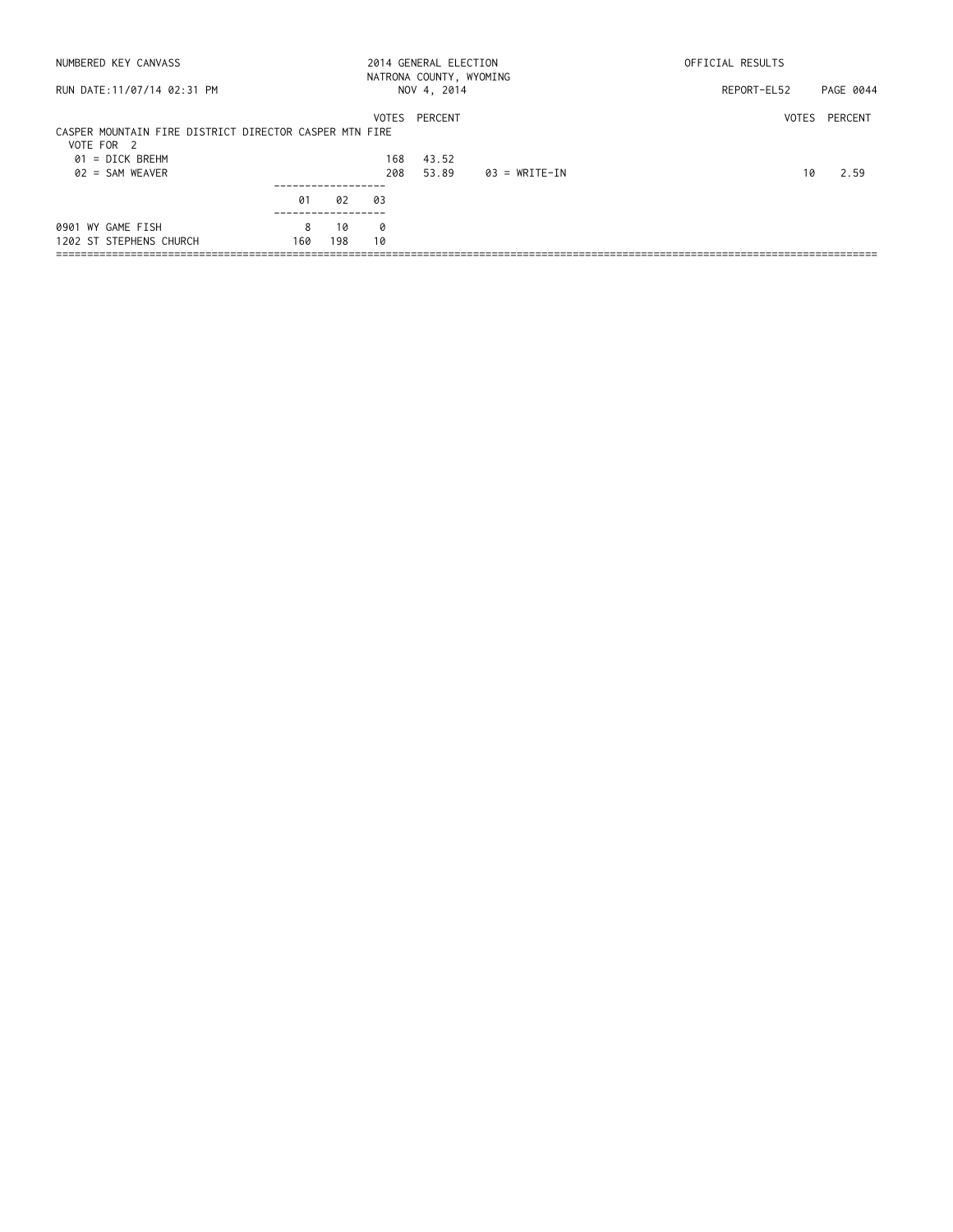|          |           |         |                                                              |                              | OFFICIAL RESULTS                                 |               |  |
|----------|-----------|---------|--------------------------------------------------------------|------------------------------|--------------------------------------------------|---------------|--|
|          |           |         |                                                              |                              | REPORT-EL52                                      | PAGE 0044     |  |
|          |           | 168     | 43.52                                                        |                              |                                                  | VOTES PERCENT |  |
|          |           | 208     | 53.89                                                        | 03 = WRITE-IN                | 10                                               | 2.59          |  |
|          |           |         |                                                              |                              |                                                  |               |  |
| 8<br>160 | 10<br>198 | ø<br>10 |                                                              |                              |                                                  |               |  |
|          | 01        | 02      | CASPER MOUNTAIN FIRE DISTRICT DIRECTOR CASPER MTN FIRE<br>03 | NOV 4, 2014<br>VOTES PERCENT | 2014 GENERAL ELECTION<br>NATRONA COUNTY, WYOMING |               |  |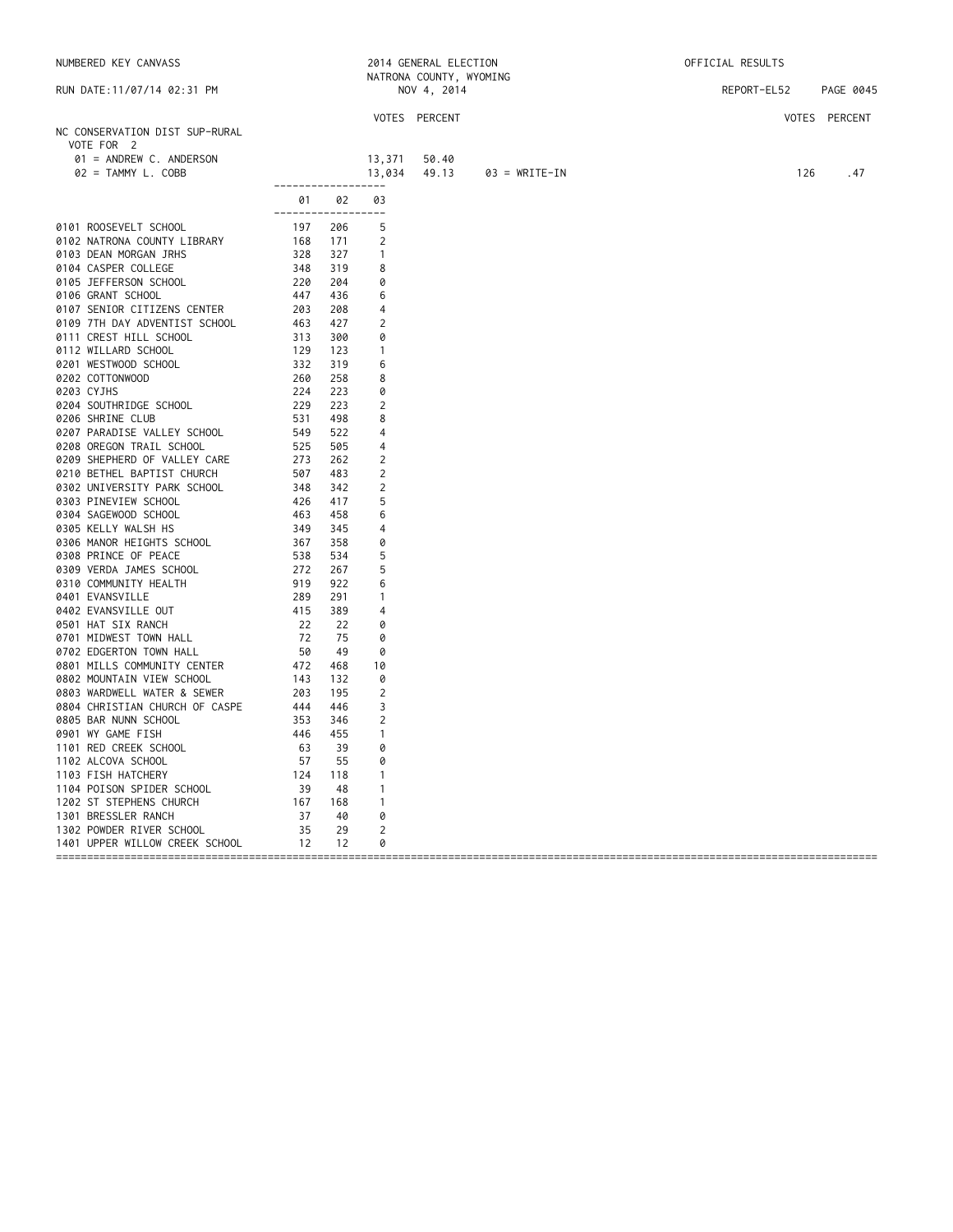| NUMBERED KEY CANVASS                                                                                                                                                                                                                            |                                                                                                                              |       |                | 2014 GENERAL ELECTION   |                 | OFFICIAL RESULTS      |               |  |  |
|-------------------------------------------------------------------------------------------------------------------------------------------------------------------------------------------------------------------------------------------------|------------------------------------------------------------------------------------------------------------------------------|-------|----------------|-------------------------|-----------------|-----------------------|---------------|--|--|
|                                                                                                                                                                                                                                                 |                                                                                                                              |       |                | NATRONA COUNTY, WYOMING |                 |                       |               |  |  |
| RUN DATE: 11/07/14 02:31 PM                                                                                                                                                                                                                     |                                                                                                                              |       |                | NOV 4, 2014             |                 | REPORT-EL52 PAGE 0045 |               |  |  |
|                                                                                                                                                                                                                                                 |                                                                                                                              |       |                | VOTES PERCENT           |                 |                       | VOTES PERCENT |  |  |
| NC CONSERVATION DIST SUP-RURAL                                                                                                                                                                                                                  |                                                                                                                              |       |                |                         |                 |                       |               |  |  |
| VOTE FOR 2                                                                                                                                                                                                                                      |                                                                                                                              |       |                |                         |                 |                       |               |  |  |
| 01 = ANDREW C. ANDERSON                                                                                                                                                                                                                         |                                                                                                                              |       | 13,371         | 50.40                   |                 |                       |               |  |  |
| 02 = TAMMY L. COBB                                                                                                                                                                                                                              |                                                                                                                              |       | 13,034         | 49.13                   | $03 = WRITE-IN$ | 126                   | .47           |  |  |
|                                                                                                                                                                                                                                                 | ------------------                                                                                                           |       |                |                         |                 |                       |               |  |  |
|                                                                                                                                                                                                                                                 |                                                                                                                              | 01 02 | 03             |                         |                 |                       |               |  |  |
|                                                                                                                                                                                                                                                 | -------------------                                                                                                          |       |                |                         |                 |                       |               |  |  |
| 0101 ROOSEVELT SCHOOL                                                                                                                                                                                                                           | 197 206<br>168 171<br>328 327<br>348 319<br>220 204<br>447 436                                                               |       | -5             |                         |                 |                       |               |  |  |
| 0102 NATRONA COUNTY LIBRARY<br>0103 DEAN MORGAN IRHS                                                                                                                                                                                            |                                                                                                                              |       | 2              |                         |                 |                       |               |  |  |
| 0103 DEAN MORGAN JRHS                                                                                                                                                                                                                           |                                                                                                                              |       | $\overline{1}$ |                         |                 |                       |               |  |  |
| 0104 CASPER COLLEGE                                                                                                                                                                                                                             |                                                                                                                              |       | 8              |                         |                 |                       |               |  |  |
| 0105 JEFFERSON SCHOOL                                                                                                                                                                                                                           |                                                                                                                              |       | 0              |                         |                 |                       |               |  |  |
| 0106 GRANT SCHOOL                                                                                                                                                                                                                               |                                                                                                                              |       | 6              |                         |                 |                       |               |  |  |
|                                                                                                                                                                                                                                                 |                                                                                                                              |       | $\overline{4}$ |                         |                 |                       |               |  |  |
|                                                                                                                                                                                                                                                 |                                                                                                                              |       | 2              |                         |                 |                       |               |  |  |
|                                                                                                                                                                                                                                                 |                                                                                                                              |       | 0              |                         |                 |                       |               |  |  |
|                                                                                                                                                                                                                                                 |                                                                                                                              |       | $\mathbf{1}$   |                         |                 |                       |               |  |  |
|                                                                                                                                                                                                                                                 |                                                                                                                              |       | 6              |                         |                 |                       |               |  |  |
| 0106 GRANT SCHOOL 447 436<br>0107 SENIOR CITIZENS CENTER 203 208<br>0109 7TH DAY ADVENTIST SCHOOL 463 427<br>0111 CREST HILL SCHOOL 313 300<br>0112 WILLARD SCHOOL 129 123<br>0201 WESTWOOD SCHOOL 332 319<br>0202 COTTONWOOD 260 258<br>020    |                                                                                                                              |       | 8<br>0         |                         |                 |                       |               |  |  |
|                                                                                                                                                                                                                                                 |                                                                                                                              |       | 2              |                         |                 |                       |               |  |  |
| 0206 SHRINE CLUB                                                                                                                                                                                                                                | 531                                                                                                                          | 498   | 8              |                         |                 |                       |               |  |  |
| 0207 PARADISE VALLEY SCHOOL                                                                                                                                                                                                                     | 549                                                                                                                          | 522   | 4              |                         |                 |                       |               |  |  |
| 0208 OREGON TRAIL SCHOOL                                                                                                                                                                                                                        | 525                                                                                                                          | 505   | 4              |                         |                 |                       |               |  |  |
| 0209 SHEPHERD OF VALLEY CARE                                                                                                                                                                                                                    | 273                                                                                                                          | 262   | 2              |                         |                 |                       |               |  |  |
| 0210 BETHEL BAPTIST CHURCH                                                                                                                                                                                                                      | 507                                                                                                                          | 483   | 2              |                         |                 |                       |               |  |  |
| 0302 UNIVERSITY PARK SCHOOL                                                                                                                                                                                                                     | $\begin{array}{r} 507 \\ -348 \\ 426 \\ 463 \\ 349 \\ 367 \\ 538 \\ 272 \\ 919 \\ 289 \\ 219 \\ 284 \\ 15 \\ 22 \end{array}$ | 342   | 2              |                         |                 |                       |               |  |  |
| 0303 PINEVIEW SCHOOL                                                                                                                                                                                                                            |                                                                                                                              | 417   | 5              |                         |                 |                       |               |  |  |
| 0304 SAGEWOOD SCHOOL                                                                                                                                                                                                                            |                                                                                                                              | 458   | 6              |                         |                 |                       |               |  |  |
| 0305 KELLY WALSH HS                                                                                                                                                                                                                             |                                                                                                                              | 345   | 4              |                         |                 |                       |               |  |  |
| 0306 MANOR HEIGHTS SCHOOL                                                                                                                                                                                                                       |                                                                                                                              | 358   | 0              |                         |                 |                       |               |  |  |
| 0308 PRINCE OF PEACE                                                                                                                                                                                                                            |                                                                                                                              | 534   | 5              |                         |                 |                       |               |  |  |
| 0309 VERDA JAMES SCHOOL                                                                                                                                                                                                                         |                                                                                                                              | 267   | 5              |                         |                 |                       |               |  |  |
| 0310 COMMUNITY HEALTH                                                                                                                                                                                                                           |                                                                                                                              | 922   | 6              |                         |                 |                       |               |  |  |
| 0401 EVANSVILLE                                                                                                                                                                                                                                 |                                                                                                                              | 291   | $\mathbf{1}$   |                         |                 |                       |               |  |  |
| 0402 EVANSVILLE OUT                                                                                                                                                                                                                             |                                                                                                                              | 389   | $\overline{4}$ |                         |                 |                       |               |  |  |
| 0501 HAT SIX RANCH                                                                                                                                                                                                                              | 22                                                                                                                           | 22    | 0              |                         |                 |                       |               |  |  |
| 0301 MIDWEST TOWN HALL<br>0702 EDGERTON TOWN HALL<br>0702 EDGERTON TOWN HALL<br>0801 MILLS COMMUNITY CENTER<br>0802 MOUNTAIN VIEW SCHOOL<br>0803 WARDWELL WATER & SEWER<br>0804 CHRISTIAN CHURCH OF CASPE<br>0804 CHRISTIAN CHURCH OF CASPE<br> |                                                                                                                              | 75    | 0              |                         |                 |                       |               |  |  |
|                                                                                                                                                                                                                                                 |                                                                                                                              | - 49  | 0              |                         |                 |                       |               |  |  |
|                                                                                                                                                                                                                                                 |                                                                                                                              | 468   | 10             |                         |                 |                       |               |  |  |
|                                                                                                                                                                                                                                                 |                                                                                                                              | 132   | 0              |                         |                 |                       |               |  |  |
|                                                                                                                                                                                                                                                 |                                                                                                                              | 195   | $\overline{2}$ |                         |                 |                       |               |  |  |
|                                                                                                                                                                                                                                                 |                                                                                                                              | 446   | 3              |                         |                 |                       |               |  |  |
| 0805 BAR NUNN SCHOOL                                                                                                                                                                                                                            |                                                                                                                              | 346   | 2              |                         |                 |                       |               |  |  |
| 0901 WY GAME FISH                                                                                                                                                                                                                               | 353<br>446                                                                                                                   | 455   | $\mathbf{1}$   |                         |                 |                       |               |  |  |
| 1101 RED CREEK SCHOOL                                                                                                                                                                                                                           |                                                                                                                              | -39   | 0              |                         |                 |                       |               |  |  |
| 1102 ALCOVA SCHOOL                                                                                                                                                                                                                              |                                                                                                                              | 55    | 0              |                         |                 |                       |               |  |  |
| 1103 FISH HATCHERY                                                                                                                                                                                                                              |                                                                                                                              | 118   | $\overline{1}$ |                         |                 |                       |               |  |  |
| 1104 POISON SPIDER SCHOOL                                                                                                                                                                                                                       |                                                                                                                              | -48   | $\overline{1}$ |                         |                 |                       |               |  |  |
| 1202 ST STEPHENS CHURCH                                                                                                                                                                                                                         |                                                                                                                              | 168   | $\overline{1}$ |                         |                 |                       |               |  |  |
| 1301 BRESSLER RANCH                                                                                                                                                                                                                             |                                                                                                                              | 40    | 0              |                         |                 |                       |               |  |  |
| 1302 POWDER RIVER SCHOOL                                                                                                                                                                                                                        | $\begin{array}{r} 774 \ 63 \\ 63 \\ 57 \\ 124 \\ 39 \\ 167 \\ 37 \\ 77 \\ 35 \\ \end{array}$                                 | 29    | $\overline{2}$ |                         |                 |                       |               |  |  |
| 1401 UPPER WILLOW CREEK SCHOOL 12                                                                                                                                                                                                               |                                                                                                                              | 12    | 0              |                         |                 |                       |               |  |  |
|                                                                                                                                                                                                                                                 |                                                                                                                              |       |                |                         |                 |                       |               |  |  |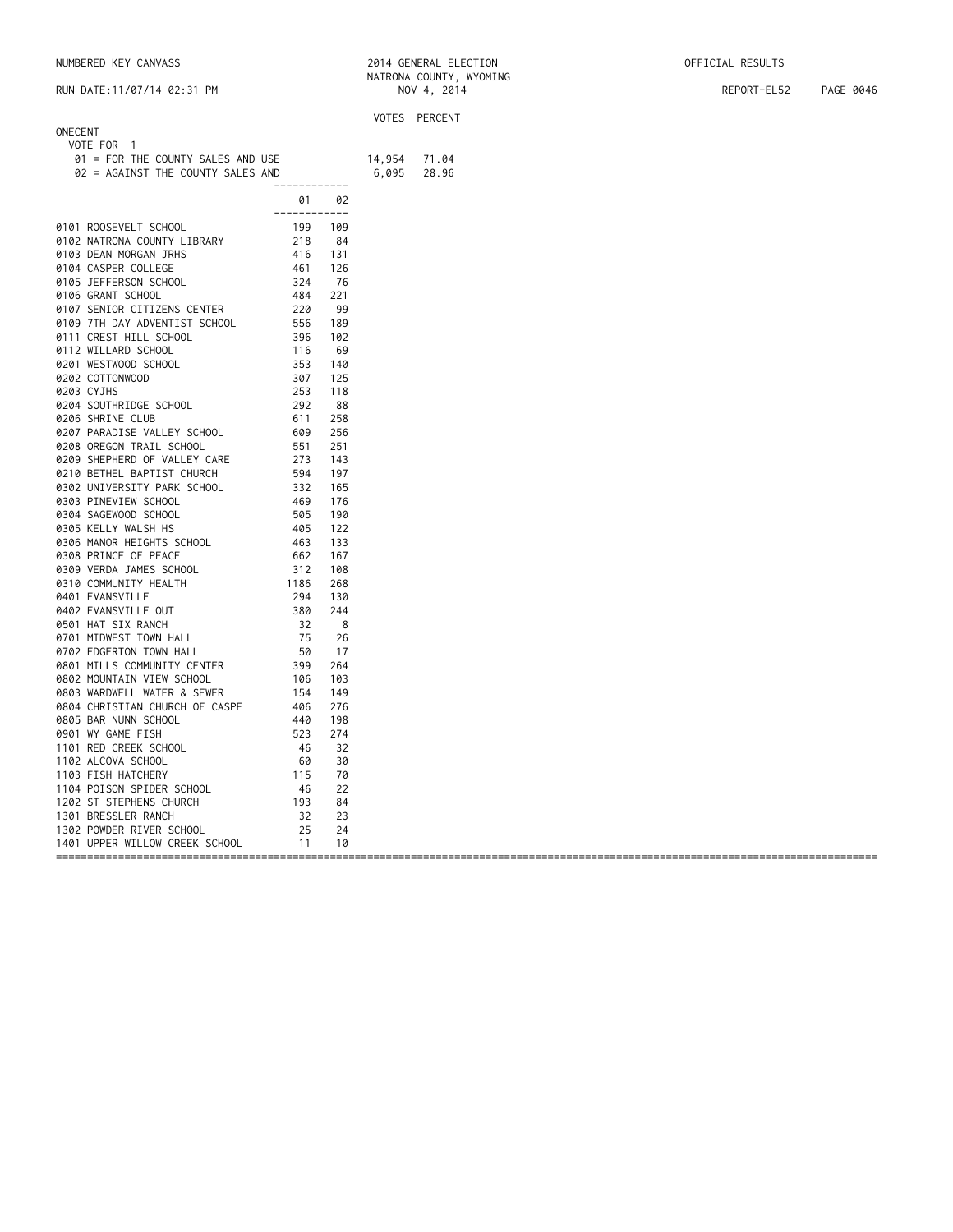NUMBERED KEY CANVASS 2014 GENERAL ELECTION OFFICIAL RESULTS

RUN DATE:11/07/14 02:31 PM NOV 4, 2014 REPORT-EL52 PAGE 0046

|                                                                                                                                                                                                                                                  |              |    | VOTES PERCENT |
|--------------------------------------------------------------------------------------------------------------------------------------------------------------------------------------------------------------------------------------------------|--------------|----|---------------|
| ONECENT                                                                                                                                                                                                                                          |              |    |               |
| VOTE FOR 1                                                                                                                                                                                                                                       |              |    |               |
| 01 = FOR THE COUNTY SALES AND USE 14,954<br>02 = AGAINST THE COUNTY SALES AND 6,095                                                                                                                                                              |              |    | 71.04         |
|                                                                                                                                                                                                                                                  | ------------ |    | 28.96         |
| 0181 ROOSEVELT SCHOOL<br>0181 ROOSEVELT SCHOOL<br>0182 NATRONA COUNTY LIBRARY<br>0183 DEAN MORGAN TRHS<br>0183 DEAN MORGAN TRHS<br>0183 DEAN MORGAN TRITS<br>0183 DEAN MORGAN SCHOOL<br>0183 DEAN MORGAN SCHOOL<br>0183 DEAN MORGAN SCHOOL<br>01 | 01           | 02 |               |
|                                                                                                                                                                                                                                                  | ------------ |    |               |
|                                                                                                                                                                                                                                                  |              |    |               |
|                                                                                                                                                                                                                                                  |              |    |               |
|                                                                                                                                                                                                                                                  |              |    |               |
|                                                                                                                                                                                                                                                  |              |    |               |
|                                                                                                                                                                                                                                                  |              |    |               |
|                                                                                                                                                                                                                                                  |              |    |               |
|                                                                                                                                                                                                                                                  |              |    |               |
|                                                                                                                                                                                                                                                  |              |    |               |
|                                                                                                                                                                                                                                                  |              |    |               |
|                                                                                                                                                                                                                                                  |              |    |               |
|                                                                                                                                                                                                                                                  |              |    |               |
|                                                                                                                                                                                                                                                  |              |    |               |
|                                                                                                                                                                                                                                                  |              |    |               |
|                                                                                                                                                                                                                                                  |              |    |               |
|                                                                                                                                                                                                                                                  |              |    |               |
|                                                                                                                                                                                                                                                  |              |    |               |
|                                                                                                                                                                                                                                                  |              |    |               |
|                                                                                                                                                                                                                                                  |              |    |               |
|                                                                                                                                                                                                                                                  |              |    |               |
|                                                                                                                                                                                                                                                  |              |    |               |
|                                                                                                                                                                                                                                                  |              |    |               |
|                                                                                                                                                                                                                                                  |              |    |               |
|                                                                                                                                                                                                                                                  |              |    |               |
|                                                                                                                                                                                                                                                  |              |    |               |
|                                                                                                                                                                                                                                                  |              |    |               |
|                                                                                                                                                                                                                                                  |              |    |               |
|                                                                                                                                                                                                                                                  |              |    |               |
|                                                                                                                                                                                                                                                  |              |    |               |
|                                                                                                                                                                                                                                                  |              |    |               |
|                                                                                                                                                                                                                                                  |              |    |               |
|                                                                                                                                                                                                                                                  |              |    |               |
|                                                                                                                                                                                                                                                  |              |    |               |
|                                                                                                                                                                                                                                                  |              |    |               |
|                                                                                                                                                                                                                                                  |              |    |               |
|                                                                                                                                                                                                                                                  |              |    |               |
|                                                                                                                                                                                                                                                  |              |    |               |
|                                                                                                                                                                                                                                                  |              |    |               |
|                                                                                                                                                                                                                                                  |              |    |               |
|                                                                                                                                                                                                                                                  |              |    |               |
|                                                                                                                                                                                                                                                  |              |    |               |
|                                                                                                                                                                                                                                                  |              |    |               |
|                                                                                                                                                                                                                                                  |              |    |               |
|                                                                                                                                                                                                                                                  |              |    |               |
|                                                                                                                                                                                                                                                  |              |    |               |
|                                                                                                                                                                                                                                                  |              |    |               |
|                                                                                                                                                                                                                                                  |              |    |               |
|                                                                                                                                                                                                                                                  |              |    |               |
|                                                                                                                                                                                                                                                  |              |    |               |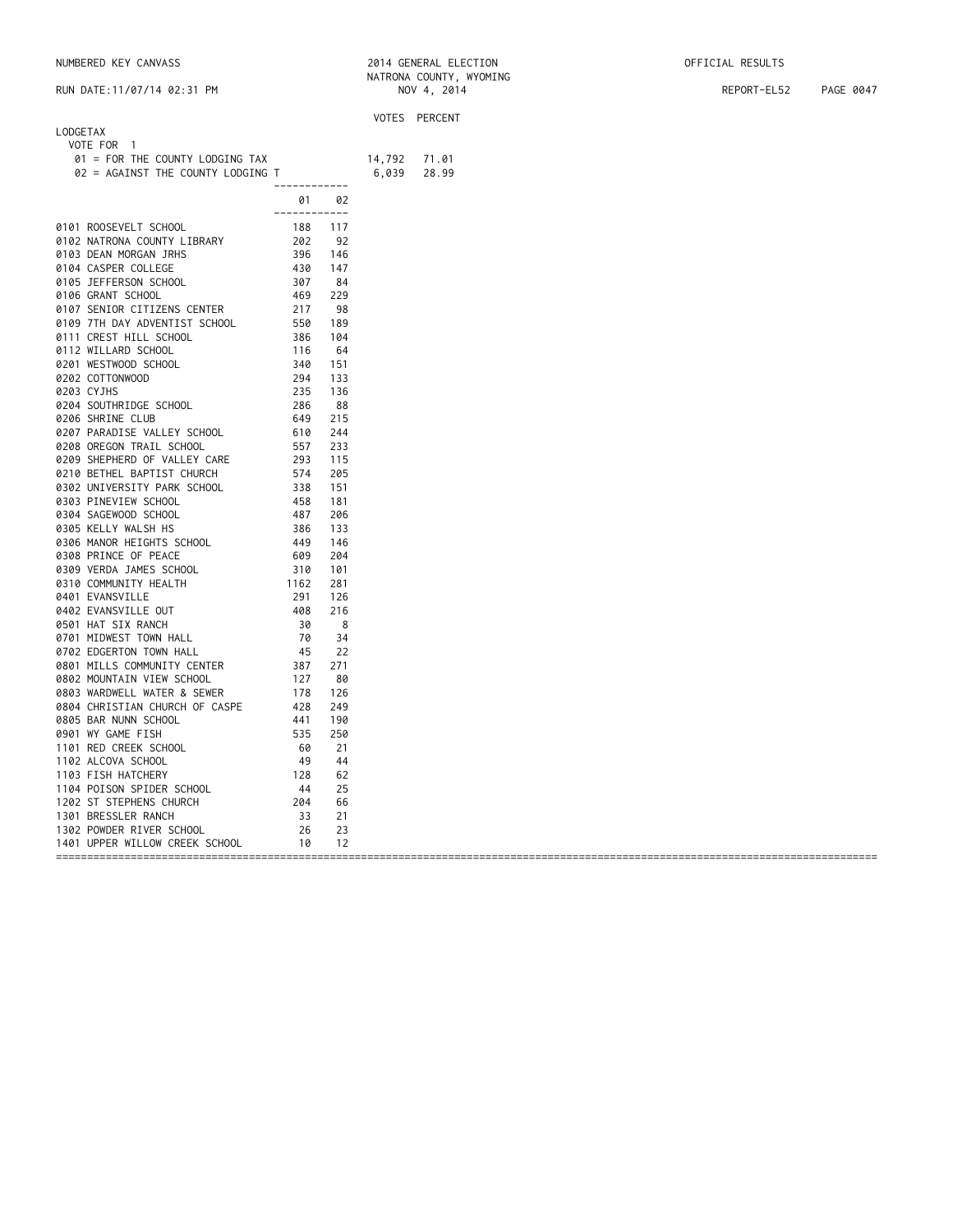| NUMBERED KEY CANVASS | 2014 GENERAL ELECTION | OFFICIAL RESULTS |
|----------------------|-----------------------|------------------|
|----------------------|-----------------------|------------------|

|                                   |                    |       |        | VOTES PERCENT |
|-----------------------------------|--------------------|-------|--------|---------------|
| LODGETAX                          |                    |       |        |               |
| VOTE FOR 1                        |                    |       |        |               |
| 01 = FOR THE COUNTY LODGING TAX   |                    |       | 14,792 | 71.01         |
| 02 = AGAINST THE COUNTY LODGING T |                    |       | 6,039  | 28.99         |
|                                   | -------------      |       |        |               |
|                                   |                    | 01 02 |        |               |
|                                   | ------------       |       |        |               |
| 0101 ROOSEVELT SCHOOL             | 188                | 117   |        |               |
| 0102 NATRONA COUNTY LIBRARY       | 202                | 92    |        |               |
| 0103 DEAN MORGAN JRHS             | 396                | 146   |        |               |
| 0104 CASPER COLLEGE               | 430                | 147   |        |               |
| 0105 JEFFERSON SCHOOL             | 307                | -84   |        |               |
| 0106 GRANT SCHOOL                 | 469                | 229   |        |               |
| 0107 SENIOR CITIZENS CENTER       | 217                | - 98  |        |               |
| 0109 7TH DAY ADVENTIST SCHOOL     | 550                | 189   |        |               |
| 0111 CREST HILL SCHOOL            | 386                | 104   |        |               |
| 0112 WILLARD SCHOOL               | 116                | 64    |        |               |
| 0201 WESTWOOD SCHOOL              | 340                | 151   |        |               |
| 0202 COTTONWOOD                   | 294                | 133   |        |               |
| 0203 CYJHS                        | 235                | 136   |        |               |
| 0204 SOUTHRIDGE SCHOOL            | 286                | 88    |        |               |
| 0206 SHRINE CLUB                  | 649                | 215   |        |               |
| 0207 PARADISE VALLEY SCHOOL       | 610                | 244   |        |               |
| 0208 OREGON TRAIL SCHOOL          | 557                | 233   |        |               |
| 0209 SHEPHERD OF VALLEY CARE      | 293                | 115   |        |               |
| 0210 BETHEL BAPTIST CHURCH        | 574                | 205   |        |               |
| 0302 UNIVERSITY PARK SCHOOL       | 338                | 151   |        |               |
|                                   |                    |       |        |               |
| 0303 PINEVIEW SCHOOL              | 458                | 181   |        |               |
| 0304 SAGEWOOD SCHOOL              | 487                | 206   |        |               |
| 0305 KELLY WALSH HS               | 386                | 133   |        |               |
| 0306 MANOR HEIGHTS SCHOOL         | 449                | 146   |        |               |
| 0308 PRINCE OF PEACE              | 609                | 204   |        |               |
| 0309 VERDA JAMES SCHOOL           | 310                | 101   |        |               |
| 0310 COMMUNITY HEALTH             | $\frac{318}{1162}$ | 281   |        |               |
| 0401 EVANSVILLE                   | 291                | 126   |        |               |
| 0402 EVANSVILLE OUT               | 408                | 216   |        |               |
| 0501 HAT SIX RANCH                | 30                 | 8     |        |               |
| 0701 MIDWEST TOWN HALL            | 70                 | 34    |        |               |
| 0702 EDGERTON TOWN HALL           | - 45               | 22    |        |               |
| 0801 MILLS COMMUNITY CENTER       | 387                | 271   |        |               |
| 0802 MOUNTAIN VIEW SCHOOL         | 127                | 80    |        |               |
| 0803 WARDWELL WATER & SEWER       | 178                | 126   |        |               |
| 0804 CHRISTIAN CHURCH OF CASPE    | 428                | 249   |        |               |
| 0805 BAR NUNN SCHOOL              | 441                | 190   |        |               |
| 0901 WY GAME FISH                 | 535                | 250   |        |               |
| 1101 RED CREEK SCHOOL             | - 60               | 21    |        |               |
| 1102 ALCOVA SCHOOL                | - 49               | 44    |        |               |
|                                   |                    |       |        |               |
| 1103 FISH HATCHERY                | 128                | 62    |        |               |
| 1104 POISON SPIDER SCHOOL         | 44                 | 25    |        |               |
| 1202 ST STEPHENS CHURCH           | 204                | 66    |        |               |
| 1301 BRESSLER RANCH               | 33                 | 21    |        |               |
| 1302 POWDER RIVER SCHOOL          | 26                 | 23    |        |               |
| 1401 UPPER WILLOW CREEK SCHOOL    | 10                 | 12    |        |               |